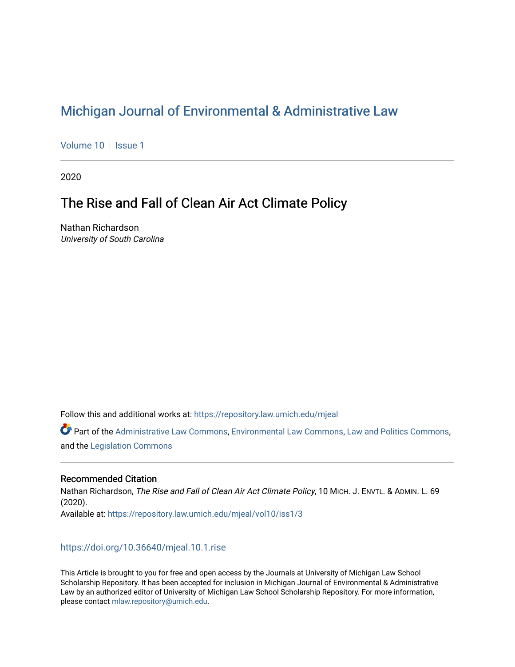# [Michigan Journal of Environmental & Administrative Law](https://repository.law.umich.edu/mjeal)

[Volume 10](https://repository.law.umich.edu/mjeal/vol10) | [Issue 1](https://repository.law.umich.edu/mjeal/vol10/iss1)

2020

# The Rise and Fall of Clean Air Act Climate Policy

Nathan Richardson University of South Carolina

Follow this and additional works at: [https://repository.law.umich.edu/mjeal](https://repository.law.umich.edu/mjeal?utm_source=repository.law.umich.edu%2Fmjeal%2Fvol10%2Fiss1%2F3&utm_medium=PDF&utm_campaign=PDFCoverPages)

Part of the [Administrative Law Commons,](http://network.bepress.com/hgg/discipline/579?utm_source=repository.law.umich.edu%2Fmjeal%2Fvol10%2Fiss1%2F3&utm_medium=PDF&utm_campaign=PDFCoverPages) [Environmental Law Commons](http://network.bepress.com/hgg/discipline/599?utm_source=repository.law.umich.edu%2Fmjeal%2Fvol10%2Fiss1%2F3&utm_medium=PDF&utm_campaign=PDFCoverPages), [Law and Politics Commons](http://network.bepress.com/hgg/discipline/867?utm_source=repository.law.umich.edu%2Fmjeal%2Fvol10%2Fiss1%2F3&utm_medium=PDF&utm_campaign=PDFCoverPages), and the [Legislation Commons](http://network.bepress.com/hgg/discipline/859?utm_source=repository.law.umich.edu%2Fmjeal%2Fvol10%2Fiss1%2F3&utm_medium=PDF&utm_campaign=PDFCoverPages) 

### Recommended Citation

Nathan Richardson, The Rise and Fall of Clean Air Act Climate Policy, 10 MICH. J. ENVTL. & ADMIN. L. 69 (2020). Available at: [https://repository.law.umich.edu/mjeal/vol10/iss1/3](https://repository.law.umich.edu/mjeal/vol10/iss1/3?utm_source=repository.law.umich.edu%2Fmjeal%2Fvol10%2Fiss1%2F3&utm_medium=PDF&utm_campaign=PDFCoverPages)

### <https://doi.org/10.36640/mjeal.10.1.rise>

This Article is brought to you for free and open access by the Journals at University of Michigan Law School Scholarship Repository. It has been accepted for inclusion in Michigan Journal of Environmental & Administrative Law by an authorized editor of University of Michigan Law School Scholarship Repository. For more information, please contact [mlaw.repository@umich.edu.](mailto:mlaw.repository@umich.edu)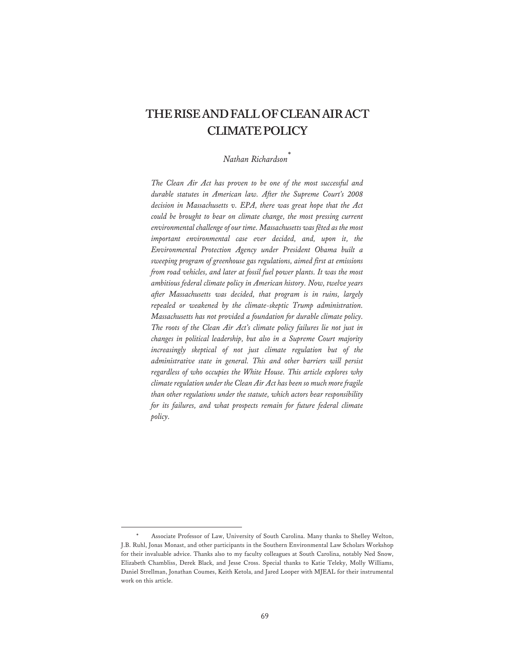# **THERISEANDFALLOFCLEANAIRACT CLIMATEPOLICY**

### *Nathan Richardson*\*

*The Clean Air Act has proven to be one of the most successful and durable statutes in American law. After the Supreme Court's 2008 decision in Massachusetts v. EPA, there was great hope that the Act could be brought to bear on climate change, the most pressing current environmental challenge of our time. Massachusetts was fêted as the most important environmental case ever decided, and, upon it, the Environmental Protection Agency under President Obama built a sweeping program of greenhouse gas regulations, aimed first at emissions from road vehicles, and later at fossil fuel power plants. It was the most ambitious federal climate policy in American history. Now, twelve years after Massachusetts was decided, that program is in ruins, largely repealed or weakened by the climate-skeptic Trump administration. Massachusetts has not provided a foundation for durable climate policy. The roots of the Clean Air Act's climate policy failures lie not just in changes in political leadership, but also in a Supreme Court majority increasingly skeptical of not just climate regulation but of the administrative state in general. This and other barriers will persist regardless of who occupies the White House. This article explores why climate regulation under the Clean Air Act has been so much more fragile than other regulations under the statute, which actors bear responsibility for its failures, and what prospects remain for future federal climate policy.* 

Associate Professor of Law, University of South Carolina. Many thanks to Shelley Welton, J.B. Ruhl, Jonas Monast, and other participants in the Southern Environmental Law Scholars Workshop for their invaluable advice. Thanks also to my faculty colleagues at South Carolina, notably Ned Snow, Elizabeth Chambliss, Derek Black, and Jesse Cross. Special thanks to Katie Teleky, Molly Williams, Daniel Strellman, Jonathan Coumes, Keith Ketola, and Jared Looper with MJEAL for their instrumental work on this article.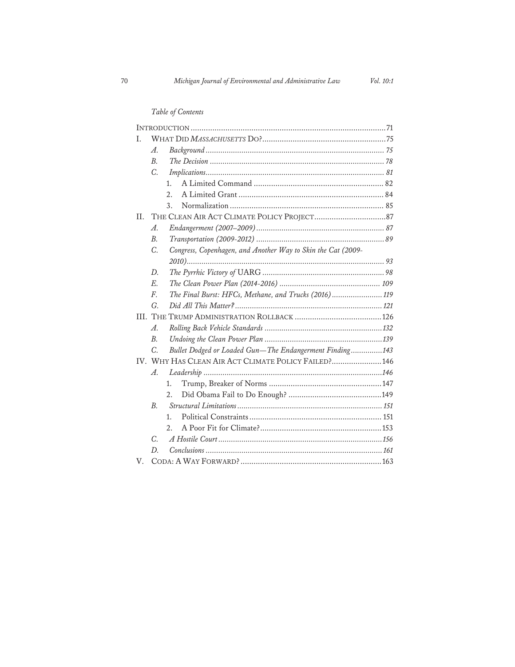## *Table of Contents*

| T. |                                                      |         |                                                              |  |
|----|------------------------------------------------------|---------|--------------------------------------------------------------|--|
|    | A.                                                   |         |                                                              |  |
|    | $B$ .                                                |         |                                                              |  |
|    | C.                                                   |         |                                                              |  |
|    |                                                      | $1_{-}$ |                                                              |  |
|    |                                                      | 2.      |                                                              |  |
|    |                                                      | 3.      |                                                              |  |
| H. |                                                      |         |                                                              |  |
|    | $\mathcal{A}.$                                       |         |                                                              |  |
|    | $B$ .                                                |         |                                                              |  |
|    | C.                                                   |         | Congress, Copenhagen, and Another Way to Skin the Cat (2009- |  |
|    |                                                      |         |                                                              |  |
|    | D.                                                   |         |                                                              |  |
|    | $E_{\cdot}$                                          |         |                                                              |  |
|    | $F_{\cdot}$                                          |         | The Final Burst: HFCs, Methane, and Trucks (2016) 119        |  |
|    | G.                                                   |         |                                                              |  |
|    |                                                      |         |                                                              |  |
|    | $\mathcal{A}$ .                                      |         |                                                              |  |
|    | B <sub>1</sub>                                       |         |                                                              |  |
|    | C.                                                   |         | Bullet Dodged or Loaded Gun-The Endangerment Finding143      |  |
|    | IV. WHY HAS CLEAN AIR ACT CLIMATE POLICY FAILED? 146 |         |                                                              |  |
|    | $A$ .                                                |         |                                                              |  |
|    |                                                      | $1_{-}$ |                                                              |  |
|    |                                                      | 2.      |                                                              |  |
|    | <i>B.</i>                                            |         |                                                              |  |
|    |                                                      | 1.      |                                                              |  |
|    |                                                      | 2.      |                                                              |  |
|    | C.                                                   |         |                                                              |  |
|    | D.                                                   |         |                                                              |  |
| V. |                                                      |         |                                                              |  |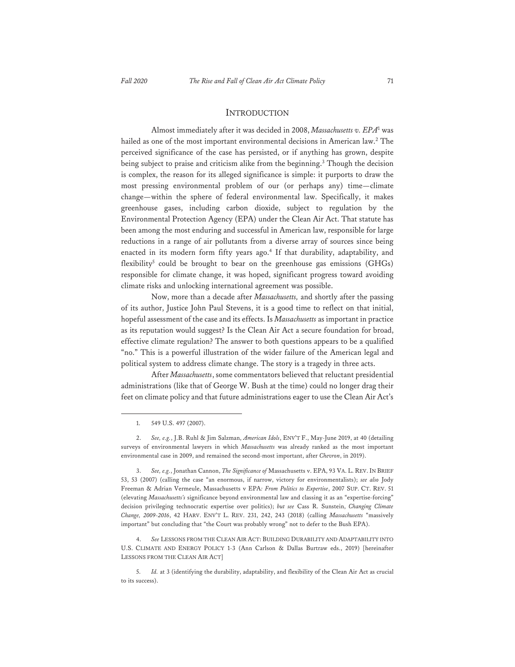#### INTRODUCTION

Almost immediately after it was decided in 2008, *Massachusetts v. EPA*<sup>1</sup> was hailed as one of the most important environmental decisions in American law.<sup>2</sup> The perceived significance of the case has persisted, or if anything has grown, despite being subject to praise and criticism alike from the beginning.<sup>3</sup> Though the decision is complex, the reason for its alleged significance is simple: it purports to draw the most pressing environmental problem of our (or perhaps any) time—climate change—within the sphere of federal environmental law. Specifically, it makes greenhouse gases, including carbon dioxide, subject to regulation by the Environmental Protection Agency (EPA) under the Clean Air Act. That statute has been among the most enduring and successful in American law, responsible for large reductions in a range of air pollutants from a diverse array of sources since being enacted in its modern form fifty years ago.<sup>4</sup> If that durability, adaptability, and flexibility5 could be brought to bear on the greenhouse gas emissions (GHGs) responsible for climate change, it was hoped, significant progress toward avoiding climate risks and unlocking international agreement was possible.

Now, more than a decade after *Massachusetts,* and shortly after the passing of its author, Justice John Paul Stevens, it is a good time to reflect on that initial, hopeful assessment of the case and its effects. Is *Massachusetts* as important in practice as its reputation would suggest? Is the Clean Air Act a secure foundation for broad, effective climate regulation? The answer to both questions appears to be a qualified "no." This is a powerful illustration of the wider failure of the American legal and political system to address climate change. The story is a tragedy in three acts.

After *Massachusetts*, some commentators believed that reluctant presidential administrations (like that of George W. Bush at the time) could no longer drag their feet on climate policy and that future administrations eager to use the Clean Air Act's

4. *See* LESSONS FROM THE CLEAN AIR ACT: BUILDING DURABILITY AND ADAPTABILITY INTO U.S. CLIMATE AND ENERGY POLICY 1-3 (Ann Carlson & Dallas Burtraw eds., 2019) [hereinafter LESSONS FROM THE CLEAN AIR ACT]

<sup>1. 549</sup> U.S. 497 (2007).

<sup>2.</sup> *See, e.g.*, J.B. Ruhl & Jim Salzman, *American Idols*, ENV'T F., May-June 2019, at 40 (detailing surveys of environmental lawyers in which *Massachusetts* was already ranked as the most important environmental case in 2009, and remained the second-most important, after *Chevron*, in 2019).

<sup>3.</sup> *See, e.g.*, Jonathan Cannon, *The Significance of* Massachusetts v. EPA, 93 VA. L. REV. IN BRIEF 53, 53 (2007) (calling the case "an enormous, if narrow, victory for environmentalists); *see also* Jody Freeman & Adrian Vermeule, Massachusetts v EPA*: From Politics to Expertise*, 2007 SUP. CT. REV. 51 (elevating *Massachusetts's* significance beyond environmental law and classing it as an "expertise-forcing" decision privileging technocratic expertise over politics); *but see* Cass R. Sunstein, *Changing Climate Change, 2009-2016*, 42 HARV. ENV'T L. REV. 231, 242, 243 (2018) (calling *Massachusetts* "massively important" but concluding that "the Court was probably wrong" not to defer to the Bush EPA).

<sup>5.</sup> *Id.* at 3 (identifying the durability, adaptability, and flexibility of the Clean Air Act as crucial to its success).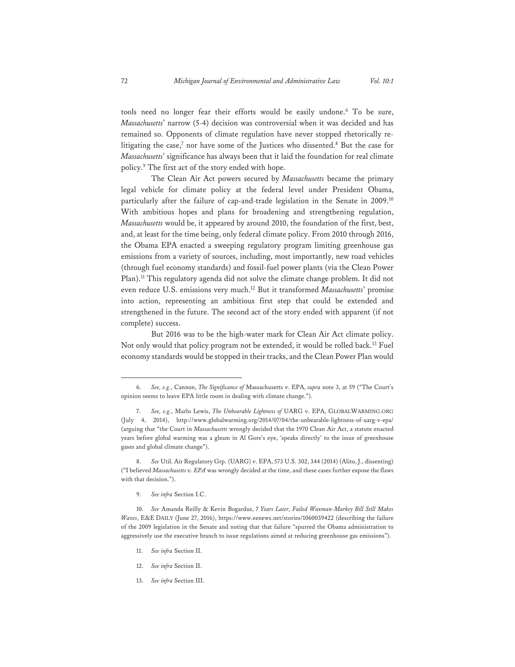tools need no longer fear their efforts would be easily undone.6 To be sure, *Massachusetts*' narrow (5-4) decision was controversial when it was decided and has remained so. Opponents of climate regulation have never stopped rhetorically relitigating the case,<sup>7</sup> nor have some of the Justices who dissented.<sup>8</sup> But the case for *Massachusetts*' significance has always been that it laid the foundation for real climate policy.9 The first act of the story ended with hope.

The Clean Air Act powers secured by *Massachusetts* became the primary legal vehicle for climate policy at the federal level under President Obama, particularly after the failure of cap-and-trade legislation in the Senate in 2009.10 With ambitious hopes and plans for broadening and strengthening regulation, *Massachusetts* would be, it appeared by around 2010, the foundation of the first, best, and, at least for the time being, only federal climate policy. From 2010 through 2016, the Obama EPA enacted a sweeping regulatory program limiting greenhouse gas emissions from a variety of sources, including, most importantly, new road vehicles (through fuel economy standards) and fossil-fuel power plants (via the Clean Power Plan).<sup>11</sup> This regulatory agenda did not solve the climate change problem. It did not even reduce U.S. emissions very much.12 But it transformed *Massachusetts*' promise into action, representing an ambitious first step that could be extended and strengthened in the future. The second act of the story ended with apparent (if not complete) success.

But 2016 was to be the high-water mark for Clean Air Act climate policy. Not only would that policy program not be extended, it would be rolled back.13 Fuel economy standards would be stopped in their tracks, and the Clean Power Plan would

9. *See infra* Section I.C.

- 11. *See infra* Section II.
- 12. *See infra* Section II.
- 13. *See infra* Section III.

<sup>6.</sup> *See, e.g.*, Cannon, *The Significance of* Massachusetts v. EPA, *supra* note 3, at 59 ("The Court's opinion seems to leave EPA little room in dealing with climate change.").

<sup>7.</sup> *See, e.g.*, Marlo Lewis, *The Unbearable Lightness of* UARG v. EPA, GLOBALWARMING.ORG (July 4, 2014), http://www.globalwarming.org/2014/07/04/the-unbearable-lightness-of-uarg-v-epa/ (arguing that "the Court in *Massachusetts* wrongly decided that the 1970 Clean Air Act, a statute enacted years before global warming was a gleam in Al Gore's eye, 'speaks directly' to the issue of greenhouse gases and global climate change").

<sup>8.</sup> *See* Util. Air Regulatory Grp. (UARG) v. EPA, 573 U.S. 302, 344 (2014) (Alito, J., dissenting) ("I believed *Massachusetts v. EPA* was wrongly decided at the time, and these cases further expose the flaws with that decision.").

<sup>10.</sup> *See* Amanda Reilly & Kevin Bogardus, *7 Years Later, Failed Waxman-Markey Bill Still Makes Waves*, E&E DAILY (June 27, 2016), https://www.eenews.net/stories/1060039422 (describing the failure of the 2009 legislation in the Senate and noting that that failure "spurred the Obama administration to aggressively use the executive branch to issue regulations aimed at reducing greenhouse gas emissions").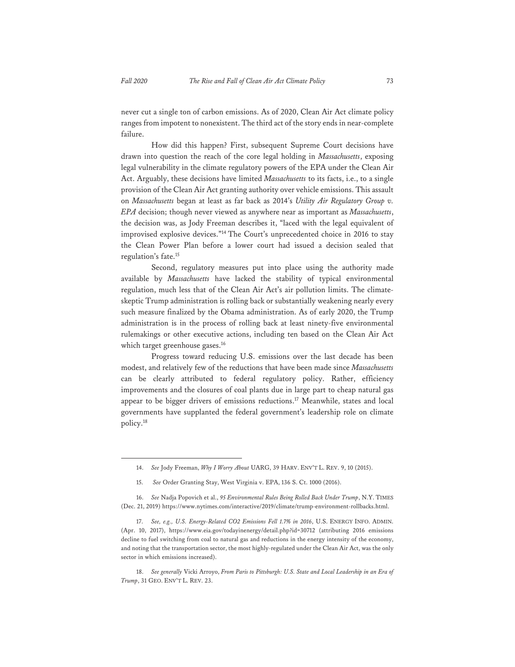never cut a single ton of carbon emissions. As of 2020, Clean Air Act climate policy ranges from impotent to nonexistent. The third act of the story ends in near-complete failure.

How did this happen? First, subsequent Supreme Court decisions have drawn into question the reach of the core legal holding in *Massachusetts*, exposing legal vulnerability in the climate regulatory powers of the EPA under the Clean Air Act. Arguably, these decisions have limited *Massachusetts* to its facts, i.e., to a single provision of the Clean Air Act granting authority over vehicle emissions. This assault on *Massachusetts* began at least as far back as 2014's *Utility Air Regulatory Group v. EPA* decision; though never viewed as anywhere near as important as *Massachusetts*, the decision was, as Jody Freeman describes it, "laced with the legal equivalent of improvised explosive devices."14 The Court's unprecedented choice in 2016 to stay the Clean Power Plan before a lower court had issued a decision sealed that regulation's fate.15

Second, regulatory measures put into place using the authority made available by *Massachusetts* have lacked the stability of typical environmental regulation, much less that of the Clean Air Act's air pollution limits. The climateskeptic Trump administration is rolling back or substantially weakening nearly every such measure finalized by the Obama administration. As of early 2020, the Trump administration is in the process of rolling back at least ninety-five environmental rulemakings or other executive actions, including ten based on the Clean Air Act which target greenhouse gases.<sup>16</sup>

Progress toward reducing U.S. emissions over the last decade has been modest, and relatively few of the reductions that have been made since *Massachusetts* can be clearly attributed to federal regulatory policy. Rather, efficiency improvements and the closures of coal plants due in large part to cheap natural gas appear to be bigger drivers of emissions reductions.<sup>17</sup> Meanwhile, states and local governments have supplanted the federal government's leadership role on climate policy.18

<sup>14.</sup> *See* Jody Freeman, *Why I Worry About* UARG, 39 HARV. ENV'T L. REV. 9, 10 (2015).

<sup>15.</sup> *See* Order Granting Stay, West Virginia v. EPA, 136 S. Ct. 1000 (2016).

<sup>16.</sup> *See* Nadja Popovich et al., *95 Environmental Rules Being Rolled Back Under Trump*, N.Y. TIMES (Dec. 21, 2019) https://www.nytimes.com/interactive/2019/climate/trump-environment-rollbacks.html.

<sup>17.</sup> *See, e.g., U.S. Energy-Related CO2 Emissions Fell 1.7% in 2016*, U.S. ENERGY INFO. ADMIN. (Apr. 10, 2017), https://www.eia.gov/todayinenergy/detail.php?id=30712 (attributing 2016 emissions decline to fuel switching from coal to natural gas and reductions in the energy intensity of the economy, and noting that the transportation sector, the most highly-regulated under the Clean Air Act, was the only sector in which emissions increased).

<sup>18.</sup> *See generally* Vicki Arroyo, *From Paris to Pittsburgh: U.S. State and Local Leadership in an Era of Trump*, 31 GEO. ENV'T L. REV. 23.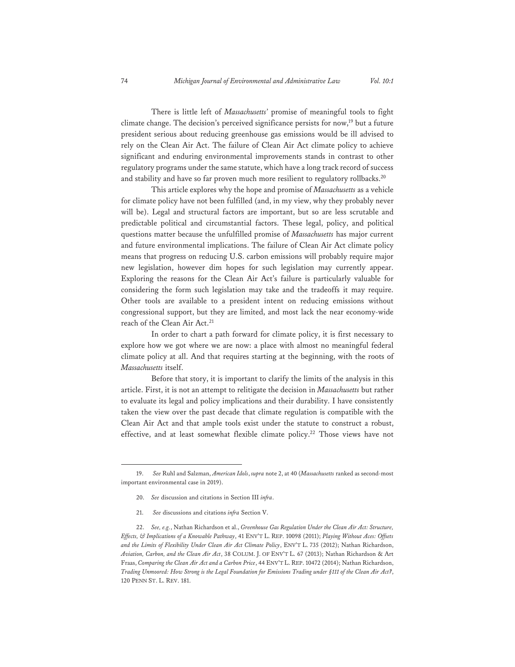There is little left of *Massachusetts'* promise of meaningful tools to fight climate change. The decision's perceived significance persists for now,<sup>19</sup> but a future president serious about reducing greenhouse gas emissions would be ill advised to rely on the Clean Air Act. The failure of Clean Air Act climate policy to achieve significant and enduring environmental improvements stands in contrast to other regulatory programs under the same statute, which have a long track record of success and stability and have so far proven much more resilient to regulatory rollbacks.<sup>20</sup>

This article explores why the hope and promise of *Massachusetts* as a vehicle for climate policy have not been fulfilled (and, in my view, why they probably never will be). Legal and structural factors are important, but so are less scrutable and predictable political and circumstantial factors. These legal, policy, and political questions matter because the unfulfilled promise of *Massachusetts* has major current and future environmental implications. The failure of Clean Air Act climate policy means that progress on reducing U.S. carbon emissions will probably require major new legislation, however dim hopes for such legislation may currently appear. Exploring the reasons for the Clean Air Act's failure is particularly valuable for considering the form such legislation may take and the tradeoffs it may require. Other tools are available to a president intent on reducing emissions without congressional support, but they are limited, and most lack the near economy-wide reach of the Clean Air Act.<sup>21</sup>

In order to chart a path forward for climate policy, it is first necessary to explore how we got where we are now: a place with almost no meaningful federal climate policy at all. And that requires starting at the beginning, with the roots of *Massachusetts* itself.

Before that story, it is important to clarify the limits of the analysis in this article. First, it is not an attempt to relitigate the decision in *Massachusetts* but rather to evaluate its legal and policy implications and their durability. I have consistently taken the view over the past decade that climate regulation is compatible with the Clean Air Act and that ample tools exist under the statute to construct a robust, effective, and at least somewhat flexible climate policy.<sup>22</sup> Those views have not

21. *See* discussions and citations *infra* Section V.

<sup>19.</sup> *See* Ruhl and Salzman, *American Idols*, *supra* note 2, at 40 (*Massachusetts* ranked as second-most important environmental case in 2019).

<sup>20.</sup> *See* discussion and citations in Section III *infra*.

<sup>22.</sup> *See, e.g.*, Nathan Richardson et al., *Greenhouse Gas Regulation Under the Clean Air Act: Structure, Effects, & Implications of a Knowable Pathway*, 41 ENV'T L. REP. 10098 (2011); *Playing Without Aces: Offsets and the Limits of Flexibility Under Clean Air Act Climate Policy*, ENV'T L. 735 (2012); Nathan Richardson, *Aviation, Carbon, and the Clean Air Act*, 38 COLUM. J. OF ENV'T L. 67 (2013); Nathan Richardson & Art Fraas, *Comparing the Clean Air Act and a Carbon Price*, 44 ENV'T L. REP. 10472 (2014); Nathan Richardson, *Trading Unmoored: How Strong is the Legal Foundation for Emissions Trading under §111 of the Clean Air Act?*, 120 PENN ST. L. REV. 181.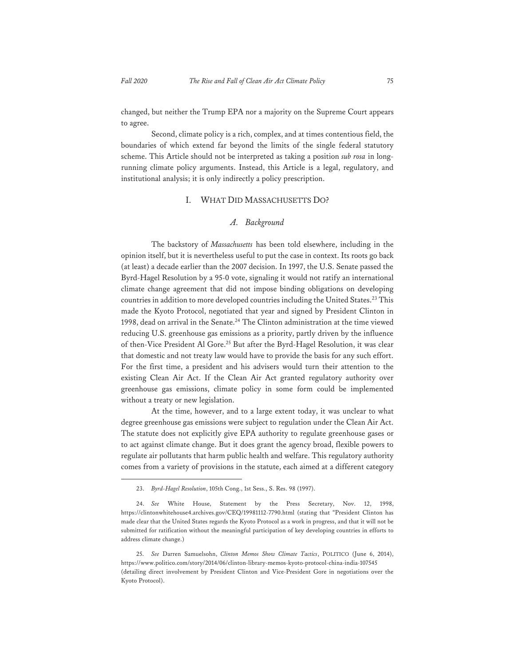changed, but neither the Trump EPA nor a majority on the Supreme Court appears to agree.

Second, climate policy is a rich, complex, and at times contentious field, the boundaries of which extend far beyond the limits of the single federal statutory scheme. This Article should not be interpreted as taking a position *sub rosa* in longrunning climate policy arguments. Instead, this Article is a legal, regulatory, and institutional analysis; it is only indirectly a policy prescription.

#### I. WHAT DID MASSACHUSETTS DO?

#### *A. Background*

The backstory of *Massachusetts* has been told elsewhere, including in the opinion itself, but it is nevertheless useful to put the case in context. Its roots go back (at least) a decade earlier than the 2007 decision. In 1997, the U.S. Senate passed the Byrd-Hagel Resolution by a 95-0 vote, signaling it would not ratify an international climate change agreement that did not impose binding obligations on developing countries in addition to more developed countries including the United States.<sup>23</sup> This made the Kyoto Protocol, negotiated that year and signed by President Clinton in 1998, dead on arrival in the Senate.<sup>24</sup> The Clinton administration at the time viewed reducing U.S. greenhouse gas emissions as a priority, partly driven by the influence of then-Vice President Al Gore.<sup>25</sup> But after the Byrd-Hagel Resolution, it was clear that domestic and not treaty law would have to provide the basis for any such effort. For the first time, a president and his advisers would turn their attention to the existing Clean Air Act. If the Clean Air Act granted regulatory authority over greenhouse gas emissions, climate policy in some form could be implemented without a treaty or new legislation.

At the time, however, and to a large extent today, it was unclear to what degree greenhouse gas emissions were subject to regulation under the Clean Air Act. The statute does not explicitly give EPA authority to regulate greenhouse gases or to act against climate change. But it does grant the agency broad, flexible powers to regulate air pollutants that harm public health and welfare. This regulatory authority comes from a variety of provisions in the statute, each aimed at a different category

<sup>23.</sup> *Byrd-Hagel Resolution*, 105th Cong., 1st Sess., S. Res. 98 (1997).

<sup>24.</sup> *See* White House, Statement by the Press Secretary, Nov. 12, 1998, https://clintonwhitehouse4.archives.gov/CEQ/19981112-7790.html (stating that "President Clinton has made clear that the United States regards the Kyoto Protocol as a work in progress, and that it will not be submitted for ratification without the meaningful participation of key developing countries in efforts to address climate change.)

<sup>25.</sup> *See* Darren Samuelsohn, *Clinton Memos Show Climate Tactics*, POLITICO (June 6, 2014), https://www.politico.com/story/2014/06/clinton-library-memos-kyoto-protocol-china-india-107545 (detailing direct involvement by President Clinton and Vice-President Gore in negotiations over the Kyoto Protocol).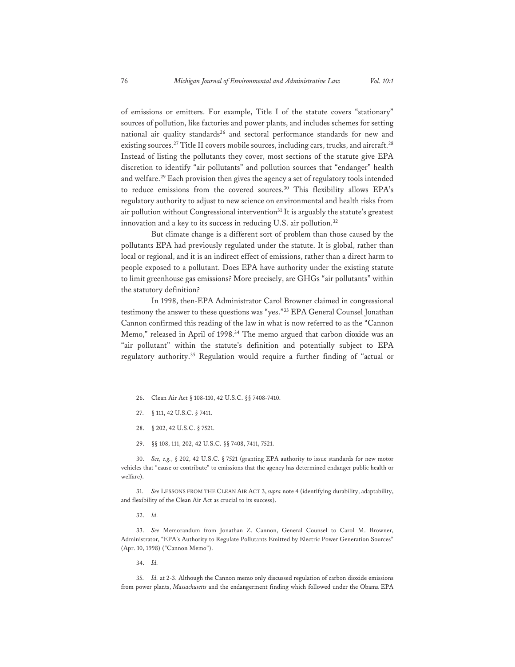of emissions or emitters. For example, Title I of the statute covers "stationary" sources of pollution, like factories and power plants, and includes schemes for setting national air quality standards<sup>26</sup> and sectoral performance standards for new and existing sources.<sup>27</sup> Title II covers mobile sources, including cars, trucks, and aircraft.<sup>28</sup> Instead of listing the pollutants they cover, most sections of the statute give EPA discretion to identify "air pollutants" and pollution sources that "endanger" health and welfare.29 Each provision then gives the agency a set of regulatory tools intended to reduce emissions from the covered sources.30 This flexibility allows EPA's regulatory authority to adjust to new science on environmental and health risks from air pollution without Congressional intervention<sup>31</sup> It is arguably the statute's greatest innovation and a key to its success in reducing U.S. air pollution.<sup>32</sup>

But climate change is a different sort of problem than those caused by the pollutants EPA had previously regulated under the statute. It is global, rather than local or regional, and it is an indirect effect of emissions, rather than a direct harm to people exposed to a pollutant. Does EPA have authority under the existing statute to limit greenhouse gas emissions? More precisely, are GHGs "air pollutants" within the statutory definition?

In 1998, then-EPA Administrator Carol Browner claimed in congressional testimony the answer to these questions was "yes."33 EPA General Counsel Jonathan Cannon confirmed this reading of the law in what is now referred to as the "Cannon Memo," released in April of 1998.34 The memo argued that carbon dioxide was an "air pollutant" within the statute's definition and potentially subject to EPA regulatory authority.35 Regulation would require a further finding of "actual or

- 27. § 111, 42 U.S.C. § 7411.
- 28. § 202, 42 U.S.C. § 7521.
- 29. §§ 108, 111, 202, 42 U.S.C. §§ 7408, 7411, 7521.

30. *See, e.g.*, § 202, 42 U.S.C. § 7521 (granting EPA authority to issue standards for new motor vehicles that "cause or contribute" to emissions that the agency has determined endanger public health or welfare).

31. *See* LESSONS FROM THE CLEAN AIR ACT 3, *supra* note 4 (identifying durability, adaptability, and flexibility of the Clean Air Act as crucial to its success).

32. *Id.*

33. *See* Memorandum from Jonathan Z. Cannon, General Counsel to Carol M. Browner, Administrator, "EPA's Authority to Regulate Pollutants Emitted by Electric Power Generation Sources" (Apr. 10, 1998) ("Cannon Memo").

34. *Id.*

35. *Id.* at 2-3. Although the Cannon memo only discussed regulation of carbon dioxide emissions from power plants, *Massachusetts* and the endangerment finding which followed under the Obama EPA

<sup>26.</sup> Clean Air Act § 108-110, 42 U.S.C. §§ 7408-7410.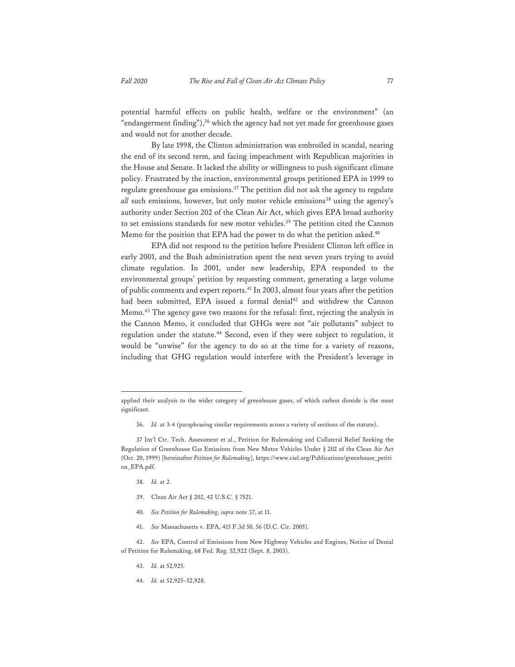potential harmful effects on public health, welfare or the environment" (an "endangerment finding"),<sup>36</sup> which the agency had not yet made for greenhouse gases and would not for another decade.

By late 1998, the Clinton administration was embroiled in scandal, nearing the end of its second term, and facing impeachment with Republican majorities in the House and Senate. It lacked the ability or willingness to push significant climate policy. Frustrated by the inaction, environmental groups petitioned EPA in 1999 to regulate greenhouse gas emissions.<sup>37</sup> The petition did not ask the agency to regulate *all* such emissions, however, but only motor vehicle emissions<sup>38</sup> using the agency's authority under Section 202 of the Clean Air Act, which gives EPA broad authority to set emissions standards for new motor vehicles.<sup>39</sup> The petition cited the Cannon Memo for the position that EPA had the power to do what the petition asked.<sup>40</sup>

EPA did not respond to the petition before President Clinton left office in early 2001, and the Bush administration spent the next seven years trying to avoid climate regulation. In 2001, under new leadership, EPA responded to the environmental groups' petition by requesting comment, generating a large volume of public comments and expert reports.41 In 2003, almost four years after the petition had been submitted, EPA issued a formal denial<sup>42</sup> and withdrew the Cannon Memo.43 The agency gave two reasons for the refusal: first, rejecting the analysis in the Cannon Memo, it concluded that GHGs were not "air pollutants" subject to regulation under the statute.44 Second, even if they were subject to regulation, it would be "unwise" for the agency to do so at the time for a variety of reasons, including that GHG regulation would interfere with the President's leverage in

- 38. *Id.* at 2.
- 39. Clean Air Act § 202, 42 U.S.C. § 7521.
- 40. *See Petition for Rulemaking*, *supra* note 37, at 11.
- 41. *See* Massachusetts v. EPA, 415 F.3d 50, 56 (D.C. Cir. 2005).

- 43. *Id.* at 52,925.
- 44. *Id.* at 52,925–52,928.

applied their analysis to the wider category of greenhouse gases, of which carbon dioxide is the most significant.

<sup>36.</sup> *Id.* at 3-4 (paraphrasing similar requirements across a variety of sections of the statute).

<sup>37</sup> Int'l Ctr. Tech. Assessment et al., Petition for Rulemaking and Collateral Relief Seeking the Regulation of Greenhouse Gas Emissions from New Motor Vehicles Under § 202 of the Clean Air Act (Oct. 20, 1999) [hereinafter *Petition for Rulemaking*], https://www.ciel.org/Publications/greenhouse\_petiti on\_EPA.pdf.

<sup>42.</sup> *See* EPA, Control of Emissions from New Highway Vehicles and Engines, Notice of Denial of Petition for Rulemaking, 68 Fed. Reg. 52,922 (Sept. 8, 2003).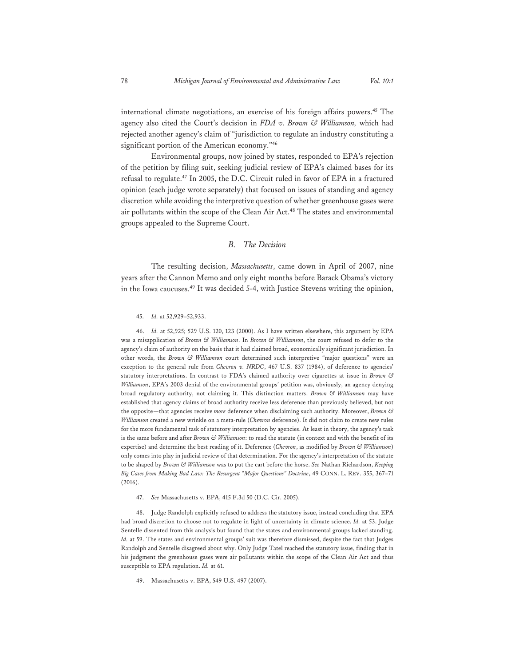international climate negotiations, an exercise of his foreign affairs powers.<sup>45</sup> The agency also cited the Court's decision in *FDA v. Brown & Williamson,* which had rejected another agency's claim of "jurisdiction to regulate an industry constituting a significant portion of the American economy."<sup>46</sup>

Environmental groups, now joined by states, responded to EPA's rejection of the petition by filing suit, seeking judicial review of EPA's claimed bases for its refusal to regulate.<sup>47</sup> In 2005, the D.C. Circuit ruled in favor of EPA in a fractured opinion (each judge wrote separately) that focused on issues of standing and agency discretion while avoiding the interpretive question of whether greenhouse gases were air pollutants within the scope of the Clean Air Act.<sup>48</sup> The states and environmental groups appealed to the Supreme Court.

#### *B. The Decision*

The resulting decision, *Massachusetts*, came down in April of 2007, nine years after the Cannon Memo and only eight months before Barack Obama's victory in the Iowa caucuses.49 It was decided 5-4, with Justice Stevens writing the opinion,

47. *See* Massachusetts v. EPA, 415 F.3d 50 (D.C. Cir. 2005).

48. Judge Randolph explicitly refused to address the statutory issue, instead concluding that EPA had broad discretion to choose not to regulate in light of uncertainty in climate science. *Id.* at 53. Judge Sentelle dissented from this analysis but found that the states and environmental groups lacked standing. *Id.* at 59. The states and environmental groups' suit was therefore dismissed, despite the fact that Judges Randolph and Sentelle disagreed about why. Only Judge Tatel reached the statutory issue, finding that in his judgment the greenhouse gases were air pollutants within the scope of the Clean Air Act and thus susceptible to EPA regulation. *Id.* at 61.

49. Massachusetts v. EPA, 549 U.S. 497 (2007).

<sup>45.</sup> *Id.* at 52,929–52,933.

<sup>46.</sup> *Id.* at 52,925; 529 U.S. 120, 123 (2000). As I have written elsewhere, this argument by EPA was a misapplication of *Brown & Williamson*. In *Brown & Williamson*, the court refused to defer to the agency's claim of authority on the basis that it had claimed broad, economically significant jurisdiction. In other words, the *Brown & Williamson* court determined such interpretive "major questions" were an exception to the general rule from *Chevron v. NRDC*, 467 U.S. 837 (1984), of deference to agencies' statutory interpretations. In contrast to FDA's claimed authority over cigarettes at issue in *Brown & Williamson*, EPA's 2003 denial of the environmental groups' petition was, obviously, an agency denying broad regulatory authority, not claiming it. This distinction matters. *Brown & Williamson* may have established that agency claims of broad authority receive less deference than previously believed, but not the opposite—that agencies receive *more* deference when disclaiming such authority. Moreover, *Brown & Williamson* created a new wrinkle on a meta-rule (*Chevron* deference). It did not claim to create new rules for the more fundamental task of statutory interpretation by agencies. At least in theory, the agency's task is the same before and after *Brown & Williamson*: to read the statute (in context and with the benefit of its expertise) and determine the best reading of it. Deference (*Chevron*, as modified by *Brown & Williamson*) only comes into play in judicial review of that determination. For the agency's interpretation of the statute to be shaped by *Brown & Williamson* was to put the cart before the horse. *See* Nathan Richardson, *Keeping Big Cases from Making Bad Law: The Resurgent "Major Questions" Doctrine*, 49 CONN. L. REV. 355, 367–71 (2016).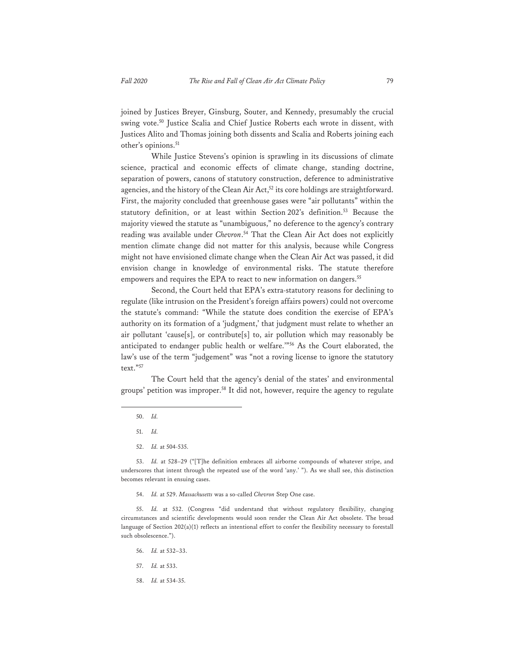joined by Justices Breyer, Ginsburg, Souter, and Kennedy, presumably the crucial swing vote.50 Justice Scalia and Chief Justice Roberts each wrote in dissent, with Justices Alito and Thomas joining both dissents and Scalia and Roberts joining each other's opinions.<sup>51</sup>

While Justice Stevens's opinion is sprawling in its discussions of climate science, practical and economic effects of climate change, standing doctrine, separation of powers, canons of statutory construction, deference to administrative agencies, and the history of the Clean Air Act,<sup>52</sup> its core holdings are straightforward. First, the majority concluded that greenhouse gases were "air pollutants" within the statutory definition, or at least within Section 202's definition.<sup>53</sup> Because the majority viewed the statute as "unambiguous," no deference to the agency's contrary reading was available under *Chevron*. 54 That the Clean Air Act does not explicitly mention climate change did not matter for this analysis, because while Congress might not have envisioned climate change when the Clean Air Act was passed, it did envision change in knowledge of environmental risks. The statute therefore empowers and requires the EPA to react to new information on dangers.<sup>55</sup>

Second, the Court held that EPA's extra-statutory reasons for declining to regulate (like intrusion on the President's foreign affairs powers) could not overcome the statute's command: "While the statute does condition the exercise of EPA's authority on its formation of a 'judgment,' that judgment must relate to whether an air pollutant 'cause[s], or contribute[s] to, air pollution which may reasonably be anticipated to endanger public health or welfare.'"56 As the Court elaborated, the law's use of the term "judgement" was "not a roving license to ignore the statutory text."57

The Court held that the agency's denial of the states' and environmental groups' petition was improper.58 It did not, however, require the agency to regulate

- 56. *Id.* at 532–33.
- 57. *Id.* at 533.
- 58. *Id.* at 534-35.

<sup>50.</sup> *Id.*

<sup>51.</sup> *Id.*

<sup>52.</sup> *Id.* at 504-535.

<sup>53.</sup> *Id.* at 528–29 ("[T]he definition embraces all airborne compounds of whatever stripe, and underscores that intent through the repeated use of the word 'any.' "). As we shall see, this distinction becomes relevant in ensuing cases.

<sup>54.</sup> *Id.* at 529. *Massachusetts* was a so-called *Chevron* Step One case.

<sup>55.</sup> *Id.* at 532. (Congress "did understand that without regulatory flexibility, changing circumstances and scientific developments would soon render the Clean Air Act obsolete. The broad language of Section 202(a)(1) reflects an intentional effort to confer the flexibility necessary to forestall such obsolescence.").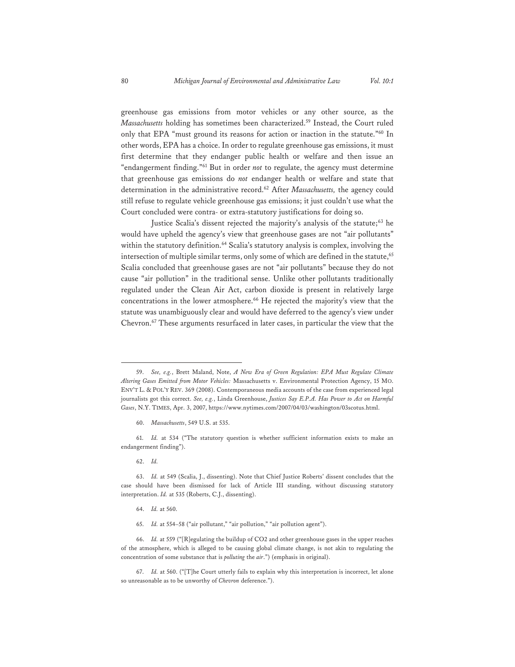greenhouse gas emissions from motor vehicles or any other source, as the *Massachusetts* holding has sometimes been characterized.59 Instead, the Court ruled only that EPA "must ground its reasons for action or inaction in the statute."60 In other words, EPA has a choice. In order to regulate greenhouse gas emissions, it must first determine that they endanger public health or welfare and then issue an "endangerment finding."61 But in order *not* to regulate, the agency must determine that greenhouse gas emissions do *not* endanger health or welfare and state that determination in the administrative record.62 After *Massachusetts,* the agency could still refuse to regulate vehicle greenhouse gas emissions; it just couldn't use what the Court concluded were contra- or extra-statutory justifications for doing so.

Justice Scalia's dissent rejected the majority's analysis of the statute;<sup>63</sup> he would have upheld the agency's view that greenhouse gases are not "air pollutants" within the statutory definition.<sup>64</sup> Scalia's statutory analysis is complex, involving the intersection of multiple similar terms, only some of which are defined in the statute,<sup>65</sup> Scalia concluded that greenhouse gases are not "air pollutants" because they do not cause "air pollution" in the traditional sense. Unlike other pollutants traditionally regulated under the Clean Air Act, carbon dioxide is present in relatively large concentrations in the lower atmosphere.66 He rejected the majority's view that the statute was unambiguously clear and would have deferred to the agency's view under Chevron.67 These arguments resurfaced in later cases, in particular the view that the

61. *Id.* at 534 ("The statutory question is whether sufficient information exists to make an endangerment finding").

62. *Id.*

63. *Id.* at 549 (Scalia, J., dissenting). Note that Chief Justice Roberts' dissent concludes that the case should have been dismissed for lack of Article III standing, without discussing statutory interpretation. *Id.* at 535 (Roberts, C.J., dissenting).

64. *Id.* at 560.

65. *Id.* at 554–58 ("air pollutant," "air pollution," "air pollution agent").

66. *Id.* at 559 ("[R]egulating the buildup of CO2 and other greenhouse gases in the upper reaches of the atmosphere, which is alleged to be causing global climate change, is not akin to regulating the concentration of some substance that is *polluting* the *air*.") (emphasis in original).

67. *Id.* at 560. ("[T]he Court utterly fails to explain why this interpretation is incorrect, let alone so unreasonable as to be unworthy of *Chevron* deference.").

<sup>59.</sup> *See, e.g.*, Brett Maland, Note, *A New Era of Green Regulation: EPA Must Regulate Climate Altering Gases Emitted from Motor Vehicles:* Massachusetts v. Environmental Protection Agency, 15 MO. ENV'T L. & POL'Y REV. 369 (2008). Contemporaneous media accounts of the case from experienced legal journalists got this correct. *See, e.g.*, Linda Greenhouse, *Justices Say E.P.A. Has Power to Act on Harmful Gases*, N.Y. TIMES, Apr. 3, 2007, https://www.nytimes.com/2007/04/03/washington/03scotus.html.

<sup>60.</sup> *Massachusetts*, 549 U.S. at 535.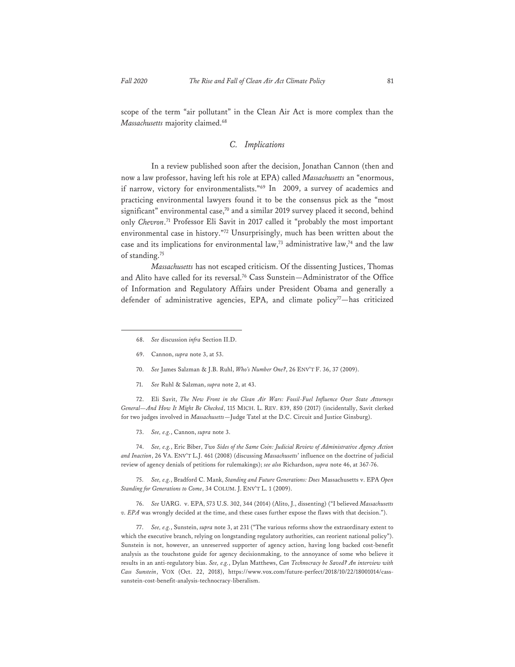scope of the term "air pollutant" in the Clean Air Act is more complex than the *Massachusetts* majority claimed.<sup>68</sup>

#### *C. Implications*

In a review published soon after the decision, Jonathan Cannon (then and now a law professor, having left his role at EPA) called *Massachusetts* an "enormous, if narrow, victory for environmentalists."69 In 2009, a survey of academics and practicing environmental lawyers found it to be the consensus pick as the "most significant" environmental case,<sup>70</sup> and a similar 2019 survey placed it second, behind only *Chevron*. 71 Professor Eli Savit in 2017 called it "probably the most important environmental case in history."72 Unsurprisingly, much has been written about the case and its implications for environmental law,<sup>73</sup> administrative law,<sup>74</sup> and the law of standing.<sup>75</sup>

*Massachusetts* has not escaped criticism. Of the dissenting Justices, Thomas and Alito have called for its reversal.76 Cass Sunstein—Administrator of the Office of Information and Regulatory Affairs under President Obama and generally a defender of administrative agencies, EPA, and climate policy $7$ —has criticized

- 70. *See* James Salzman & J.B. Ruhl, *Who's Number One?*, 26 ENV'T F. 36, 37 (2009).
- 71. *See* Ruhl & Salzman, *supra* note 2, at 43.

72. Eli Savit, *The New Front in the Clean Air Wars: Fossil-Fuel Influence Over State Attorneys General—And How It Might Be Checked*, 115 MICH. L. REV. 839, 850 (2017) (incidentally, Savit clerked for two judges involved in *Massachusetts*—Judge Tatel at the D.C. Circuit and Justice Ginsburg).

73. *See, e.g.*, Cannon, *supra* note 3.

74. *See, e.g.*, Eric Biber, *Two Sides of the Same Coin: Judicial Review of Administrative Agency Action and Inaction*, 26 VA. ENV'T L.J. 461 (2008) (discussing *Massachusetts*' influence on the doctrine of judicial review of agency denials of petitions for rulemakings); *see also* Richardson, *supra* note 46, at 367-76.

75. *See, e.g.*, Bradford C. Mank, *Standing and Future Generations: Does* Massachusetts v. EPA *Open Standing for Generations to Come*, 34 COLUM. J. ENV'T L. 1 (2009).

76. *See* UARG. v. EPA, 573 U.S. 302, 344 (2014) (Alito, J., dissenting) ("I believed *Massachusetts v. EPA* was wrongly decided at the time, and these cases further expose the flaws with that decision.").

77. *See, e.g.*, Sunstein, *supra* note 3, at 231 ("The various reforms show the extraordinary extent to which the executive branch, relying on longstanding regulatory authorities, can reorient national policy"). Sunstein is not, however, an unreserved supporter of agency action, having long backed cost-benefit analysis as the touchstone guide for agency decisionmaking, to the annoyance of some who believe it results in an anti-regulatory bias. *See, e.g.*, Dylan Matthews, *Can Technocracy be Saved? An interview with Cass Sunstein*, VOX (Oct. 22, 2018), https://www.vox.com/future-perfect/2018/10/22/18001014/casssunstein-cost-benefit-analysis-technocracy-liberalism.

<sup>68.</sup> *See* discussion *infra* Section II.D.

<sup>69.</sup> Cannon, *supra* note 3, at 53.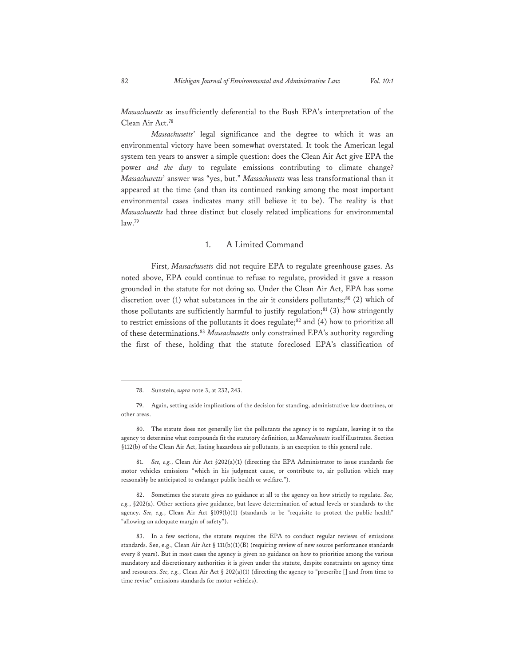*Massachusetts* as insufficiently deferential to the Bush EPA's interpretation of the Clean Air Act.78

*Massachusetts*' legal significance and the degree to which it was an environmental victory have been somewhat overstated. It took the American legal system ten years to answer a simple question: does the Clean Air Act give EPA the power *and the duty* to regulate emissions contributing to climate change? *Massachusetts*' answer was "yes, but." *Massachusetts* was less transformational than it appeared at the time (and than its continued ranking among the most important environmental cases indicates many still believe it to be). The reality is that *Massachusetts* had three distinct but closely related implications for environmental  $law.<sup>79</sup>$ 

#### 1. A Limited Command

First, *Massachusetts* did not require EPA to regulate greenhouse gases. As noted above, EPA could continue to refuse to regulate, provided it gave a reason grounded in the statute for not doing so. Under the Clean Air Act, EPA has some discretion over (1) what substances in the air it considers pollutants; $80$  (2) which of those pollutants are sufficiently harmful to justify regulation; $81$  (3) how stringently to restrict emissions of the pollutants it does regulate; $82$  and (4) how to prioritize all of these determinations.83 *Massachusetts* only constrained EPA's authority regarding the first of these, holding that the statute foreclosed EPA's classification of

80. The statute does not generally list the pollutants the agency is to regulate, leaving it to the agency to determine what compounds fit the statutory definition, as *Massachusetts* itself illustrates. Section §112(b) of the Clean Air Act, listing hazardous air pollutants, is an exception to this general rule.

81. *See, e.g.*, Clean Air Act §202(a)(1) (directing the EPA Administrator to issue standards for motor vehicles emissions "which in his judgment cause, or contribute to, air pollution which may reasonably be anticipated to endanger public health or welfare.").

82. Sometimes the statute gives no guidance at all to the agency on how strictly to regulate. *See, e.g.*, §202(a). Other sections give guidance, but leave determination of actual levels or standards to the agency. See, e.g., Clean Air Act §109(b)(1) (standards to be "requisite to protect the public health" "allowing an adequate margin of safety").

83. In a few sections, the statute requires the EPA to conduct regular reviews of emissions standards. See, e.g., Clean Air Act § 111(b)(1)(B) (requiring review of new source performance standards every 8 years). But in most cases the agency is given no guidance on how to prioritize among the various mandatory and discretionary authorities it is given under the statute, despite constraints on agency time and resources. *See, e.g.*, Clean Air Act § 202(a)(1) (directing the agency to "prescribe [] and from time to time revise" emissions standards for motor vehicles).

<sup>78.</sup> Sunstein, *supra* note 3, at 232, 243.

<sup>79.</sup> Again, setting aside implications of the decision for standing, administrative law doctrines, or other areas.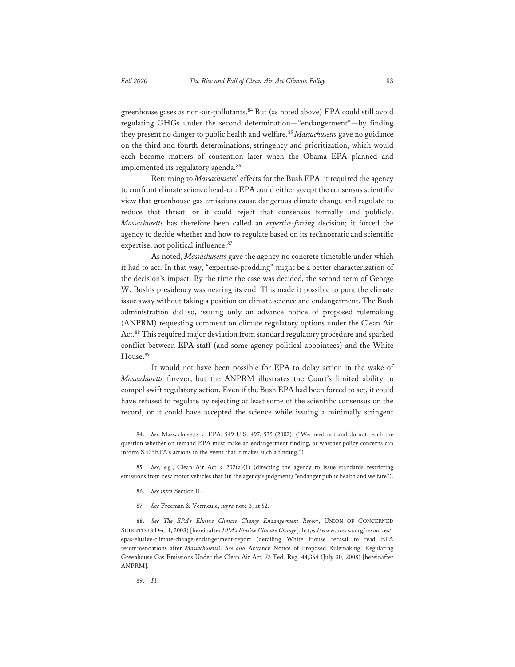greenhouse gases as non-air-pollutants.84 But (as noted above) EPA could still avoid regulating GHGs under the second determination—"endangerment"—by finding they present no danger to public health and welfare.<sup>85</sup> Massachusetts gave no guidance on the third and fourth determinations, stringency and prioritization, which would each become matters of contention later when the Obama EPA planned and implemented its regulatory agenda.<sup>86</sup>

Returning to *Massachusetts*' effects for the Bush EPA, it required the agency to confront climate science head-on: EPA could either accept the consensus scientific view that greenhouse gas emissions cause dangerous climate change and regulate to reduce that threat, or it could reject that consensus formally and publicly. *Massachusetts* has therefore been called an *expertise-forcing* decision; it forced the agency to decide whether and how to regulate based on its technocratic and scientific expertise, not political influence.<sup>87</sup>

As noted, *Massachusetts* gave the agency no concrete timetable under which it had to act. In that way, "expertise-prodding" might be a better characterization of the decision's impact. By the time the case was decided, the second term of George W. Bush's presidency was nearing its end. This made it possible to punt the climate issue away without taking a position on climate science and endangerment. The Bush administration did so, issuing only an advance notice of proposed rulemaking (ANPRM) requesting comment on climate regulatory options under the Clean Air Act.88 This required major deviation from standard regulatory procedure and sparked conflict between EPA staff (and some agency political appointees) and the White House.89

It would not have been possible for EPA to delay action in the wake of *Massachusetts* forever, but the ANPRM illustrates the Court's limited ability to compel swift regulatory action. Even if the Bush EPA had been forced to act, it could have refused to regulate by rejecting at least some of the scientific consensus on the record, or it could have accepted the science while issuing a minimally stringent

- 86. *See infra* Section II.
- 87. *See* Freeman & Vermeule, *supra* note 3, at 52.

<sup>84.</sup> *See* Massachusetts v. EPA, 549 U.S. 497, 535 (2007). ("We need not and do not reach the question whether on remand EPA must make an endangerment finding, or whether policy concerns can inform S 535EPA's actions in the event that it makes such a finding.")

<sup>85.</sup> *See, e.g.*, Clean Air Act § 202(a)(1) (directing the agency to issue standards restricting emissions from new motor vehicles that (in the agency's judgment) "endanger public health and welfare").

<sup>88.</sup> *See The EPA's Elusive Climate Change Endangerment Report*, UNION OF CONCERNED SCIENTISTS Dec. 1, 2008) [hereinafter *EPA's Elusive Climate Change*], https://www.ucsusa.org/resources/ epas-elusive-climate-change-endangerment-report (detailing White House refusal to read EPA recommendations after *Massachusetts*). *See also* Advance Notice of Proposed Rulemaking: Regulating Greenhouse Gas Emissions Under the Clean Air Act, 73 Fed. Reg. 44,354 (July 30, 2008) [hereinafter ANPRM].

<sup>89.</sup> *Id.*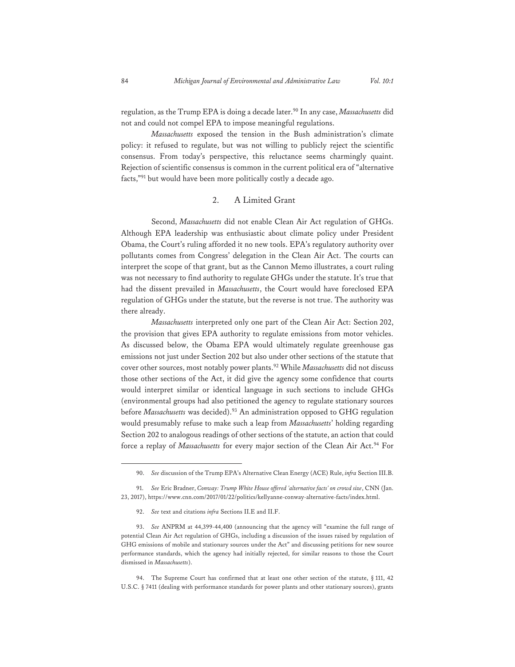regulation, as the Trump EPA is doing a decade later.<sup>90</sup> In any case, *Massachusetts* did not and could not compel EPA to impose meaningful regulations.

*Massachusetts* exposed the tension in the Bush administration's climate policy: it refused to regulate, but was not willing to publicly reject the scientific consensus. From today's perspective, this reluctance seems charmingly quaint. Rejection of scientific consensus is common in the current political era of "alternative facts,"91 but would have been more politically costly a decade ago.

#### 2. A Limited Grant

Second, *Massachusetts* did not enable Clean Air Act regulation of GHGs. Although EPA leadership was enthusiastic about climate policy under President Obama, the Court's ruling afforded it no new tools. EPA's regulatory authority over pollutants comes from Congress' delegation in the Clean Air Act. The courts can interpret the scope of that grant, but as the Cannon Memo illustrates, a court ruling was not necessary to find authority to regulate GHGs under the statute. It's true that had the dissent prevailed in *Massachusetts*, the Court would have foreclosed EPA regulation of GHGs under the statute, but the reverse is not true. The authority was there already.

*Massachusetts* interpreted only one part of the Clean Air Act: Section 202, the provision that gives EPA authority to regulate emissions from motor vehicles. As discussed below, the Obama EPA would ultimately regulate greenhouse gas emissions not just under Section 202 but also under other sections of the statute that cover other sources, most notably power plants.92 While *Massachusetts* did not discuss those other sections of the Act, it did give the agency some confidence that courts would interpret similar or identical language in such sections to include GHGs (environmental groups had also petitioned the agency to regulate stationary sources before *Massachusetts* was decided).93 An administration opposed to GHG regulation would presumably refuse to make such a leap from *Massachusetts*' holding regarding Section 202 to analogous readings of other sections of the statute, an action that could force a replay of *Massachusetts* for every major section of the Clean Air Act.<sup>94</sup> For

92. *See* text and citations *infra* Sections II.E and II.F.

<sup>90.</sup> *See* discussion of the Trump EPA's Alternative Clean Energy (ACE) Rule, *infra* Section III.B.

<sup>91.</sup> *See* Eric Bradner, *Conway: Trump White House offered 'alternative facts' on crowd size*, CNN (Jan. 23, 2017), https://www.cnn.com/2017/01/22/politics/kellyanne-conway-alternative-facts/index.html.

<sup>93.</sup> *See* ANPRM at 44,399-44,400 (announcing that the agency will "examine the full range of potential Clean Air Act regulation of GHGs, including a discussion of the issues raised by regulation of GHG emissions of mobile and stationary sources under the Act" and discussing petitions for new source performance standards, which the agency had initially rejected, for similar reasons to those the Court dismissed in *Massachusetts*).

<sup>94.</sup> The Supreme Court has confirmed that at least one other section of the statute, § 111, 42 U.S.C. § 7411 (dealing with performance standards for power plants and other stationary sources), grants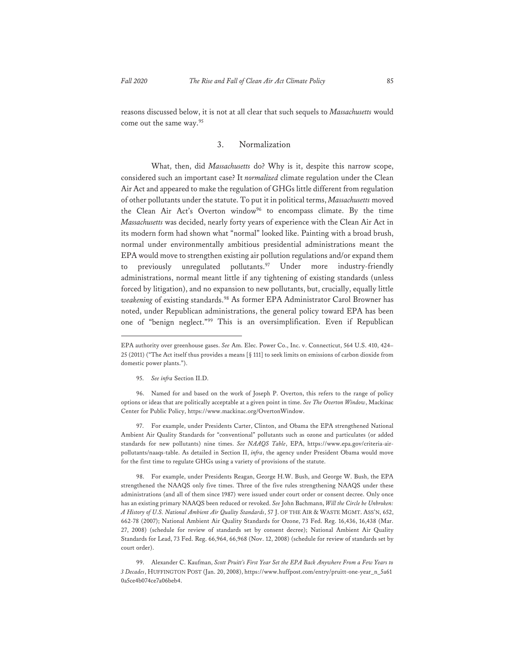reasons discussed below, it is not at all clear that such sequels to *Massachusetts* would come out the same way.95

#### 3. Normalization

What, then, did *Massachusetts* do? Why is it, despite this narrow scope, considered such an important case? It *normalized* climate regulation under the Clean Air Act and appeared to make the regulation of GHGs little different from regulation of other pollutants under the statute. To put it in political terms, *Massachusetts* moved the Clean Air Act's Overton window<sup>96</sup> to encompass climate. By the time *Massachusetts* was decided, nearly forty years of experience with the Clean Air Act in its modern form had shown what "normal" looked like. Painting with a broad brush, normal under environmentally ambitious presidential administrations meant the EPA would move to strengthen existing air pollution regulations and/or expand them to previously unregulated pollutants.<sup>97</sup> Under more industry-friendly administrations, normal meant little if any tightening of existing standards (unless forced by litigation), and no expansion to new pollutants, but, crucially, equally little *weakening* of existing standards.98 As former EPA Administrator Carol Browner has noted, under Republican administrations, the general policy toward EPA has been one of "benign neglect."99 This is an oversimplification. Even if Republican

97. For example, under Presidents Carter, Clinton, and Obama the EPA strengthened National Ambient Air Quality Standards for "conventional" pollutants such as ozone and particulates (or added standards for new pollutants) nine times. *See NAAQS Table*, EPA, https://www.epa.gov/criteria-airpollutants/naaqs-table. As detailed in Section II, *infra*, the agency under President Obama would move for the first time to regulate GHGs using a variety of provisions of the statute.

98. For example, under Presidents Reagan, George H.W. Bush, and George W. Bush, the EPA strengthened the NAAQS only five times. Three of the five rules strengthening NAAQS under these administrations (and all of them since 1987) were issued under court order or consent decree. Only once has an existing primary NAAQS been reduced or revoked. *See* John Bachmann, *Will the Circle be Unbroken: A History of U.S. National Ambient Air Quality Standards*, 57 J. OF THE AIR & WASTE MGMT. ASS'N, 652, 662-78 (2007); National Ambient Air Quality Standards for Ozone, 73 Fed. Reg. 16,436, 16,438 (Mar. 27, 2008) (schedule for review of standards set by consent decree); National Ambient Air Quality Standards for Lead, 73 Fed. Reg. 66,964, 66,968 (Nov. 12, 2008) (schedule for review of standards set by court order).

EPA authority over greenhouse gases. *See* Am. Elec. Power Co., Inc. v. Connecticut, 564 U.S. 410, 424– 25 (2011) ("The Act itself thus provides a means [§ 111] to seek limits on emissions of carbon dioxide from domestic power plants.").

<sup>95.</sup> *See infra* Section II.D.

<sup>96.</sup> Named for and based on the work of Joseph P. Overton, this refers to the range of policy options or ideas that are politically acceptable at a given point in time. *See The Overton Window*, Mackinac Center for Public Policy, https://www.mackinac.org/OvertonWindow.

<sup>99.</sup> Alexander C. Kaufman, *Scott Pruitt's First Year Set the EPA Back Anywhere From a Few Years to 3 Decades*, HUFFINGTON POST (Jan. 20, 2008), https://www.huffpost.com/entry/pruitt-one-year\_n\_5a61 0a5ce4b074ce7a06beb4.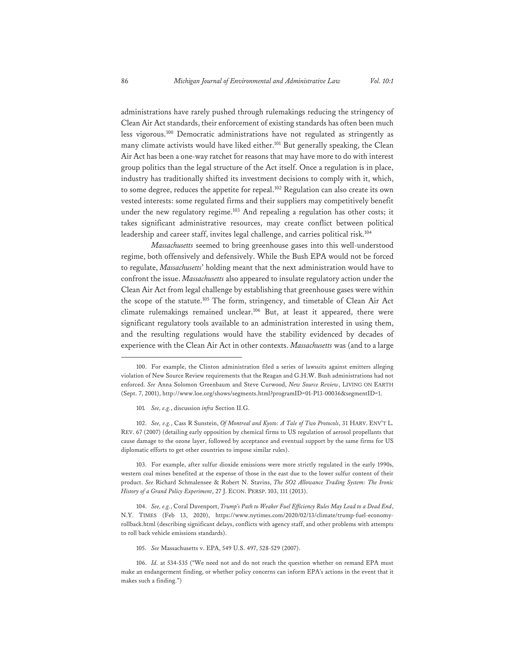administrations have rarely pushed through rulemakings reducing the stringency of Clean Air Act standards, their enforcement of existing standards has often been much less vigorous.100 Democratic administrations have not regulated as stringently as many climate activists would have liked either.<sup>101</sup> But generally speaking, the Clean Air Act has been a one-way ratchet for reasons that may have more to do with interest group politics than the legal structure of the Act itself. Once a regulation is in place, industry has traditionally shifted its investment decisions to comply with it, which, to some degree, reduces the appetite for repeal.<sup>102</sup> Regulation can also create its own vested interests: some regulated firms and their suppliers may competitively benefit under the new regulatory regime.<sup>103</sup> And repealing a regulation has other costs; it takes significant administrative resources, may create conflict between political leadership and career staff, invites legal challenge, and carries political risk.104

*Massachusetts* seemed to bring greenhouse gases into this well-understood regime, both offensively and defensively. While the Bush EPA would not be forced to regulate, *Massachusetts*' holding meant that the next administration would have to confront the issue. *Massachusetts* also appeared to insulate regulatory action under the Clean Air Act from legal challenge by establishing that greenhouse gases were within the scope of the statute.105 The form, stringency, and timetable of Clean Air Act climate rulemakings remained unclear.106 But, at least it appeared, there were significant regulatory tools available to an administration interested in using them, and the resulting regulations would have the stability evidenced by decades of experience with the Clean Air Act in other contexts. *Massachusetts* was (and to a large

101*. See, e.g.*, discussion *infra* Section II.G.

102. *See, e.g.*, Cass R Sunstein, *Of Montreal and Kyoto: A Tale of Two Protocols*, 31 HARV. ENV'T L. REV. 67 (2007) (detailing early opposition by chemical firms to US regulation of aerosol propellants that cause damage to the ozone layer, followed by acceptance and eventual support by the same firms for US diplomatic efforts to get other countries to impose similar rules).

103. For example, after sulfur dioxide emissions were more strictly regulated in the early 1990s, western coal mines benefited at the expense of those in the east due to the lower sulfur content of their product. *See* Richard Schmalensee & Robert N. Stavins, *The SO2 Allowance Trading System: The Ironic History of a Grand Policy Experiment*, 27 J. ECON. PERSP. 103, 111 (2013).

104. *See, e.g.*, Coral Davenport, *Trump's Path to Weaker Fuel Efficiency Rules May Lead to a Dead End*, N.Y. TIMES (Feb 13, 2020), https://www.nytimes.com/2020/02/13/climate/trump-fuel-economyrollback.html (describing significant delays, conflicts with agency staff, and other problems with attempts to roll back vehicle emissions standards).

105. *See* Massachusetts v. EPA, 549 U.S. 497, 528-529 (2007).

<sup>100.</sup> For example, the Clinton administration filed a series of lawsuits against emitters alleging violation of New Source Review requirements that the Reagan and G.H.W. Bush administrations had not enforced. *See* Anna Solomon Greenbaum and Steve Curwood, *New Source Review*, LIVING ON EARTH (Sept. 7, 2001), http://www.loe.org/shows/segments.html?programID=01-P13-00036&segmentID=1.

<sup>106.</sup> *Id.* at 534-535 ("We need not and do not reach the question whether on remand EPA must make an endangerment finding, or whether policy concerns can inform EPA's actions in the event that it makes such a finding.")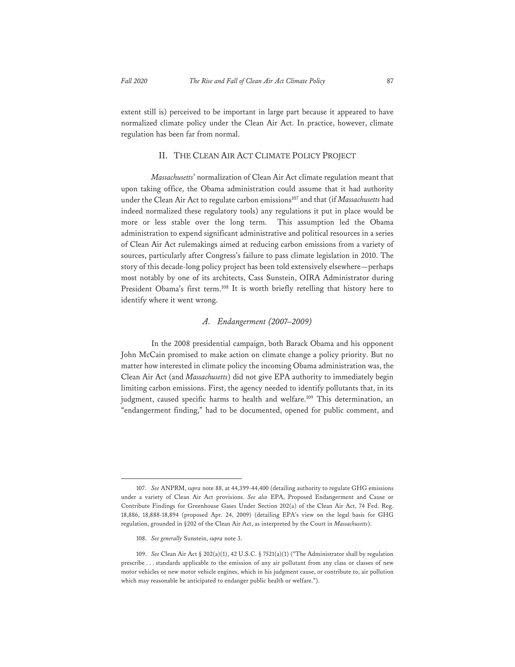extent still is) perceived to be important in large part because it appeared to have normalized climate policy under the Clean Air Act. In practice, however, climate regulation has been far from normal.

#### II. THE CLEAN AIR ACT CLIMATE POLICY PROJECT

*Massachusetts*' normalization of Clean Air Act climate regulation meant that upon taking office, the Obama administration could assume that it had authority under the Clean Air Act to regulate carbon emissions<sup>107</sup> and that (if *Massachusetts* had indeed normalized these regulatory tools) any regulations it put in place would be more or less stable over the long term. This assumption led the Obama administration to expend significant administrative and political resources in a series of Clean Air Act rulemakings aimed at reducing carbon emissions from a variety of sources, particularly after Congress's failure to pass climate legislation in 2010. The story of this decade-long policy project has been told extensively elsewhere—perhaps most notably by one of its architects, Cass Sunstein, OIRA Administrator during President Obama's first term.<sup>108</sup> It is worth briefly retelling that history here to identify where it went wrong.

#### *A. Endangerment (2007–2009)*

In the 2008 presidential campaign, both Barack Obama and his opponent John McCain promised to make action on climate change a policy priority. But no matter how interested in climate policy the incoming Obama administration was, the Clean Air Act (and *Massachusetts*) did not give EPA authority to immediately begin limiting carbon emissions. First, the agency needed to identify pollutants that, in its judgment, caused specific harms to health and welfare.<sup>109</sup> This determination, an "endangerment finding," had to be documented, opened for public comment, and

<sup>107.</sup> *See* ANPRM, *supra* note 88, at 44,399-44,400 (detailing authority to regulate GHG emissions under a variety of Clean Air Act provisions. *See also* EPA, Proposed Endangerment and Cause or Contribute Findings for Greenhouse Gases Under Section 202(a) of the Clean Air Act, 74 Fed. Reg. 18,886, 18,888-18,894 (proposed Apr. 24, 2009) (detailing EPA's view on the legal basis for GHG regulation, grounded in §202 of the Clean Air Act, as interpreted by the Court in *Massachusetts*).

<sup>108.</sup> *See generally* Sunstein, *supra* note 3.

<sup>109.</sup> *See* Clean Air Act § 202(a)(1), 42 U.S.C. § 7521(a)(1) ("The Administrator shall by regulation prescribe . . . standards applicable to the emission of any air pollutant from any class or classes of new motor vehicles or new motor vehicle engines, which in his judgment cause, or contribute to, air pollution which may reasonable be anticipated to endanger public health or welfare.").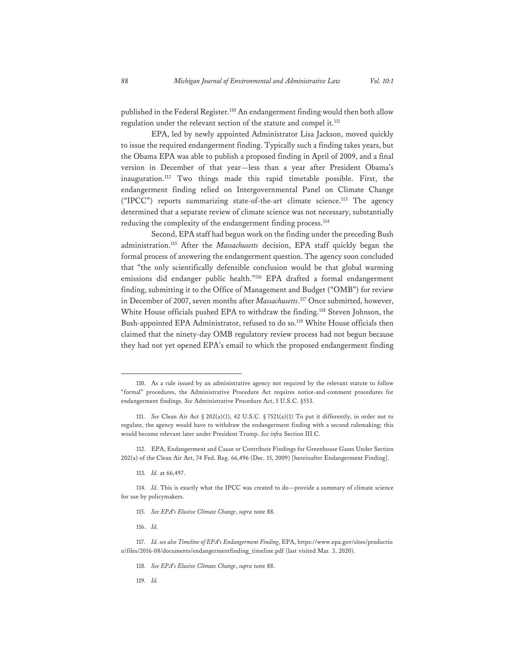published in the Federal Register.<sup>110</sup> An endangerment finding would then both allow regulation under the relevant section of the statute and compel it.<sup>111</sup>

EPA, led by newly appointed Administrator Lisa Jackson, moved quickly to issue the required endangerment finding. Typically such a finding takes years, but the Obama EPA was able to publish a proposed finding in April of 2009, and a final version in December of that year—less than a year after President Obama's inauguration.112 Two things made this rapid timetable possible. First, the endangerment finding relied on Intergovernmental Panel on Climate Change ("IPCC") reports summarizing state-of-the-art climate science.113 The agency determined that a separate review of climate science was not necessary, substantially reducing the complexity of the endangerment finding process.<sup>114</sup>

Second, EPA staff had begun work on the finding under the preceding Bush administration.115 After the *Massachusetts* decision, EPA staff quickly began the formal process of answering the endangerment question. The agency soon concluded that "the only scientifically defensible conclusion would be that global warming emissions did endanger public health."116 EPA drafted a formal endangerment finding, submitting it to the Office of Management and Budget ("OMB") for review in December of 2007, seven months after *Massachusetts*. 117 Once submitted, however, White House officials pushed EPA to withdraw the finding.<sup>118</sup> Steven Johnson, the Bush-appointed EPA Administrator, refused to do so.<sup>119</sup> White House officials then claimed that the ninety-day OMB regulatory review process had not begun because they had not yet opened EPA's email to which the proposed endangerment finding

113. *Id.* at 66,497.

116. *Id.*

<sup>110.</sup> As a rule issued by an administrative agency not required by the relevant statute to follow "formal" procedures, the Administrative Procedure Act requires notice-and-comment procedures for endangerment findings. *See* Administrative Procedure Act, 5 U.S.C. §553.

<sup>111.</sup> *See* Clean Air Act § 202(a)(1), 42 U.S.C. § 7521(a)(1) To put it differently, in order not to regulate, the agency would have to withdraw the endangerment finding with a second rulemaking; this would become relevant later under President Trump. *See infra* Section III.C.

<sup>112.</sup> EPA, Endangerment and Cause or Contribute Findings for Greenhouse Gases Under Section 202(a) of the Clean Air Act, 74 Fed. Reg. 66,496 (Dec. 15, 2009) [hereinafter Endangerment Finding].

<sup>114.</sup> *Id.* This is exactly what the IPCC was created to do—provide a summary of climate science for use by policymakers.

<sup>115.</sup> *See EPA's Elusive Climate Change*, *supra* note 88.

<sup>117.</sup> *Id. see also Timeline of EPA's Endangerment Finding*, EPA, https://www.epa.gov/sites/productio n/files/2016-08/documents/endangermentfinding\_timeline.pdf (last visited Mar. 3, 2020).

<sup>118.</sup> *See EPA's Elusive Climate Change*, *supra* note 88.

<sup>119.</sup> *Id.*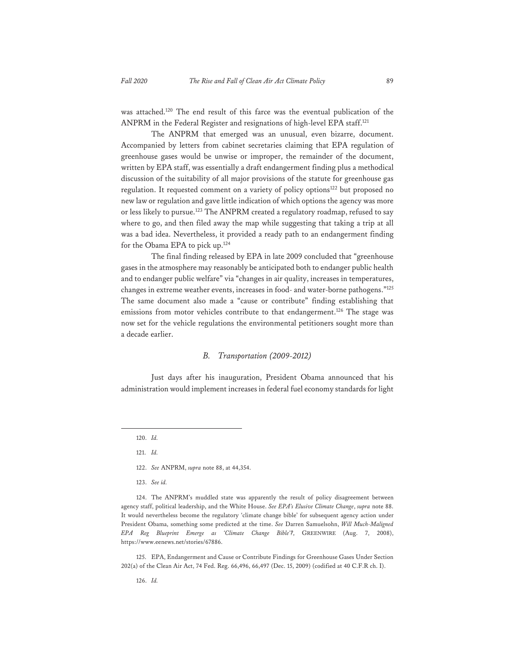was attached.120 The end result of this farce was the eventual publication of the ANPRM in the Federal Register and resignations of high-level EPA staff.<sup>121</sup>

The ANPRM that emerged was an unusual, even bizarre, document. Accompanied by letters from cabinet secretaries claiming that EPA regulation of greenhouse gases would be unwise or improper, the remainder of the document, written by EPA staff, was essentially a draft endangerment finding plus a methodical discussion of the suitability of all major provisions of the statute for greenhouse gas regulation. It requested comment on a variety of policy options<sup>122</sup> but proposed no new law or regulation and gave little indication of which options the agency was more or less likely to pursue.<sup>123</sup> The ANPRM created a regulatory roadmap, refused to say where to go, and then filed away the map while suggesting that taking a trip at all was a bad idea. Nevertheless, it provided a ready path to an endangerment finding for the Obama EPA to pick up.124

The final finding released by EPA in late 2009 concluded that "greenhouse gases in the atmosphere may reasonably be anticipated both to endanger public health and to endanger public welfare" via "changes in air quality, increases in temperatures, changes in extreme weather events, increases in food- and water-borne pathogens."125 The same document also made a "cause or contribute" finding establishing that emissions from motor vehicles contribute to that endangerment.<sup>126</sup> The stage was now set for the vehicle regulations the environmental petitioners sought more than a decade earlier.

#### *B. Transportation (2009-2012)*

Just days after his inauguration, President Obama announced that his administration would implement increases in federal fuel economy standards for light

121. *Id.*

123. *See id.*

124. The ANPRM's muddled state was apparently the result of policy disagreement between agency staff, political leadership, and the White House. *See EPA's Elusive Climate Change*, *supra* note 88. It would nevertheless become the regulatory 'climate change bible' for subsequent agency action under President Obama, something some predicted at the time. *See* Darren Samuelsohn, *Will Much-Maligned EPA Reg Blueprint Emerge as 'Climate Change Bible'?*, GREENWIRE (Aug. 7, 2008), https://www.eenews.net/stories/67886.

125. EPA, Endangerment and Cause or Contribute Findings for Greenhouse Gases Under Section 202(a) of the Clean Air Act, 74 Fed. Reg. 66,496, 66,497 (Dec. 15, 2009) (codified at 40 C.F.R ch. I).

<sup>120.</sup> *Id.*

<sup>122.</sup> *See* ANPRM, *supra* note 88, at 44,354.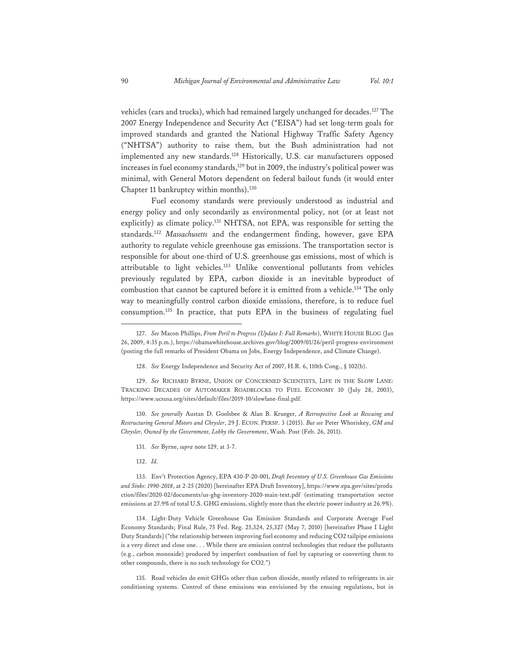vehicles (cars and trucks), which had remained largely unchanged for decades.127 The 2007 Energy Independence and Security Act ("EISA") had set long-term goals for improved standards and granted the National Highway Traffic Safety Agency ("NHTSA") authority to raise them, but the Bush administration had not implemented any new standards.<sup>128</sup> Historically, U.S. car manufacturers opposed increases in fuel economy standards,<sup>129</sup> but in 2009, the industry's political power was minimal, with General Motors dependent on federal bailout funds (it would enter Chapter 11 bankruptcy within months).<sup>130</sup>

Fuel economy standards were previously understood as industrial and energy policy and only secondarily as environmental policy, not (or at least not explicitly) as climate policy.<sup>131</sup> NHTSA, not EPA, was responsible for setting the standards.132 *Massachusetts* and the endangerment finding, however, gave EPA authority to regulate vehicle greenhouse gas emissions. The transportation sector is responsible for about one-third of U.S. greenhouse gas emissions, most of which is attributable to light vehicles.<sup>133</sup> Unlike conventional pollutants from vehicles previously regulated by EPA, carbon dioxide is an inevitable byproduct of combustion that cannot be captured before it is emitted from a vehicle.<sup>134</sup> The only way to meaningfully control carbon dioxide emissions, therefore, is to reduce fuel consumption.135 In practice, that puts EPA in the business of regulating fuel

130. *See generally* Austan D. Goolsbee & Alan B. Krueger, *A Retrospective Look at Rescuing and Restructuring General Motors and Chrysler*, 29 J. ECON. PERSP. 3 (2015). *But see* Peter Whoriskey, *GM and Chrysler, Owned by the Government, Lobby the Government*, Wash. Post (Feb. 26, 2011).

134. Light-Duty Vehicle Greenhouse Gas Emission Standards and Corporate Average Fuel Economy Standards; Final Rule, 75 Fed. Reg. 25,324, 25,327 (May 7, 2010) [hereinafter Phase I Light Duty Standards] ("the relationship between improving fuel economy and reducing CO2 tailpipe emissions is a very direct and close one. . . While there are emission control technologies that reduce the pollutants (e.g., carbon monoxide) produced by imperfect combustion of fuel by capturing or converting them to other compounds, there is no such technology for CO2.")

135. Road vehicles do emit GHGs other than carbon dioxide, mostly related to refrigerants in air conditioning systems. Control of these emissions was envisioned by the ensuing regulations, but in

<sup>127.</sup> *See* Macon Phillips, *From Peril to Progress (Update I: Full Remarks*), WHITE HOUSE BLOG (Jan 26, 2009, 4:35 p.m.), https://obamawhitehouse.archives.gov/blog/2009/01/26/peril-progress-environment (posting the full remarks of President Obama on Jobs, Energy Independence, and Climate Change).

<sup>128.</sup> *See* Energy Independence and Security Act of 2007, H.R. 6, 110th Cong., § 102(b).

<sup>129.</sup> *See* RICHARD BYRNE, UNION OF CONCERNED SCIENTISTS, LIFE IN THE SLOW LANE: TRACKING DECADES OF AUTOMAKER ROADBLOCKS TO FUEL ECONOMY 10 (July 28, 2003), https://www.ucsusa.org/sites/default/files/2019-10/slowlane-final.pdf.

<sup>131.</sup> *See* Byrne, *supra* note 129, at 3-7.

<sup>132.</sup> *Id.*

<sup>133.</sup> Env't Protection Agency, EPA 430-P-20-001, *Draft Inventory of U.S. Greenhouse Gas Emissions and Sinks: 1990-2018*, at 2-25 (2020) [hereinafter EPA Draft Inventory], https://www.epa.gov/sites/produ ction/files/2020-02/documents/us-ghg-inventory-2020-main-text.pdf (estimating transportation sector emissions at 27.9% of total U.S. GHG emissions, slightly more than the electric power industry at 26.9%).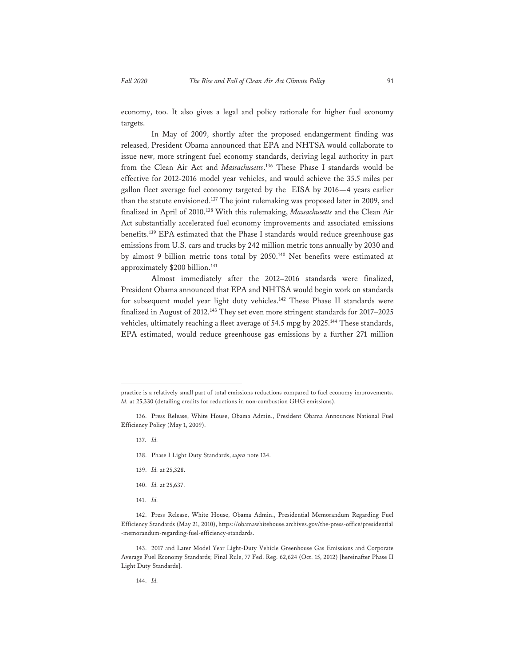economy, too. It also gives a legal and policy rationale for higher fuel economy targets.

In May of 2009, shortly after the proposed endangerment finding was released, President Obama announced that EPA and NHTSA would collaborate to issue new, more stringent fuel economy standards, deriving legal authority in part from the Clean Air Act and *Massachusetts*. 136 These Phase I standards would be effective for 2012-2016 model year vehicles, and would achieve the 35.5 miles per gallon fleet average fuel economy targeted by the EISA by 2016—4 years earlier than the statute envisioned.137 The joint rulemaking was proposed later in 2009, and finalized in April of 2010.138 With this rulemaking, *Massachusetts* and the Clean Air Act substantially accelerated fuel economy improvements and associated emissions benefits.139 EPA estimated that the Phase I standards would reduce greenhouse gas emissions from U.S. cars and trucks by 242 million metric tons annually by 2030 and by almost 9 billion metric tons total by 2050.140 Net benefits were estimated at approximately \$200 billion.<sup>141</sup>

Almost immediately after the 2012–2016 standards were finalized, President Obama announced that EPA and NHTSA would begin work on standards for subsequent model year light duty vehicles.<sup>142</sup> These Phase II standards were finalized in August of 2012.143 They set even more stringent standards for 2017–2025 vehicles, ultimately reaching a fleet average of 54.5 mpg by 2025.<sup>144</sup> These standards, EPA estimated, would reduce greenhouse gas emissions by a further 271 million

- 137. *Id.*
- 138. Phase I Light Duty Standards, *supra* note 134.
- 139. *Id.* at 25,328.
- 140. *Id.* at 25,637.
- 141. *Id.*

practice is a relatively small part of total emissions reductions compared to fuel economy improvements. *Id.* at 25,330 (detailing credits for reductions in non-combustion GHG emissions).

<sup>136.</sup> Press Release, White House, Obama Admin., President Obama Announces National Fuel Efficiency Policy (May 1, 2009).

<sup>142.</sup> Press Release, White House, Obama Admin., Presidential Memorandum Regarding Fuel Efficiency Standards (May 21, 2010), https://obamawhitehouse.archives.gov/the-press-office/presidential -memorandum-regarding-fuel-efficiency-standards.

<sup>143. 2017</sup> and Later Model Year Light-Duty Vehicle Greenhouse Gas Emissions and Corporate Average Fuel Economy Standards; Final Rule, 77 Fed. Reg. 62,624 (Oct. 15, 2012) [hereinafter Phase II Light Duty Standards].

<sup>144.</sup> *Id.*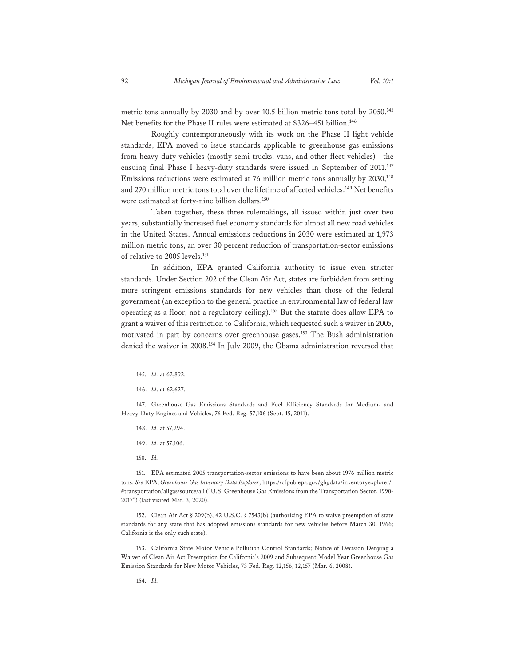metric tons annually by 2030 and by over 10.5 billion metric tons total by 2050.<sup>145</sup> Net benefits for the Phase II rules were estimated at \$326-451 billion.<sup>146</sup>

Roughly contemporaneously with its work on the Phase II light vehicle standards, EPA moved to issue standards applicable to greenhouse gas emissions from heavy-duty vehicles (mostly semi-trucks, vans, and other fleet vehicles)—the ensuing final Phase I heavy-duty standards were issued in September of 2011.<sup>147</sup> Emissions reductions were estimated at 76 million metric tons annually by 2030,<sup>148</sup> and 270 million metric tons total over the lifetime of affected vehicles.<sup>149</sup> Net benefits were estimated at forty-nine billion dollars.150

Taken together, these three rulemakings, all issued within just over two years, substantially increased fuel economy standards for almost all new road vehicles in the United States. Annual emissions reductions in 2030 were estimated at 1,973 million metric tons, an over 30 percent reduction of transportation-sector emissions of relative to 2005 levels.151

In addition, EPA granted California authority to issue even stricter standards. Under Section 202 of the Clean Air Act, states are forbidden from setting more stringent emissions standards for new vehicles than those of the federal government (an exception to the general practice in environmental law of federal law operating as a floor, not a regulatory ceiling).152 But the statute does allow EPA to grant a waiver of this restriction to California, which requested such a waiver in 2005, motivated in part by concerns over greenhouse gases.153 The Bush administration denied the waiver in 2008.154 In July 2009, the Obama administration reversed that

147. Greenhouse Gas Emissions Standards and Fuel Efficiency Standards for Medium- and Heavy-Duty Engines and Vehicles, 76 Fed. Reg. 57,106 (Sept. 15, 2011).

- 148. *Id.* at 57,294.
- 149. *Id.* at 57,106.
- 150. *Id.*

151. EPA estimated 2005 transportation-sector emissions to have been about 1976 million metric tons. *See* EPA, *Greenhouse Gas Inventory Data Explorer*, https://cfpub.epa.gov/ghgdata/inventoryexplorer/ #transportation/allgas/source/all ("U.S. Greenhouse Gas Emissions from the Transportation Sector, 1990- 2017") (last visited Mar. 3, 2020).

152. Clean Air Act § 209(b), 42 U.S.C. § 7543(b) (authorizing EPA to waive preemption of state standards for any state that has adopted emissions standards for new vehicles before March 30, 1966; California is the only such state).

153. California State Motor Vehicle Pollution Control Standards; Notice of Decision Denying a Waiver of Clean Air Act Preemption for California's 2009 and Subsequent Model Year Greenhouse Gas Emission Standards for New Motor Vehicles, 73 Fed. Reg. 12,156, 12,157 (Mar. 6, 2008).

<sup>145.</sup> *Id.* at 62,892.

<sup>146.</sup> *Id*. at 62,627.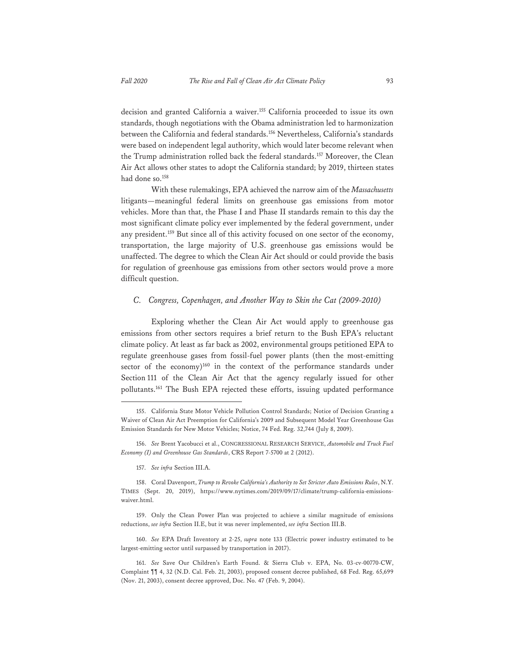decision and granted California a waiver.155 California proceeded to issue its own standards, though negotiations with the Obama administration led to harmonization between the California and federal standards.156 Nevertheless, California's standards were based on independent legal authority, which would later become relevant when the Trump administration rolled back the federal standards.157 Moreover, the Clean Air Act allows other states to adopt the California standard; by 2019, thirteen states had done so.<sup>158</sup>

With these rulemakings, EPA achieved the narrow aim of the *Massachusetts* litigants—meaningful federal limits on greenhouse gas emissions from motor vehicles. More than that, the Phase I and Phase II standards remain to this day the most significant climate policy ever implemented by the federal government, under any president.159 But since all of this activity focused on one sector of the economy, transportation, the large majority of U.S. greenhouse gas emissions would be unaffected. The degree to which the Clean Air Act should or could provide the basis for regulation of greenhouse gas emissions from other sectors would prove a more difficult question.

#### *C. Congress, Copenhagen, and Another Way to Skin the Cat (2009-2010)*

Exploring whether the Clean Air Act would apply to greenhouse gas emissions from other sectors requires a brief return to the Bush EPA's reluctant climate policy. At least as far back as 2002, environmental groups petitioned EPA to regulate greenhouse gases from fossil-fuel power plants (then the most-emitting sector of the economy) $160$  in the context of the performance standards under Section 111 of the Clean Air Act that the agency regularly issued for other pollutants.161 The Bush EPA rejected these efforts, issuing updated performance

157. *See infra* Section III.A.

<sup>155.</sup> California State Motor Vehicle Pollution Control Standards; Notice of Decision Granting a Waiver of Clean Air Act Preemption for California's 2009 and Subsequent Model Year Greenhouse Gas Emission Standards for New Motor Vehicles; Notice, 74 Fed. Reg. 32,744 (July 8, 2009).

<sup>156.</sup> *See* Brent Yacobucci et al., CONGRESSIONAL RESEARCH SERVICE, *Automobile and Truck Fuel Economy (I) and Greenhouse Gas Standards*, CRS Report 7-5700 at 2 (2012).

<sup>158.</sup> Coral Davenport, *Trump to Revoke California's Authority to Set Stricter Auto Emissions Rules*, N.Y. TIMES (Sept. 20, 2019), https://www.nytimes.com/2019/09/17/climate/trump-california-emissionswaiver.html.

<sup>159.</sup> Only the Clean Power Plan was projected to achieve a similar magnitude of emissions reductions, *see infra* Section II.E, but it was never implemented, *see infra* Section III.B.

<sup>160.</sup> *See* EPA Draft Inventory at 2-25, *supra* note 133 (Electric power industry estimated to be largest-emitting sector until surpassed by transportation in 2017).

<sup>161.</sup> *See* Save Our Children's Earth Found. & Sierra Club v. EPA, No. 03-cv-00770-CW, Complaint ¶¶ 4, 32 (N.D. Cal. Feb. 21, 2003), proposed consent decree published, 68 Fed. Reg. 65,699 (Nov. 21, 2003), consent decree approved, Doc. No. 47 (Feb. 9, 2004).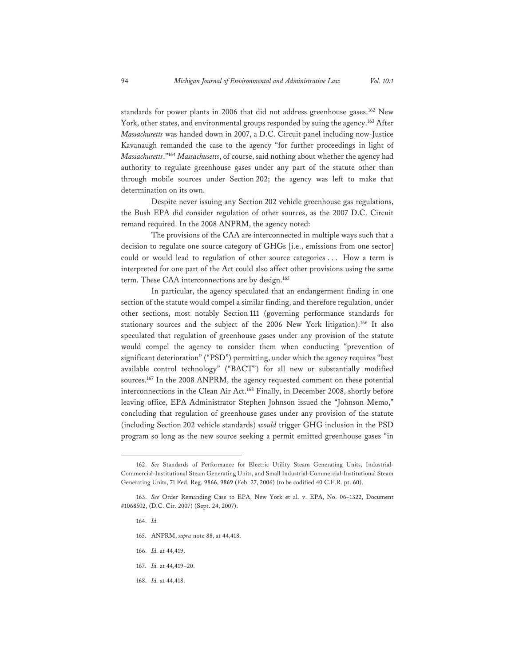standards for power plants in 2006 that did not address greenhouse gases.<sup>162</sup> New York, other states, and environmental groups responded by suing the agency.<sup>163</sup> After *Massachusetts* was handed down in 2007, a D.C. Circuit panel including now-Justice Kavanaugh remanded the case to the agency "for further proceedings in light of *Massachusetts*."164 *Massachusetts*, of course, said nothing about whether the agency had authority to regulate greenhouse gases under any part of the statute other than through mobile sources under Section 202; the agency was left to make that determination on its own.

Despite never issuing any Section 202 vehicle greenhouse gas regulations, the Bush EPA did consider regulation of other sources, as the 2007 D.C. Circuit remand required. In the 2008 ANPRM, the agency noted:

The provisions of the CAA are interconnected in multiple ways such that a decision to regulate one source category of GHGs [i.e., emissions from one sector] could or would lead to regulation of other source categories . . . How a term is interpreted for one part of the Act could also affect other provisions using the same term. These CAA interconnections are by design.<sup>165</sup>

In particular, the agency speculated that an endangerment finding in one section of the statute would compel a similar finding, and therefore regulation, under other sections, most notably Section 111 (governing performance standards for stationary sources and the subject of the 2006 New York litigation).166 It also speculated that regulation of greenhouse gases under any provision of the statute would compel the agency to consider them when conducting "prevention of significant deterioration" ("PSD") permitting, under which the agency requires "best available control technology" ("BACT") for all new or substantially modified sources.<sup>167</sup> In the 2008 ANPRM, the agency requested comment on these potential interconnections in the Clean Air Act.168 Finally, in December 2008, shortly before leaving office, EPA Administrator Stephen Johnson issued the "Johnson Memo," concluding that regulation of greenhouse gases under any provision of the statute (including Section 202 vehicle standards) *would* trigger GHG inclusion in the PSD program so long as the new source seeking a permit emitted greenhouse gases "in

- 166. *Id.* at 44,419.
- 167. *Id.* at 44,419–20.
- 168. *Id.* at 44,418.

<sup>162.</sup> *See* Standards of Performance for Electric Utility Steam Generating Units, Industrial-Commercial-Institutional Steam Generating Units, and Small Industrial-Commercial-Institutional Steam Generating Units, 71 Fed. Reg. 9866, 9869 (Feb. 27, 2006) (to be codified 40 C.F.R. pt. 60).

<sup>163.</sup> *See* Order Remanding Case to EPA, New York et al. v. EPA, No. 06–1322, Document #1068502, (D.C. Cir. 2007) (Sept. 24, 2007).

<sup>164.</sup> *Id.*

<sup>165.</sup> ANPRM, *supra* note 88, at 44,418.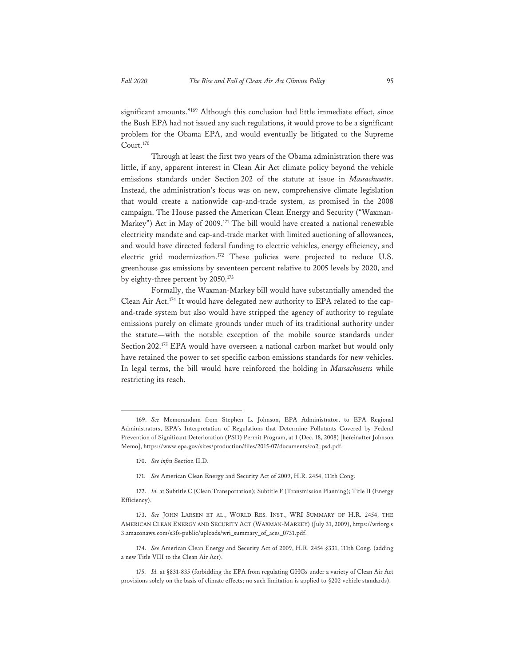significant amounts."169 Although this conclusion had little immediate effect, since the Bush EPA had not issued any such regulations, it would prove to be a significant problem for the Obama EPA, and would eventually be litigated to the Supreme Court.<sup>170</sup>

Through at least the first two years of the Obama administration there was little, if any, apparent interest in Clean Air Act climate policy beyond the vehicle emissions standards under Section 202 of the statute at issue in *Massachusetts*. Instead, the administration's focus was on new, comprehensive climate legislation that would create a nationwide cap-and-trade system, as promised in the 2008 campaign. The House passed the American Clean Energy and Security ("Waxman-Markey") Act in May of 2009.171 The bill would have created a national renewable electricity mandate and cap-and-trade market with limited auctioning of allowances, and would have directed federal funding to electric vehicles, energy efficiency, and electric grid modernization.172 These policies were projected to reduce U.S. greenhouse gas emissions by seventeen percent relative to 2005 levels by 2020, and by eighty-three percent by 2050.173

Formally, the Waxman-Markey bill would have substantially amended the Clean Air Act.174 It would have delegated new authority to EPA related to the capand-trade system but also would have stripped the agency of authority to regulate emissions purely on climate grounds under much of its traditional authority under the statute—with the notable exception of the mobile source standards under Section 202.175 EPA would have overseen a national carbon market but would only have retained the power to set specific carbon emissions standards for new vehicles. In legal terms, the bill would have reinforced the holding in *Massachusetts* while restricting its reach.

<sup>169.</sup> *See* Memorandum from Stephen L. Johnson, EPA Administrator, to EPA Regional Administrators, EPA's Interpretation of Regulations that Determine Pollutants Covered by Federal Prevention of Significant Deterioration (PSD) Permit Program, at 1 (Dec. 18, 2008) [hereinafter Johnson Memo], https://www.epa.gov/sites/production/files/2015-07/documents/co2\_psd.pdf.

<sup>170.</sup> *See infra* Section II.D.

<sup>171.</sup> *See* American Clean Energy and Security Act of 2009, H.R. 2454, 111th Cong.

<sup>172.</sup> *Id.* at Subtitle C (Clean Transportation); Subtitle F (Transmission Planning); Title II (Energy Efficiency).

<sup>173.</sup> *See* JOHN LARSEN ET AL., WORLD RES. INST., WRI SUMMARY OF H.R. 2454, THE AMERICAN CLEAN ENERGY AND SECURITY ACT (WAXMAN-MARKEY) (July 31, 2009), https://wriorg.s 3.amazonaws.com/s3fs-public/uploads/wri\_summary\_of\_aces\_0731.pdf.

<sup>174.</sup> *See* American Clean Energy and Security Act of 2009, H.R. 2454 §331, 111th Cong. (adding a new Title VIII to the Clean Air Act).

<sup>175.</sup> *Id.* at §831-835 (forbidding the EPA from regulating GHGs under a variety of Clean Air Act provisions solely on the basis of climate effects; no such limitation is applied to §202 vehicle standards).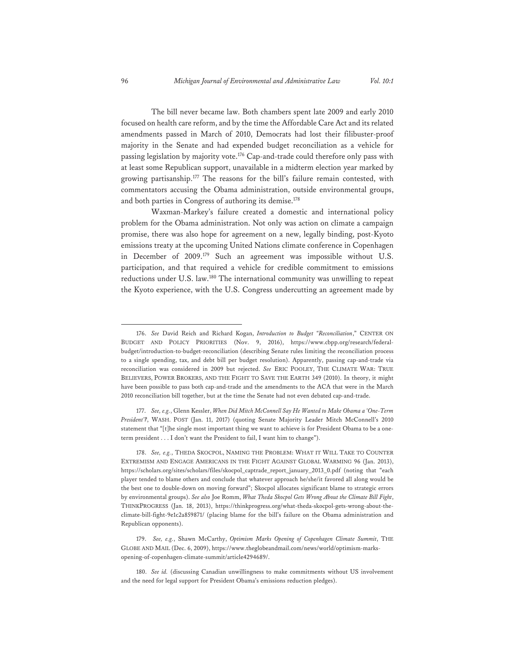The bill never became law. Both chambers spent late 2009 and early 2010 focused on health care reform, and by the time the Affordable Care Act and its related amendments passed in March of 2010, Democrats had lost their filibuster-proof majority in the Senate and had expended budget reconciliation as a vehicle for passing legislation by majority vote.<sup>176</sup> Cap-and-trade could therefore only pass with at least some Republican support, unavailable in a midterm election year marked by growing partisanship.177 The reasons for the bill's failure remain contested, with commentators accusing the Obama administration, outside environmental groups, and both parties in Congress of authoring its demise.<sup>178</sup>

Waxman-Markey's failure created a domestic and international policy problem for the Obama administration. Not only was action on climate a campaign promise, there was also hope for agreement on a new, legally binding, post-Kyoto emissions treaty at the upcoming United Nations climate conference in Copenhagen in December of 2009.179 Such an agreement was impossible without U.S. participation, and that required a vehicle for credible commitment to emissions reductions under U.S. law.180 The international community was unwilling to repeat the Kyoto experience, with the U.S. Congress undercutting an agreement made by

<sup>176.</sup> *See* David Reich and Richard Kogan, *Introduction to Budget "Reconciliation*," CENTER ON BUDGET AND POLICY PRIORITIES (Nov. 9, 2016), https://www.cbpp.org/research/federalbudget/introduction-to-budget-reconciliation (describing Senate rules limiting the reconciliation process to a single spending, tax, and debt bill per budget resolution). Apparently, passing cap-and-trade via reconciliation was considered in 2009 but rejected. *See* ERIC POOLEY, THE CLIMATE WAR: TRUE BELIEVERS, POWER BROKERS, AND THE FIGHT TO SAVE THE EARTH 349 (2010). In theory, it might have been possible to pass both cap-and-trade and the amendments to the ACA that were in the March 2010 reconciliation bill together, but at the time the Senate had not even debated cap-and-trade.

<sup>177.</sup> *See, e.g.*, Glenn Kessler, *When Did Mitch McConnell Say He Wanted to Make Obama a 'One-Term President'?*, WASH. POST (Jan. 11, 2017) (quoting Senate Majority Leader Mitch McConnell's 2010 statement that "[t]he single most important thing we want to achieve is for President Obama to be a oneterm president . . . I don't want the President to fail, I want him to change").

<sup>178.</sup> *See, e.g.*, THEDA SKOCPOL, NAMING THE PROBLEM: WHAT IT WILL TAKE TO COUNTER EXTREMISM AND ENGAGE AMERICANS IN THE FIGHT AGAINST GLOBAL WARMING 96 (Jan. 2013), https://scholars.org/sites/scholars/files/skocpol\_captrade\_report\_january\_2013\_0.pdf (noting that "each player tended to blame others and conclude that whatever approach he/she/it favored all along would be the best one to double-down on moving forward"; Skocpol allocates significant blame to strategic errors by environmental groups). *See also* Joe Romm, *What Theda Skocpol Gets Wrong About the Climate Bill Fight*, THINKPROGRESS (Jan. 18, 2013), https://thinkprogress.org/what-theda-skocpol-gets-wrong-about-theclimate-bill-fight-9e1c2a859871/ (placing blame for the bill's failure on the Obama administration and Republican opponents).

<sup>179.</sup> *See, e.g.*, Shawn McCarthy, *Optimism Marks Opening of Copenhagen Climate Summit*, THE GLOBE AND MAIL (Dec. 6, 2009), https://www.theglobeandmail.com/news/world/optimism-marksopening-of-copenhagen-climate-summit/article4294689/.

<sup>180.</sup> *See id.* (discussing Canadian unwillingness to make commitments without US involvement and the need for legal support for President Obama's emissions reduction pledges).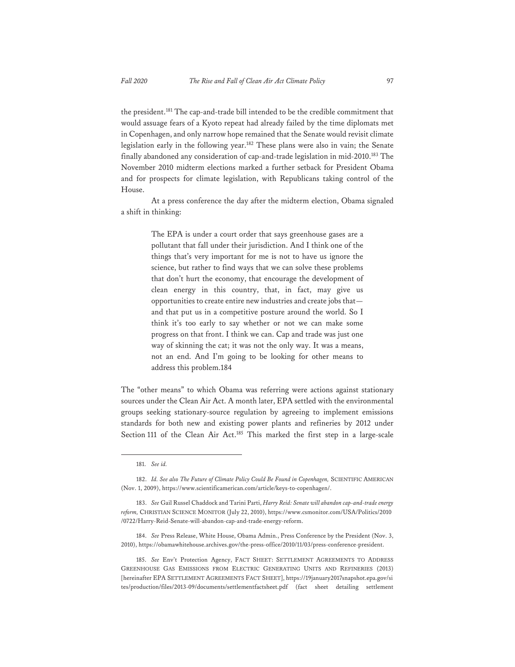the president.181 The cap-and-trade bill intended to be the credible commitment that would assuage fears of a Kyoto repeat had already failed by the time diplomats met in Copenhagen, and only narrow hope remained that the Senate would revisit climate legislation early in the following year.182 These plans were also in vain; the Senate finally abandoned any consideration of cap-and-trade legislation in mid-2010.183 The November 2010 midterm elections marked a further setback for President Obama and for prospects for climate legislation, with Republicans taking control of the House.

At a press conference the day after the midterm election, Obama signaled a shift in thinking:

> The EPA is under a court order that says greenhouse gases are a pollutant that fall under their jurisdiction. And I think one of the things that's very important for me is not to have us ignore the science, but rather to find ways that we can solve these problems that don't hurt the economy, that encourage the development of clean energy in this country, that, in fact, may give us opportunities to create entire new industries and create jobs that and that put us in a competitive posture around the world. So I think it's too early to say whether or not we can make some progress on that front. I think we can. Cap and trade was just one way of skinning the cat; it was not the only way. It was a means, not an end. And I'm going to be looking for other means to address this problem.184

The "other means" to which Obama was referring were actions against stationary sources under the Clean Air Act. A month later, EPA settled with the environmental groups seeking stationary-source regulation by agreeing to implement emissions standards for both new and existing power plants and refineries by 2012 under Section 111 of the Clean Air Act.<sup>185</sup> This marked the first step in a large-scale

184. *See* Press Release, White House, Obama Admin., Press Conference by the President (Nov. 3, 2010), https://obamawhitehouse.archives.gov/the-press-office/2010/11/03/press-conference-president.

185. *See* Env't Protection Agency, FACT SHEET: SETTLEMENT AGREEMENTS TO ADDRESS GREENHOUSE GAS EMISSIONS FROM ELECTRIC GENERATING UNITS AND REFINERIES (2013) [hereinafter EPA SETTLEMENT AGREEMENTS FACT SHEET], https://19january2017snapshot.epa.gov/si tes/production/files/2013-09/documents/settlementfactsheet.pdf (fact sheet detailing settlement

<sup>181.</sup> *See id.*

<sup>182.</sup> *Id. See also The Future of Climate Policy Could Be Found in Copenhagen,* SCIENTIFIC AMERICAN (Nov. 1, 2009), https://www.scientificamerican.com/article/keys-to-copenhagen/.

<sup>183.</sup> *See* Gail Russel Chaddock and Tarini Parti, *Harry Reid: Senate will abandon cap-and-trade energy reform,* CHRISTIAN SCIENCE MONITOR (July 22, 2010), https://www.csmonitor.com/USA/Politics/2010 /0722/Harry-Reid-Senate-will-abandon-cap-and-trade-energy-reform.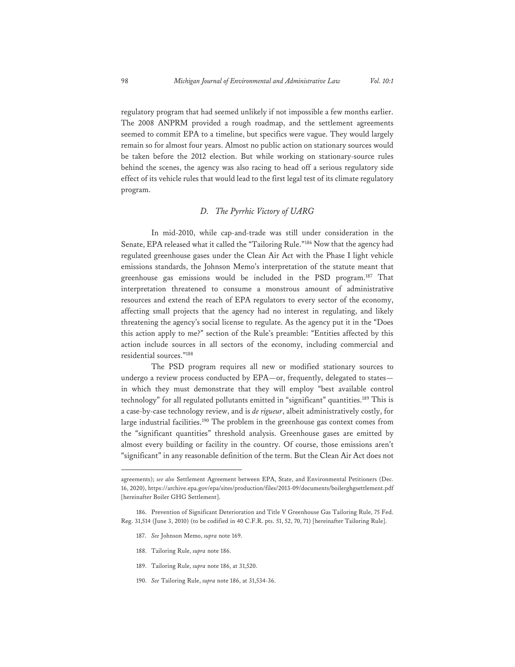regulatory program that had seemed unlikely if not impossible a few months earlier. The 2008 ANPRM provided a rough roadmap, and the settlement agreements seemed to commit EPA to a timeline, but specifics were vague. They would largely remain so for almost four years. Almost no public action on stationary sources would be taken before the 2012 election. But while working on stationary-source rules behind the scenes, the agency was also racing to head off a serious regulatory side effect of its vehicle rules that would lead to the first legal test of its climate regulatory program.

#### *D. The Pyrrhic Victory of UARG*

In mid-2010, while cap-and-trade was still under consideration in the Senate, EPA released what it called the "Tailoring Rule."186 Now that the agency had regulated greenhouse gases under the Clean Air Act with the Phase I light vehicle emissions standards, the Johnson Memo's interpretation of the statute meant that greenhouse gas emissions would be included in the PSD program.187 That interpretation threatened to consume a monstrous amount of administrative resources and extend the reach of EPA regulators to every sector of the economy, affecting small projects that the agency had no interest in regulating, and likely threatening the agency's social license to regulate. As the agency put it in the "Does this action apply to me?" section of the Rule's preamble: "Entities affected by this action include sources in all sectors of the economy, including commercial and residential sources."188

The PSD program requires all new or modified stationary sources to undergo a review process conducted by EPA—or, frequently, delegated to states in which they must demonstrate that they will employ "best available control technology" for all regulated pollutants emitted in "significant" quantities.<sup>189</sup> This is a case-by-case technology review, and is *de rigueur*, albeit administratively costly, for large industrial facilities.<sup>190</sup> The problem in the greenhouse gas context comes from the "significant quantities" threshold analysis. Greenhouse gases are emitted by almost every building or facility in the country. Of course, those emissions aren't "significant" in any reasonable definition of the term. But the Clean Air Act does not

- 187. *See* Johnson Memo, *supra* note 169.
- 188. Tailoring Rule, *supra* note 186.
- 189. Tailoring Rule, *supra* note 186, at 31,520.
- 190. *See* Tailoring Rule, *supra* note 186, at 31,534-36.

agreements); *see also* Settlement Agreement between EPA, State, and Environmental Petitioners (Dec. 16, 2020), https://archive.epa.gov/epa/sites/production/files/2013-09/documents/boilerghgsettlement.pdf [hereinafter Boiler GHG Settlement].

<sup>186.</sup> Prevention of Significant Deterioration and Title V Greenhouse Gas Tailoring Rule, 75 Fed. Reg. 31,514 (June 3, 2010) (to be codified in 40 C.F.R. pts. 51, 52, 70, 71) [hereinafter Tailoring Rule].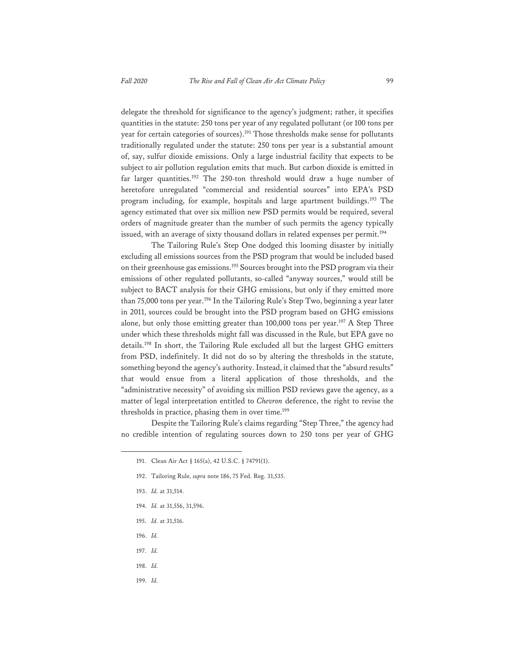delegate the threshold for significance to the agency's judgment; rather, it specifies quantities in the statute: 250 tons per year of any regulated pollutant (or 100 tons per year for certain categories of sources).<sup>191</sup> Those thresholds make sense for pollutants traditionally regulated under the statute: 250 tons per year is a substantial amount of, say, sulfur dioxide emissions. Only a large industrial facility that expects to be subject to air pollution regulation emits that much. But carbon dioxide is emitted in far larger quantities.<sup>192</sup> The 250-ton threshold would draw a huge number of heretofore unregulated "commercial and residential sources" into EPA's PSD program including, for example, hospitals and large apartment buildings.193 The agency estimated that over six million new PSD permits would be required, several orders of magnitude greater than the number of such permits the agency typically issued, with an average of sixty thousand dollars in related expenses per permit.<sup>194</sup>

The Tailoring Rule's Step One dodged this looming disaster by initially excluding all emissions sources from the PSD program that would be included based on their greenhouse gas emissions.<sup>195</sup> Sources brought into the PSD program via their emissions of other regulated pollutants, so-called "anyway sources," would still be subject to BACT analysis for their GHG emissions, but only if they emitted more than 75,000 tons per year.<sup>196</sup> In the Tailoring Rule's Step Two, beginning a year later in 2011, sources could be brought into the PSD program based on GHG emissions alone, but only those emitting greater than 100,000 tons per year.<sup>197</sup> A Step Three under which these thresholds might fall was discussed in the Rule, but EPA gave no details.198 In short, the Tailoring Rule excluded all but the largest GHG emitters from PSD, indefinitely. It did not do so by altering the thresholds in the statute, something beyond the agency's authority. Instead, it claimed that the "absurd results" that would ensue from a literal application of those thresholds, and the "administrative necessity" of avoiding six million PSD reviews gave the agency, as a matter of legal interpretation entitled to *Chevron* deference, the right to revise the thresholds in practice, phasing them in over time.<sup>199</sup>

Despite the Tailoring Rule's claims regarding "Step Three," the agency had no credible intention of regulating sources down to 250 tons per year of GHG

- 193. *Id.* at 31,514.
- 194. *Id.* at 31,556, 31,596.
- 195. *Id.* at 31,516.
- 196. *Id.*
- 197. *Id.*
- 198. *Id.*
- 199. *Id.*

<sup>191.</sup> Clean Air Act § 165(a), 42 U.S.C. § 74791(1).

<sup>192.</sup> Tailoring Rule, *supra* note 186, 75 Fed. Reg. 31,535.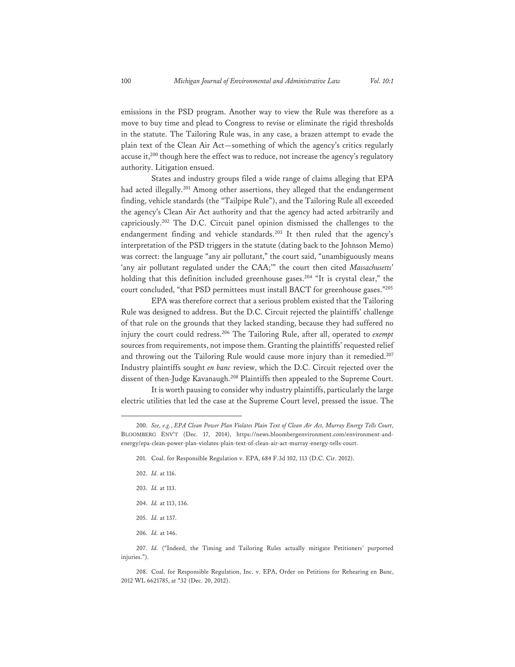emissions in the PSD program. Another way to view the Rule was therefore as a move to buy time and plead to Congress to revise or eliminate the rigid thresholds in the statute. The Tailoring Rule was, in any case, a brazen attempt to evade the plain text of the Clean Air Act—something of which the agency's critics regularly accuse it,<sup>200</sup> though here the effect was to reduce, not increase the agency's regulatory authority. Litigation ensued.

States and industry groups filed a wide range of claims alleging that EPA had acted illegally.<sup>201</sup> Among other assertions, they alleged that the endangerment finding, vehicle standards (the "Tailpipe Rule"), and the Tailoring Rule all exceeded the agency's Clean Air Act authority and that the agency had acted arbitrarily and capriciously.202 The D.C. Circuit panel opinion dismissed the challenges to the endangerment finding and vehicle standards.<sup>203</sup> It then ruled that the agency's interpretation of the PSD triggers in the statute (dating back to the Johnson Memo) was correct: the language "any air pollutant," the court said, "unambiguously means 'any air pollutant regulated under the CAA;'" the court then cited *Massachusetts*' holding that this definition included greenhouse gases.<sup>204</sup> "It is crystal clear," the court concluded, "that PSD permittees must install BACT for greenhouse gases."205

EPA was therefore correct that a serious problem existed that the Tailoring Rule was designed to address. But the D.C. Circuit rejected the plaintiffs' challenge of that rule on the grounds that they lacked standing, because they had suffered no injury the court could redress.206 The Tailoring Rule, after all, operated to *exempt* sources from requirements, not impose them. Granting the plaintiffs' requested relief and throwing out the Tailoring Rule would cause more injury than it remedied.<sup>207</sup> Industry plaintiffs sought *en banc* review, which the D.C. Circuit rejected over the dissent of then-Judge Kavanaugh.<sup>208</sup> Plaintiffs then appealed to the Supreme Court.

It is worth pausing to consider why industry plaintiffs, particularly the large electric utilities that led the case at the Supreme Court level, pressed the issue. The

- 204. *Id.* at 113, 136.
- 205. *Id.* at 137.
- 206. *Id.* at 146.

207. *Id.* ("Indeed, the Timing and Tailoring Rules actually mitigate Petitioners' purported injuries.").

208. Coal. for Responsible Regulation, Inc. v. EPA, Order on Petitions for Rehearing en Banc, 2012 WL 6621785, at \*32 (Dec. 20, 2012).

<sup>200.</sup> *See, e.g.*, *EPA Clean Power Plan Violates Plain Text of Clean Air Act, Murray Energy Tells Court*, BLOOMBERG ENV'T (Dec. 17, 2014), https://news.bloombergenvironment.com/environment-andenergy/epa-clean-power-plan-violates-plain-text-of-clean-air-act-murray-energy-tells-court.

<sup>201.</sup> Coal. for Responsible Regulation v. EPA, 684 F.3d 102, 113 (D.C. Cir. 2012).

<sup>202.</sup> *Id.* at 116.

<sup>203.</sup> *Id.* at 113.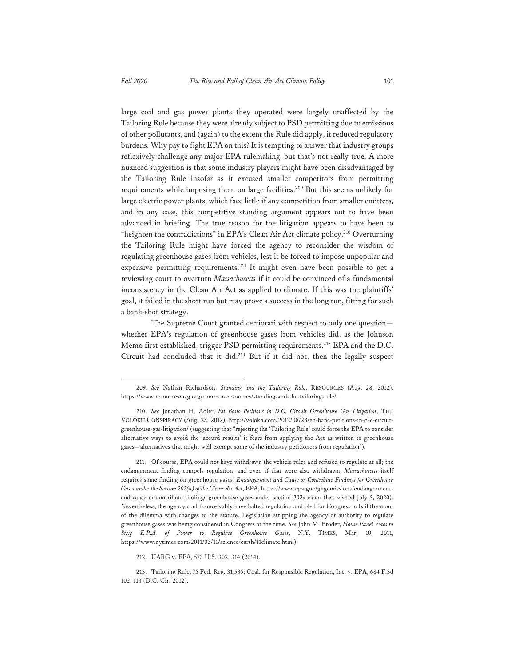large coal and gas power plants they operated were largely unaffected by the Tailoring Rule because they were already subject to PSD permitting due to emissions of other pollutants, and (again) to the extent the Rule did apply, it reduced regulatory burdens. Why pay to fight EPA on this? It is tempting to answer that industry groups reflexively challenge any major EPA rulemaking, but that's not really true. A more nuanced suggestion is that some industry players might have been disadvantaged by the Tailoring Rule insofar as it excused smaller competitors from permitting requirements while imposing them on large facilities.209 But this seems unlikely for large electric power plants, which face little if any competition from smaller emitters, and in any case, this competitive standing argument appears not to have been advanced in briefing. The true reason for the litigation appears to have been to "heighten the contradictions" in EPA's Clean Air Act climate policy.<sup>210</sup> Overturning the Tailoring Rule might have forced the agency to reconsider the wisdom of regulating greenhouse gases from vehicles, lest it be forced to impose unpopular and expensive permitting requirements.<sup>211</sup> It might even have been possible to get a reviewing court to overturn *Massachusetts* if it could be convinced of a fundamental inconsistency in the Clean Air Act as applied to climate. If this was the plaintiffs' goal, it failed in the short run but may prove a success in the long run, fitting for such a bank-shot strategy.

The Supreme Court granted certiorari with respect to only one question whether EPA's regulation of greenhouse gases from vehicles did, as the Johnson Memo first established, trigger PSD permitting requirements.212 EPA and the D.C. Circuit had concluded that it did.213 But if it did not, then the legally suspect

<sup>209.</sup> *See* Nathan Richardson, *Standing and the Tailoring Rule*, RESOURCES (Aug. 28, 2012), https://www.resourcesmag.org/common-resources/standing-and-the-tailoring-rule/.

<sup>210.</sup> *See* Jonathan H. Adler, *En Banc Petitions in D.C. Circuit Greenhouse Gas Litigation*, THE VOLOKH CONSPIRACY (Aug. 28, 2012), http://volokh.com/2012/08/28/en-banc-petitions-in-d-c-circuitgreenhouse-gas-litigation/ (suggesting that "rejecting the 'Tailoring Rule' could force the EPA to consider alternative ways to avoid the 'absurd results' it fears from applying the Act as written to greenhouse gases—alternatives that might well exempt some of the industry petitioners from regulation").

<sup>211.</sup> Of course, EPA could not have withdrawn the vehicle rules and refused to regulate at all; the endangerment finding compels regulation, and even if that were also withdrawn, *Massachusetts* itself requires some finding on greenhouse gases. *Endangerment and Cause or Contribute Findings for Greenhouse Gases under the Section 202(a) of the Clean Air Act*, EPA, https://www.epa.gov/ghgemissions/endangermentand-cause-or-contribute-findings-greenhouse-gases-under-section-202a-clean (last visited July 5, 2020). Nevertheless, the agency could conceivably have halted regulation and pled for Congress to bail them out of the dilemma with changes to the statute. Legislation stripping the agency of authority to regulate greenhouse gases was being considered in Congress at the time. *See* John M. Broder, *House Panel Votes to Strip E.P.A. of Power to Regulate Greenhouse Gases*, N.Y. TIMES, Mar. 10, 2011, https://www.nytimes.com/2011/03/11/science/earth/11climate.html).

<sup>212.</sup> UARG v. EPA, 573 U.S. 302, 314 (2014).

<sup>213.</sup> Tailoring Rule, 75 Fed. Reg. 31,535; Coal. for Responsible Regulation, Inc. v. EPA, 684 F.3d 102, 113 (D.C. Cir. 2012).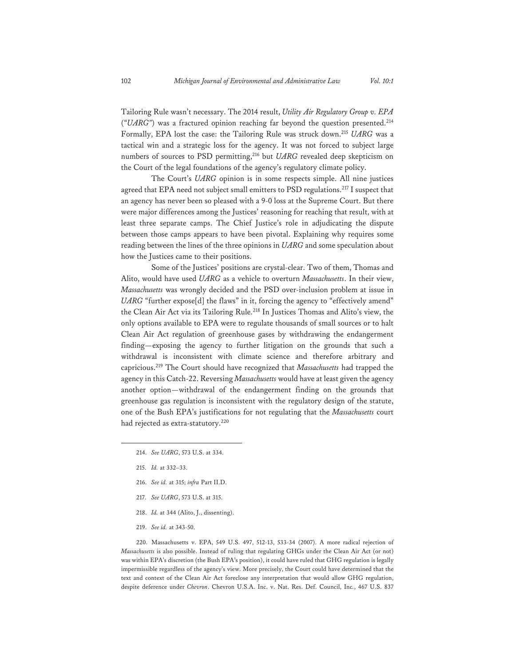Tailoring Rule wasn't necessary. The 2014 result, *Utility Air Regulatory Group v. EPA* ("*UARG"*) was a fractured opinion reaching far beyond the question presented.<sup>214</sup> Formally, EPA lost the case: the Tailoring Rule was struck down.215 *UARG* was a tactical win and a strategic loss for the agency. It was not forced to subject large numbers of sources to PSD permitting,<sup>216</sup> but *UARG* revealed deep skepticism on the Court of the legal foundations of the agency's regulatory climate policy.

The Court's *UARG* opinion is in some respects simple. All nine justices agreed that EPA need not subject small emitters to PSD regulations.<sup>217</sup> I suspect that an agency has never been so pleased with a 9-0 loss at the Supreme Court. But there were major differences among the Justices' reasoning for reaching that result, with at least three separate camps. The Chief Justice's role in adjudicating the dispute between those camps appears to have been pivotal. Explaining why requires some reading between the lines of the three opinions in *UARG* and some speculation about how the Justices came to their positions.

Some of the Justices' positions are crystal-clear. Two of them, Thomas and Alito, would have used *UARG* as a vehicle to overturn *Massachusetts*. In their view, *Massachusetts* was wrongly decided and the PSD over-inclusion problem at issue in *UARG* "further expose[d] the flaws" in it, forcing the agency to "effectively amend" the Clean Air Act via its Tailoring Rule.218 In Justices Thomas and Alito's view, the only options available to EPA were to regulate thousands of small sources or to halt Clean Air Act regulation of greenhouse gases by withdrawing the endangerment finding—exposing the agency to further litigation on the grounds that such a withdrawal is inconsistent with climate science and therefore arbitrary and capricious.219 The Court should have recognized that *Massachusetts* had trapped the agency in this Catch-22. Reversing *Massachusetts* would have at least given the agency another option—withdrawal of the endangerment finding on the grounds that greenhouse gas regulation is inconsistent with the regulatory design of the statute, one of the Bush EPA's justifications for not regulating that the *Massachusetts* court had rejected as extra-statutory.<sup>220</sup>

- 216. *See id.* at 315; *infra* Part II.D.
- 217. *See UARG*, 573 U.S. at 315.
- 218. *Id.* at 344 (Alito, J., dissenting).
- 219. *See id.* at 343-50.

220. Massachusetts v. EPA, 549 U.S. 497, 512-13, 533-34 (2007). A more radical rejection of *Massachusetts* is also possible. Instead of ruling that regulating GHGs under the Clean Air Act (or not) was within EPA's discretion (the Bush EPA's position), it could have ruled that GHG regulation is legally impermissible regardless of the agency's view. More precisely, the Court could have determined that the text and context of the Clean Air Act foreclose any interpretation that would allow GHG regulation, despite deference under *Chevron*. Chevron U.S.A. Inc. v. Nat. Res. Def. Council, Inc*.*, 467 U.S. 837

<sup>214.</sup> *See UARG*, 573 U.S. at 334.

<sup>215.</sup> *Id.* at 332–33.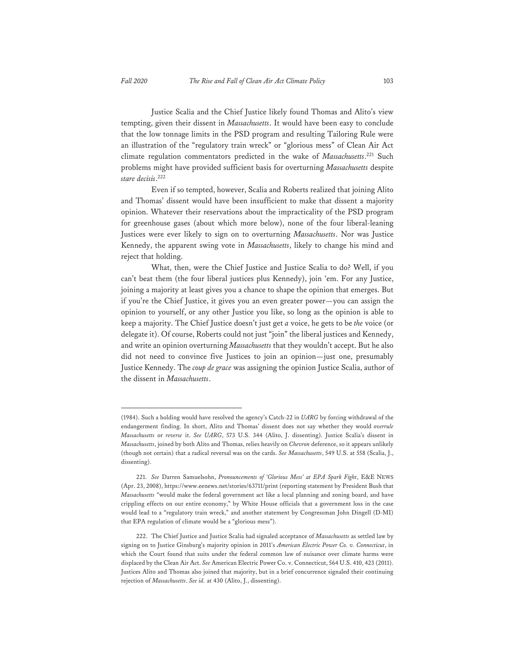Justice Scalia and the Chief Justice likely found Thomas and Alito's view tempting, given their dissent in *Massachusetts*. It would have been easy to conclude that the low tonnage limits in the PSD program and resulting Tailoring Rule were an illustration of the "regulatory train wreck" or "glorious mess" of Clean Air Act climate regulation commentators predicted in the wake of *Massachusetts*. 221 Such problems might have provided sufficient basis for overturning *Massachusetts* despite *stare decisis*. 222

Even if so tempted, however, Scalia and Roberts realized that joining Alito and Thomas' dissent would have been insufficient to make that dissent a majority opinion. Whatever their reservations about the impracticality of the PSD program for greenhouse gases (about which more below), none of the four liberal-leaning Justices were ever likely to sign on to overturning *Massachusetts*. Nor was Justice Kennedy, the apparent swing vote in *Massachusetts*, likely to change his mind and reject that holding.

What, then, were the Chief Justice and Justice Scalia to do? Well, if you can't beat them (the four liberal justices plus Kennedy), join 'em. For any Justice, joining a majority at least gives you a chance to shape the opinion that emerges. But if you're the Chief Justice, it gives you an even greater power—you can assign the opinion to yourself, or any other Justice you like, so long as the opinion is able to keep a majority. The Chief Justice doesn't just get *a* voice, he gets to be *the* voice (or delegate it). Of course, Roberts could not just "join" the liberal justices and Kennedy, and write an opinion overturning *Massachusetts* that they wouldn't accept. But he also did not need to convince five Justices to join an opinion—just one, presumably Justice Kennedy. The *coup de grace* was assigning the opinion Justice Scalia, author of the dissent in *Massachusetts*.

<sup>(1984).</sup> Such a holding would have resolved the agency's Catch-22 in *UARG* by forcing withdrawal of the endangerment finding. In short, Alito and Thomas' dissent does not say whether they would *overrule Massachusetts* or *reverse* it. *See UARG*, 573 U.S. 344 (Alito, J. dissenting). Justice Scalia's dissent in *Massachusetts*, joined by both Alito and Thomas, relies heavily on *Chevron* deference, so it appears unlikely (though not certain) that a radical reversal was on the cards. *See Massachusetts*, 549 U.S. at 558 (Scalia, J., dissenting).

<sup>221.</sup> *See* Darren Samuelsohn, *Pronouncements of 'Glorious Mess' at EPA Spark Fight*, E&E NEWS (Apr. 23, 2008), https://www.eenews.net/stories/63711/print (reporting statement by President Bush that *Massachusetts* "would make the federal government act like a local planning and zoning board, and have crippling effects on our entire economy," by White House officials that a government loss in the case would lead to a "regulatory train wreck," and another statement by Congressman John Dingell (D-MI) that EPA regulation of climate would be a "glorious mess").

<sup>222.</sup> The Chief Justice and Justice Scalia had signaled acceptance of *Massachusetts* as settled law by signing on to Justice Ginsburg's majority opinion in 2011's *American Electric Power Co. v. Connecticut*, in which the Court found that suits under the federal common law of nuisance over climate harms were displaced by the Clean Air Act. *See* American Electric Power Co. v. Connecticut, 564 U.S. 410, 423 (2011). Justices Alito and Thomas also joined that majority, but in a brief concurrence signaled their continuing rejection of *Massachusetts*. *See id.* at 430 (Alito, J., dissenting).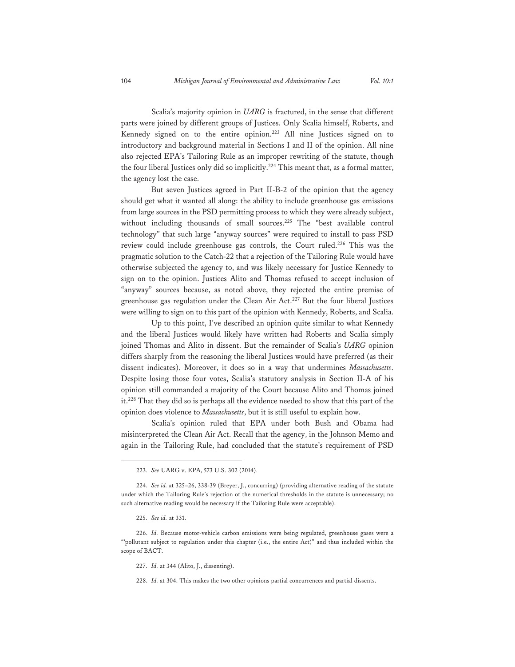Scalia's majority opinion in *UARG* is fractured, in the sense that different parts were joined by different groups of Justices. Only Scalia himself, Roberts, and Kennedy signed on to the entire opinion.<sup>223</sup> All nine Justices signed on to introductory and background material in Sections I and II of the opinion. All nine also rejected EPA's Tailoring Rule as an improper rewriting of the statute, though the four liberal Justices only did so implicitly.224 This meant that, as a formal matter, the agency lost the case.

But seven Justices agreed in Part II-B-2 of the opinion that the agency should get what it wanted all along: the ability to include greenhouse gas emissions from large sources in the PSD permitting process to which they were already subject, without including thousands of small sources.<sup>225</sup> The "best available control technology" that such large "anyway sources" were required to install to pass PSD review could include greenhouse gas controls, the Court ruled.<sup>226</sup> This was the pragmatic solution to the Catch-22 that a rejection of the Tailoring Rule would have otherwise subjected the agency to, and was likely necessary for Justice Kennedy to sign on to the opinion. Justices Alito and Thomas refused to accept inclusion of "anyway" sources because, as noted above, they rejected the entire premise of greenhouse gas regulation under the Clean Air Act.227 But the four liberal Justices were willing to sign on to this part of the opinion with Kennedy, Roberts, and Scalia.

Up to this point, I've described an opinion quite similar to what Kennedy and the liberal Justices would likely have written had Roberts and Scalia simply joined Thomas and Alito in dissent. But the remainder of Scalia's *UARG* opinion differs sharply from the reasoning the liberal Justices would have preferred (as their dissent indicates). Moreover, it does so in a way that undermines *Massachusetts*. Despite losing those four votes, Scalia's statutory analysis in Section II-A of his opinion still commanded a majority of the Court because Alito and Thomas joined it.<sup>228</sup> That they did so is perhaps all the evidence needed to show that this part of the opinion does violence to *Massachusetts*, but it is still useful to explain how.

Scalia's opinion ruled that EPA under both Bush and Obama had misinterpreted the Clean Air Act. Recall that the agency, in the Johnson Memo and again in the Tailoring Rule, had concluded that the statute's requirement of PSD

227. *Id.* at 344 (Alito, J., dissenting).

228. *Id.* at 304. This makes the two other opinions partial concurrences and partial dissents.

<sup>223.</sup> *See* UARG v. EPA, 573 U.S. 302 (2014).

<sup>224.</sup> *See id.* at 325–26, 338-39 (Breyer, J., concurring) (providing alternative reading of the statute under which the Tailoring Rule's rejection of the numerical thresholds in the statute is unnecessary; no such alternative reading would be necessary if the Tailoring Rule were acceptable).

<sup>225.</sup> *See id.* at 331.

<sup>226.</sup> *Id.* Because motor-vehicle carbon emissions were being regulated, greenhouse gases were a "'pollutant subject to regulation under this chapter (i.e., the entire Act)" and thus included within the scope of BACT.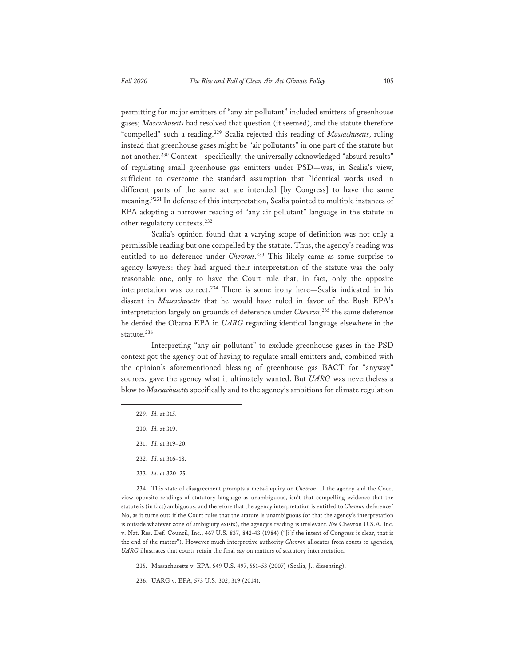permitting for major emitters of "any air pollutant" included emitters of greenhouse gases; *Massachusetts* had resolved that question (it seemed), and the statute therefore "compelled" such a reading.229 Scalia rejected this reading of *Massachusetts*, ruling instead that greenhouse gases might be "air pollutants" in one part of the statute but not another.<sup>230</sup> Context—specifically, the universally acknowledged "absurd results" of regulating small greenhouse gas emitters under PSD—was, in Scalia's view, sufficient to overcome the standard assumption that "identical words used in different parts of the same act are intended [by Congress] to have the same meaning."231 In defense of this interpretation, Scalia pointed to multiple instances of EPA adopting a narrower reading of "any air pollutant" language in the statute in other regulatory contexts.<sup>232</sup>

Scalia's opinion found that a varying scope of definition was not only a permissible reading but one compelled by the statute. Thus, the agency's reading was entitled to no deference under *Chevron*. 233 This likely came as some surprise to agency lawyers: they had argued their interpretation of the statute was the only reasonable one, only to have the Court rule that, in fact, only the opposite interpretation was correct.<sup>234</sup> There is some irony here—Scalia indicated in his dissent in *Massachusetts* that he would have ruled in favor of the Bush EPA's interpretation largely on grounds of deference under *Chevron*, 235 the same deference he denied the Obama EPA in *UARG* regarding identical language elsewhere in the statute.<sup>236</sup>

Interpreting "any air pollutant" to exclude greenhouse gases in the PSD context got the agency out of having to regulate small emitters and, combined with the opinion's aforementioned blessing of greenhouse gas BACT for "anyway" sources, gave the agency what it ultimately wanted. But *UARG* was nevertheless a blow to *Massachusetts* specifically and to the agency's ambitions for climate regulation

- 229. *Id.* at 315.
- 230. *Id.* at 319.
- 231. *Id.* at 319–20.
- 232. *Id.* at 316–18.
- 233. *Id.* at 320–25.

234. This state of disagreement prompts a meta-inquiry on *Chevron*. If the agency and the Court view opposite readings of statutory language as unambiguous, isn't that compelling evidence that the statute is (in fact) ambiguous, and therefore that the agency interpretation is entitled to *Chevron* deference? No, as it turns out: if the Court rules that the statute is unambiguous (or that the agency's interpretation is outside whatever zone of ambiguity exists), the agency's reading is irrelevant. *See* Chevron U.S.A. Inc. v. Nat. Res. Def. Council, Inc., 467 U.S. 837, 842-43 (1984) ("[i]f the intent of Congress is clear, that is the end of the matter"). However much interpretive authority *Chevron* allocates from courts to agencies, *UARG* illustrates that courts retain the final say on matters of statutory interpretation.

235. Massachusetts v. EPA, 549 U.S. 497, 551–53 (2007) (Scalia, J., dissenting).

236. UARG v. EPA, 573 U.S. 302, 319 (2014).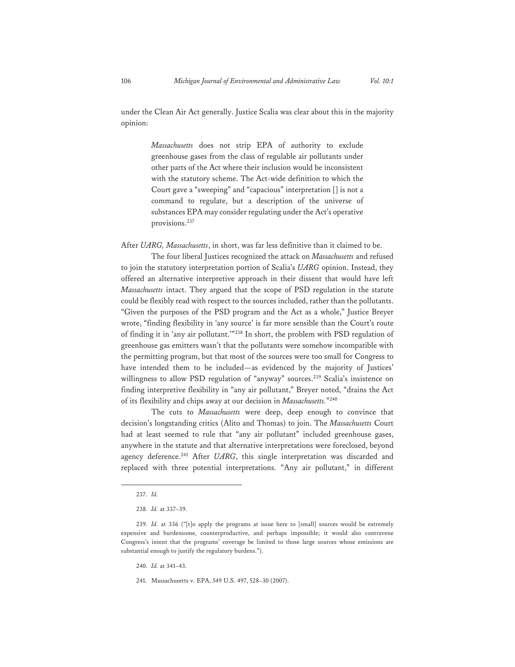under the Clean Air Act generally. Justice Scalia was clear about this in the majority opinion:

> *Massachusetts* does not strip EPA of authority to exclude greenhouse gases from the class of regulable air pollutants under other parts of the Act where their inclusion would be inconsistent with the statutory scheme. The Act-wide definition to which the Court gave a "sweeping" and "capacious" interpretation [] is not a command to regulate, but a description of the universe of substances EPA may consider regulating under the Act's operative provisions.237

After *UARG, Massachusetts*, in short, was far less definitive than it claimed to be.

The four liberal Justices recognized the attack on *Massachusetts* and refused to join the statutory interpretation portion of Scalia's *UARG* opinion. Instead, they offered an alternative interpretive approach in their dissent that would have left *Massachusetts* intact. They argued that the scope of PSD regulation in the statute could be flexibly read with respect to the sources included, rather than the pollutants. "Given the purposes of the PSD program and the Act as a whole," Justice Breyer wrote, "finding flexibility in 'any source' is far more sensible than the Court's route of finding it in 'any air pollutant.'"238 In short, the problem with PSD regulation of greenhouse gas emitters wasn't that the pollutants were somehow incompatible with the permitting program, but that most of the sources were too small for Congress to have intended them to be included—as evidenced by the majority of Justices' willingness to allow PSD regulation of "anyway" sources.<sup>239</sup> Scalia's insistence on finding interpretive flexibility in "any air pollutant," Breyer noted, "drains the Act of its flexibility and chips away at our decision in *Massachusetts.*"240

The cuts to *Massachusetts* were deep, deep enough to convince that decision's longstanding critics (Alito and Thomas) to join. The *Massachusetts* Court had at least seemed to rule that "any air pollutant" included greenhouse gases, anywhere in the statute and that alternative interpretations were foreclosed, beyond agency deference.<sup>241</sup> After UARG, this single interpretation was discarded and replaced with three potential interpretations. "Any air pollutant," in different

<sup>237.</sup> *Id.*

<sup>238</sup>*. Id.* at 337–39.

<sup>239</sup>*. Id.* at 336 ("[t]o apply the programs at issue here to [small] sources would be extremely expensive and burdensome, counterproductive, and perhaps impossible; it would also contravene Congress's intent that the programs' coverage be limited to those large sources whose emissions are substantial enough to justify the regulatory burdens.").

<sup>240.</sup> *Id.* at 341–43.

<sup>241.</sup> Massachusetts v. EPA, 549 U.S. 497, 528–30 (2007).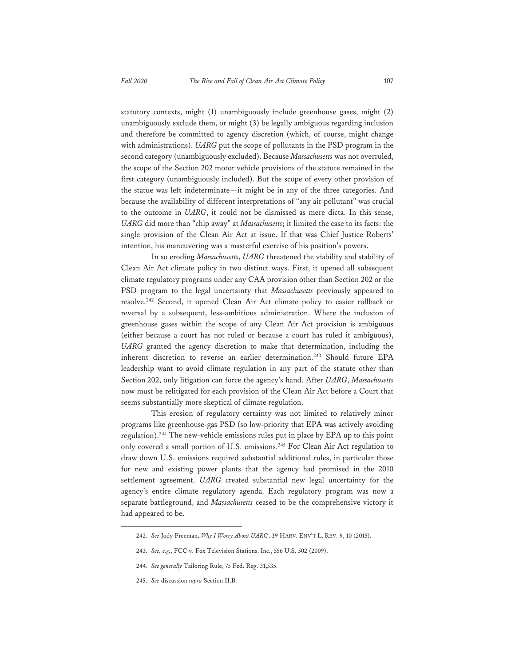statutory contexts, might (1) unambiguously include greenhouse gases, might (2) unambiguously exclude them, or might (3) be legally ambiguous regarding inclusion and therefore be committed to agency discretion (which, of course, might change with administrations). *UARG* put the scope of pollutants in the PSD program in the second category (unambiguously excluded). Because *Massachusetts* was not overruled, the scope of the Section 202 motor vehicle provisions of the statute remained in the first category (unambiguously included). But the scope of every other provision of the statue was left indeterminate—it might be in any of the three categories. And because the availability of different interpretations of "any air pollutant" was crucial to the outcome in *UARG*, it could not be dismissed as mere dicta. In this sense, *UARG* did more than "chip away" at *Massachusetts*; it limited the case to its facts: the single provision of the Clean Air Act at issue. If that was Chief Justice Roberts' intention, his maneuvering was a masterful exercise of his position's powers.

In so eroding *Massachusetts*, *UARG* threatened the viability and stability of Clean Air Act climate policy in two distinct ways. First, it opened all subsequent climate regulatory programs under any CAA provision other than Section 202 or the PSD program to the legal uncertainty that *Massachusetts* previously appeared to resolve.242 Second, it opened Clean Air Act climate policy to easier rollback or reversal by a subsequent, less-ambitious administration. Where the inclusion of greenhouse gases within the scope of any Clean Air Act provision is ambiguous (either because a court has not ruled or because a court has ruled it ambiguous), *UARG* granted the agency discretion to make that determination, including the inherent discretion to reverse an earlier determination.<sup>243</sup> Should future EPA leadership want to avoid climate regulation in any part of the statute other than Section 202, only litigation can force the agency's hand. After *UARG*, *Massachusetts* now must be relitigated for each provision of the Clean Air Act before a Court that seems substantially more skeptical of climate regulation.

This erosion of regulatory certainty was not limited to relatively minor programs like greenhouse-gas PSD (so low-priority that EPA was actively avoiding regulation).244 The new-vehicle emissions rules put in place by EPA up to this point only covered a small portion of U.S. emissions.245 For Clean Air Act regulation to draw down U.S. emissions required substantial additional rules, in particular those for new and existing power plants that the agency had promised in the 2010 settlement agreement. *UARG* created substantial new legal uncertainty for the agency's entire climate regulatory agenda. Each regulatory program was now a separate battleground, and *Massachusetts* ceased to be the comprehensive victory it had appeared to be.

<sup>242.</sup> *See* Jody Freeman, *Why I Worry About UARG*, 39 HARV. ENV'T L. REV. 9, 10 (2015).

<sup>243.</sup> *See, e.g.*, FCC v. Fox Television Stations, Inc., 556 U.S. 502 (2009).

<sup>244.</sup> *See generally* Tailoring Rule, 75 Fed. Reg. 31,535.

<sup>245.</sup> *See* discussion *supra* Section II.B.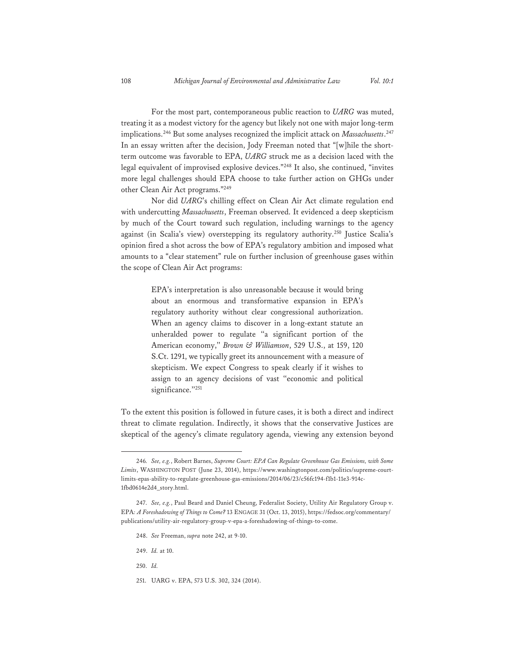For the most part, contemporaneous public reaction to *UARG* was muted, treating it as a modest victory for the agency but likely not one with major long-term implications.246 But some analyses recognized the implicit attack on *Massachusetts*. 247 In an essay written after the decision, Jody Freeman noted that "[w]hile the shortterm outcome was favorable to EPA, *UARG* struck me as a decision laced with the legal equivalent of improvised explosive devices."248 It also, she continued, "invites more legal challenges should EPA choose to take further action on GHGs under other Clean Air Act programs."249

Nor did *UARG*'s chilling effect on Clean Air Act climate regulation end with undercutting *Massachusetts*, Freeman observed. It evidenced a deep skepticism by much of the Court toward such regulation, including warnings to the agency against (in Scalia's view) overstepping its regulatory authority.250 Justice Scalia's opinion fired a shot across the bow of EPA's regulatory ambition and imposed what amounts to a "clear statement" rule on further inclusion of greenhouse gases within the scope of Clean Air Act programs:

> EPA's interpretation is also unreasonable because it would bring about an enormous and transformative expansion in EPA's regulatory authority without clear congressional authorization. When an agency claims to discover in a long-extant statute an unheralded power to regulate ''a significant portion of the American economy,'' *Brown & Williamson*, 529 U.S., at 159, 120 S.Ct. 1291, we typically greet its announcement with a measure of skepticism. We expect Congress to speak clearly if it wishes to assign to an agency decisions of vast ''economic and political significance."251

To the extent this position is followed in future cases, it is both a direct and indirect threat to climate regulation. Indirectly, it shows that the conservative Justices are skeptical of the agency's climate regulatory agenda, viewing any extension beyond

- 249. *Id.* at 10.
- 250. *Id.*
- 251. UARG v. EPA, 573 U.S. 302, 324 (2014).

<sup>246</sup>*. See, e.g.*, Robert Barnes, *Supreme Court: EPA Can Regulate Greenhouse Gas Emissions, with Some Limits*, WASHINGTON POST (June 23, 2014), https://www.washingtonpost.com/politics/supreme-courtlimits-epas-ability-to-regulate-greenhouse-gas-emissions/2014/06/23/c56fc194-f1b1-11e3-914c-1fbd0614e2d4\_story.html.

<sup>247.</sup> *See, e.g.*, Paul Beard and Daniel Cheung, Federalist Society, Utility Air Regulatory Group v. EPA*: A Foreshadowing of Things to Come?* 13 ENGAGE 31 (Oct. 13, 2015), https://fedsoc.org/commentary/ publications/utility-air-regulatory-group-v-epa-a-foreshadowing-of-things-to-come.

<sup>248.</sup> *See* Freeman, *supra* note 242, at 9-10.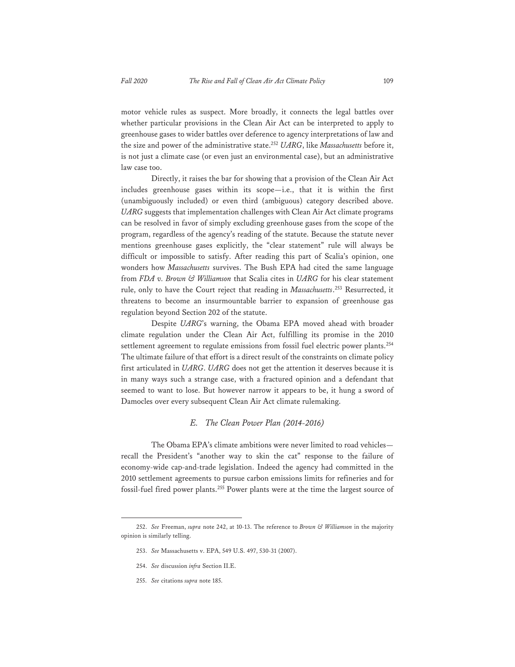motor vehicle rules as suspect. More broadly, it connects the legal battles over whether particular provisions in the Clean Air Act can be interpreted to apply to greenhouse gases to wider battles over deference to agency interpretations of law and the size and power of the administrative state.252 *UARG*, like *Massachusetts* before it, is not just a climate case (or even just an environmental case), but an administrative law case too.

Directly, it raises the bar for showing that a provision of the Clean Air Act includes greenhouse gases within its scope—i.e., that it is within the first (unambiguously included) or even third (ambiguous) category described above. *UARG* suggests that implementation challenges with Clean Air Act climate programs can be resolved in favor of simply excluding greenhouse gases from the scope of the program, regardless of the agency's reading of the statute. Because the statute never mentions greenhouse gases explicitly, the "clear statement" rule will always be difficult or impossible to satisfy. After reading this part of Scalia's opinion, one wonders how *Massachusetts* survives. The Bush EPA had cited the same language from *FDA v. Brown & Williamson* that Scalia cites in *UARG* for his clear statement rule, only to have the Court reject that reading in *Massachusetts*. 253 Resurrected, it threatens to become an insurmountable barrier to expansion of greenhouse gas regulation beyond Section 202 of the statute.

Despite *UARG*'s warning, the Obama EPA moved ahead with broader climate regulation under the Clean Air Act, fulfilling its promise in the 2010 settlement agreement to regulate emissions from fossil fuel electric power plants.<sup>254</sup> The ultimate failure of that effort is a direct result of the constraints on climate policy first articulated in *UARG*. *UARG* does not get the attention it deserves because it is in many ways such a strange case, with a fractured opinion and a defendant that seemed to want to lose. But however narrow it appears to be, it hung a sword of Damocles over every subsequent Clean Air Act climate rulemaking.

### *E. The Clean Power Plan (2014-2016)*

The Obama EPA's climate ambitions were never limited to road vehicles recall the President's "another way to skin the cat" response to the failure of economy-wide cap-and-trade legislation. Indeed the agency had committed in the 2010 settlement agreements to pursue carbon emissions limits for refineries and for fossil-fuel fired power plants.255 Power plants were at the time the largest source of

255. *See* citations *supra* note 185.

<sup>252.</sup> *See* Freeman, *supra* note 242, at 10-13. The reference to *Brown & Williamson* in the majority opinion is similarly telling.

<sup>253.</sup> *See* Massachusetts v. EPA, 549 U.S. 497, 530-31 (2007).

<sup>254.</sup> *See* discussion *infra* Section II.E.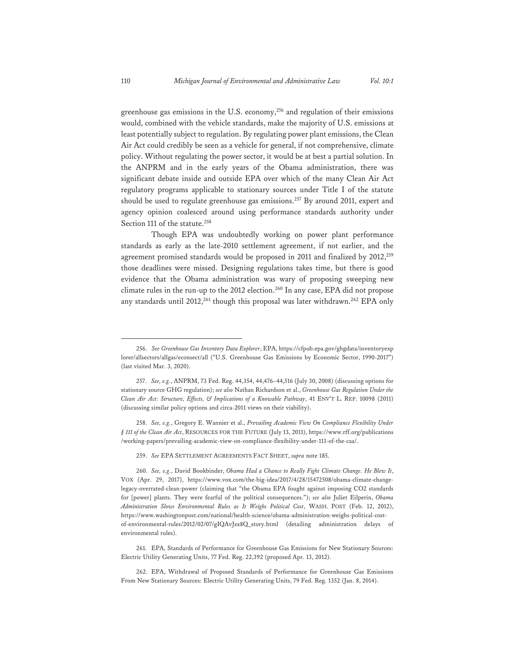greenhouse gas emissions in the U.S. economy,256 and regulation of their emissions would, combined with the vehicle standards, make the majority of U.S. emissions at least potentially subject to regulation. By regulating power plant emissions, the Clean Air Act could credibly be seen as a vehicle for general, if not comprehensive, climate policy. Without regulating the power sector, it would be at best a partial solution. In the ANPRM and in the early years of the Obama administration, there was significant debate inside and outside EPA over which of the many Clean Air Act regulatory programs applicable to stationary sources under Title I of the statute should be used to regulate greenhouse gas emissions.<sup>257</sup> By around 2011, expert and agency opinion coalesced around using performance standards authority under Section 111 of the statute.<sup>258</sup>

Though EPA was undoubtedly working on power plant performance standards as early as the late-2010 settlement agreement, if not earlier, and the agreement promised standards would be proposed in 2011 and finalized by 2012,<sup>259</sup> those deadlines were missed. Designing regulations takes time, but there is good evidence that the Obama administration was wary of proposing sweeping new climate rules in the run-up to the 2012 election.<sup>260</sup> In any case, EPA did not propose any standards until 2012,<sup>261</sup> though this proposal was later withdrawn.<sup>262</sup> EPA only

<sup>256.</sup> *See Greenhouse Gas Inventory Data Explorer*, EPA, https://cfpub.epa.gov/ghgdata/inventoryexp lorer/allsectors/allgas/econsect/all ("U.S. Greenhouse Gas Emissions by Economic Sector, 1990-2017") (last visited Mar. 3, 2020).

<sup>257.</sup> *See, e.g.*, ANPRM, 73 Fed. Reg. 44,354, 44,476–44,516 (July 30, 2008) (discussing options for stationary source GHG regulation); *see also* Nathan Richardson et al., *Greenhouse Gas Regulation Under the Clean Air Act: Structure, Effects, & Implications of a Knowable Pathway*, 41 ENV'T L. REP. 10098 (2011) (discussing similar policy options and circa-2011 views on their viability).

<sup>258.</sup> *See, e.g.*, Gregory E. Wannier et al., *Prevailing Academic View On Compliance Flexibility Under § 111 of the Clean Air Act*, RESOURCES FOR THE FUTURE (July 13, 2011), https://www.rff.org/publications /working-papers/prevailing-academic-view-on-compliance-flexibility-under-111-of-the-caa/.

<sup>259.</sup> *See* EPA SETTLEMENT AGREEMENTS FACT SHEET, *supra* note 185.

<sup>260.</sup> *See, e.g.*, David Bookbinder, *Obama Had a Chance to Really Fight Climate Change. He Blew It*, VOX (Apr. 29, 2017), https://www.vox.com/the-big-idea/2017/4/28/15472508/obama-climate-changelegacy-overrated-clean-power (claiming that "the Obama EPA fought against imposing CO2 standards for [power] plants. They were fearful of the political consequences."); *see also* Juliet Eilperin, *Obama Administration Slows Environmental Rules as It Weighs Political Cost*, WASH. POST (Feb. 12, 2012), https://www.washingtonpost.com/national/health-science/obama-administration-weighs-political-costof-environmental-rules/2012/02/07/gIQAvJzx8Q\_story.html (detailing administration delays of environmental rules).

<sup>261.</sup> EPA, Standards of Performance for Greenhouse Gas Emissions for New Stationary Sources: Electric Utility Generating Units, 77 Fed. Reg. 22,392 (proposed Apr. 13, 2012).

<sup>262.</sup> EPA, Withdrawal of Proposed Standards of Performance for Greenhouse Gas Emissions From New Stationary Sources: Electric Utility Generating Units, 79 Fed. Reg. 1352 (Jan. 8, 2014).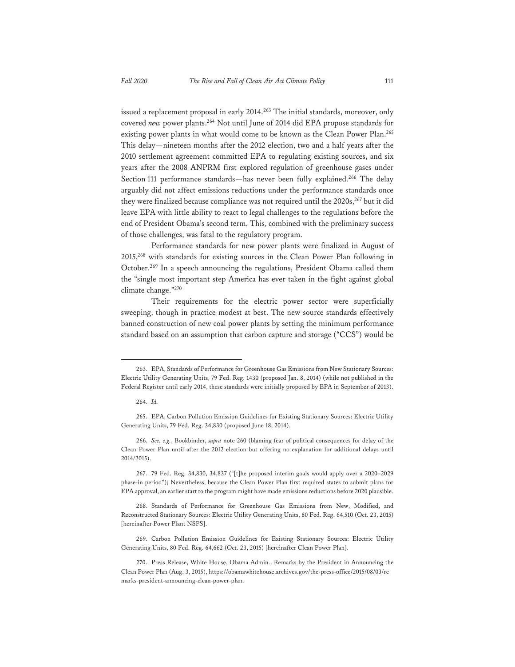issued a replacement proposal in early 2014.<sup>263</sup> The initial standards, moreover, only covered *new* power plants.<sup>264</sup> Not until June of 2014 did EPA propose standards for existing power plants in what would come to be known as the Clean Power Plan.<sup>265</sup> This delay—nineteen months after the 2012 election, two and a half years after the 2010 settlement agreement committed EPA to regulating existing sources, and six years after the 2008 ANPRM first explored regulation of greenhouse gases under Section 111 performance standards—has never been fully explained.<sup>266</sup> The delay arguably did not affect emissions reductions under the performance standards once they were finalized because compliance was not required until the 2020s,<sup>267</sup> but it did leave EPA with little ability to react to legal challenges to the regulations before the end of President Obama's second term. This, combined with the preliminary success of those challenges, was fatal to the regulatory program.

Performance standards for new power plants were finalized in August of 2015,268 with standards for existing sources in the Clean Power Plan following in October.269 In a speech announcing the regulations, President Obama called them the "single most important step America has ever taken in the fight against global climate change."270

Their requirements for the electric power sector were superficially sweeping, though in practice modest at best. The new source standards effectively banned construction of new coal power plants by setting the minimum performance standard based on an assumption that carbon capture and storage ("CCS") would be

<sup>263.</sup> EPA, Standards of Performance for Greenhouse Gas Emissions from New Stationary Sources: Electric Utility Generating Units, 79 Fed. Reg. 1430 (proposed Jan. 8, 2014) (while not published in the Federal Register until early 2014, these standards were initially proposed by EPA in September of 2013).

<sup>264.</sup> *Id.*

<sup>265.</sup> EPA, Carbon Pollution Emission Guidelines for Existing Stationary Sources: Electric Utility Generating Units, 79 Fed. Reg. 34,830 (proposed June 18, 2014).

<sup>266.</sup> *See, e.g.*, Bookbinder, *supra* note 260 (blaming fear of political consequences for delay of the Clean Power Plan until after the 2012 election but offering no explanation for additional delays until 2014/2015).

<sup>267. 79</sup> Fed. Reg. 34,830, 34,837 ("[t]he proposed interim goals would apply over a 2020–2029 phase-in period"); Nevertheless, because the Clean Power Plan first required states to submit plans for EPA approval, an earlier start to the program might have made emissions reductions before 2020 plausible.

<sup>268.</sup> Standards of Performance for Greenhouse Gas Emissions from New, Modified, and Reconstructed Stationary Sources: Electric Utility Generating Units, 80 Fed. Reg. 64,510 (Oct. 23, 2015) [hereinafter Power Plant NSPS].

<sup>269.</sup> Carbon Pollution Emission Guidelines for Existing Stationary Sources: Electric Utility Generating Units, 80 Fed. Reg. 64,662 (Oct. 23, 2015) [hereinafter Clean Power Plan].

<sup>270.</sup> Press Release, White House, Obama Admin., Remarks by the President in Announcing the Clean Power Plan (Aug. 3, 2015), https://obamawhitehouse.archives.gov/the-press-office/2015/08/03/re marks-president-announcing-clean-power-plan.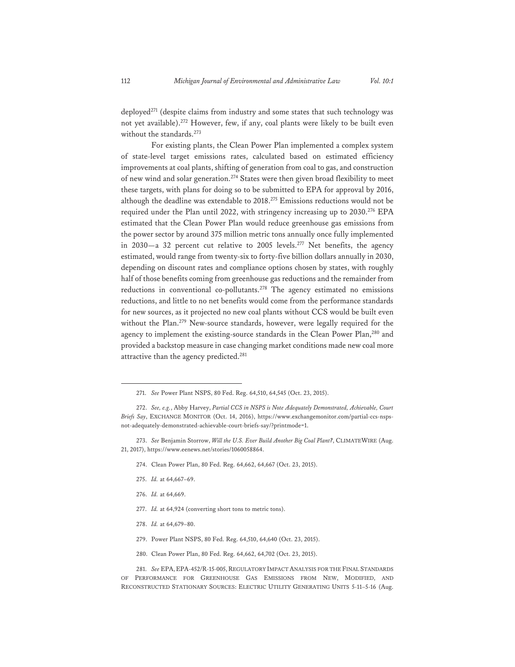deployed<sup>271</sup> (despite claims from industry and some states that such technology was not yet available).272 However, few, if any, coal plants were likely to be built even without the standards.<sup>273</sup>

For existing plants, the Clean Power Plan implemented a complex system of state-level target emissions rates, calculated based on estimated efficiency improvements at coal plants, shifting of generation from coal to gas, and construction of new wind and solar generation.274 States were then given broad flexibility to meet these targets, with plans for doing so to be submitted to EPA for approval by 2016, although the deadline was extendable to 2018.275 Emissions reductions would not be required under the Plan until 2022, with stringency increasing up to 2030.<sup>276</sup> EPA estimated that the Clean Power Plan would reduce greenhouse gas emissions from the power sector by around 375 million metric tons annually once fully implemented in 2030—a 32 percent cut relative to 2005 levels.<sup>277</sup> Net benefits, the agency estimated, would range from twenty-six to forty-five billion dollars annually in 2030, depending on discount rates and compliance options chosen by states, with roughly half of those benefits coming from greenhouse gas reductions and the remainder from reductions in conventional co-pollutants.<sup>278</sup> The agency estimated no emissions reductions, and little to no net benefits would come from the performance standards for new sources, as it projected no new coal plants without CCS would be built even without the Plan.<sup>279</sup> New-source standards, however, were legally required for the agency to implement the existing-source standards in the Clean Power Plan,<sup>280</sup> and provided a backstop measure in case changing market conditions made new coal more attractive than the agency predicted.<sup>281</sup>

- 274. Clean Power Plan, 80 Fed. Reg. 64,662, 64,667 (Oct. 23, 2015).
- 275. *Id.* at 64,667–69.
- 276. *Id.* at 64,669.
- 277. *Id.* at 64,924 (converting short tons to metric tons).
- 278. *Id.* at 64,679–80.
- 279. Power Plant NSPS, 80 Fed. Reg. 64,510, 64,640 (Oct. 23, 2015).
- 280. Clean Power Plan, 80 Fed. Reg. 64,662, 64,702 (Oct. 23, 2015).

281. *See* EPA, EPA-452/R-15-005, REGULATORY IMPACT ANALYSIS FOR THE FINAL STANDARDS OF PERFORMANCE FOR GREENHOUSE GAS EMISSIONS FROM NEW, MODIFIED, AND RECONSTRUCTED STATIONARY SOURCES: ELECTRIC UTILITY GENERATING UNITS 5-11–5-16 (Aug.

<sup>271.</sup> *See* Power Plant NSPS, 80 Fed. Reg. 64,510, 64,545 (Oct. 23, 2015).

<sup>272.</sup> *See, e.g.*, Abby Harvey, *Partial CCS in NSPS is Note Adequately Demonstrated, Achievable, Court Briefs Say*, EXCHANGE MONITOR (Oct. 14, 2016), https://www.exchangemonitor.com/partial-ccs-nsps- $\,$  not-adequately-demonstrated-achievable-court-briefs-say/?printmode=1.

<sup>273.</sup> *See* Benjamin Storrow, *Will the U.S. Ever Build Another Big Coal Plant?*, CLIMATEWIRE (Aug. 21, 2017), https://www.eenews.net/stories/1060058864.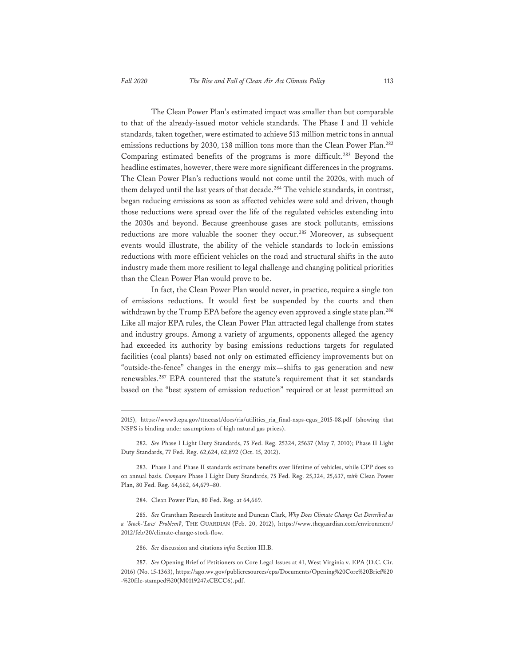The Clean Power Plan's estimated impact was smaller than but comparable to that of the already-issued motor vehicle standards. The Phase I and II vehicle standards, taken together, were estimated to achieve 513 million metric tons in annual emissions reductions by 2030, 138 million tons more than the Clean Power Plan.<sup>282</sup> Comparing estimated benefits of the programs is more difficult.<sup>283</sup> Beyond the headline estimates, however, there were more significant differences in the programs. The Clean Power Plan's reductions would not come until the 2020s, with much of them delayed until the last years of that decade.<sup>284</sup> The vehicle standards, in contrast, began reducing emissions as soon as affected vehicles were sold and driven, though those reductions were spread over the life of the regulated vehicles extending into the 2030s and beyond. Because greenhouse gases are stock pollutants, emissions reductions are more valuable the sooner they occur.<sup>285</sup> Moreover, as subsequent events would illustrate, the ability of the vehicle standards to lock-in emissions reductions with more efficient vehicles on the road and structural shifts in the auto industry made them more resilient to legal challenge and changing political priorities than the Clean Power Plan would prove to be.

In fact, the Clean Power Plan would never, in practice, require a single ton of emissions reductions. It would first be suspended by the courts and then withdrawn by the Trump EPA before the agency even approved a single state plan.<sup>286</sup> Like all major EPA rules, the Clean Power Plan attracted legal challenge from states and industry groups. Among a variety of arguments, opponents alleged the agency had exceeded its authority by basing emissions reductions targets for regulated facilities (coal plants) based not only on estimated efficiency improvements but on "outside-the-fence" changes in the energy mix—shifts to gas generation and new renewables.287 EPA countered that the statute's requirement that it set standards based on the "best system of emission reduction" required or at least permitted an

- 284. Clean Power Plan, 80 Fed. Reg. at 64,669.
- 285. *See* Grantham Research Institute and Duncan Clark, *Why Does Climate Change Get Described as a 'Stock-'Low' Problem?*, THE GUARDIAN (Feb. 20, 2012), https://www.theguardian.com/environment/ 2012/feb/20/climate-change-stock-flow.
	- 286. *See* discussion and citations *infra* Section III.B.

<sup>2015),</sup> https://www3.epa.gov/ttnecas1/docs/ria/utilities\_ria\_final-nsps-egus\_2015-08.pdf (showing that NSPS is binding under assumptions of high natural gas prices).

<sup>282.</sup> *See* Phase I Light Duty Standards, 75 Fed. Reg. 25324, 25637 (May 7, 2010); Phase II Light Duty Standards, 77 Fed. Reg. 62,624, 62,892 (Oct. 15, 2012).

<sup>283.</sup> Phase I and Phase II standards estimate benefits over lifetime of vehicles, while CPP does so on annual basis. *Compare* Phase I Light Duty Standards, 75 Fed. Reg. 25,324, 25,637, *with* Clean Power Plan, 80 Fed. Reg. 64,662, 64,679–80.

<sup>287.</sup> *See* Opening Brief of Petitioners on Core Legal Issues at 41, West Virginia v. EPA (D.C. Cir. 2016) (No. 15-1363), https://ago.wv.gov/publicresources/epa/Documents/Opening%20Core%20Brief%20 -%20file-stamped%20(M0119247xCECC6).pdf.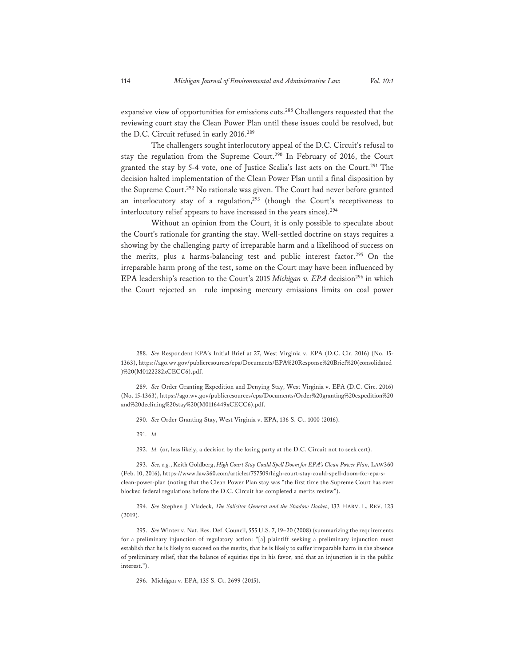expansive view of opportunities for emissions cuts.288 Challengers requested that the reviewing court stay the Clean Power Plan until these issues could be resolved, but the D.C. Circuit refused in early 2016.<sup>289</sup>

The challengers sought interlocutory appeal of the D.C. Circuit's refusal to stay the regulation from the Supreme Court.290 In February of 2016, the Court granted the stay by 5-4 vote, one of Justice Scalia's last acts on the Court.291 The decision halted implementation of the Clean Power Plan until a final disposition by the Supreme Court.<sup>292</sup> No rationale was given. The Court had never before granted an interlocutory stay of a regulation, $293$  (though the Court's receptiveness to interlocutory relief appears to have increased in the years since).<sup>294</sup>

Without an opinion from the Court, it is only possible to speculate about the Court's rationale for granting the stay. Well-settled doctrine on stays requires a showing by the challenging party of irreparable harm and a likelihood of success on the merits, plus a harms-balancing test and public interest factor.<sup>295</sup> On the irreparable harm prong of the test, some on the Court may have been influenced by EPA leadership's reaction to the Court's 2015 *Michigan v. EPA* decision<sup>296</sup> in which the Court rejected an rule imposing mercury emissions limits on coal power

<sup>288.</sup> *See* Respondent EPA's Initial Brief at 27, West Virginia v. EPA (D.C. Cir. 2016) (No. 15- 1363), https://ago.wv.gov/publicresources/epa/Documents/EPA%20Response%20Brief%20(consolidated )%20(M0122282xCECC6).pdf.

<sup>289.</sup> *See* Order Granting Expedition and Denying Stay, West Virginia v. EPA (D.C. Circ. 2016) (No. 15-1363), https://ago.wv.gov/publicresources/epa/Documents/Order%20granting%20expedition%20 and%20declining%20stay%20(M0116449xCECC6).pdf.

<sup>290</sup>*. See* Order Granting Stay, West Virginia v. EPA, 136 S. Ct. 1000 (2016).

<sup>291.</sup> *Id.*

<sup>292.</sup> *Id.* (or, less likely, a decision by the losing party at the D.C. Circuit not to seek cert).

<sup>293.</sup> *See, e.g.*, Keith Goldberg, *High Court Stay Could Spell Doom for EPA's Clean Power Plan,* LAW360 (Feb. 10, 2016), https://www.law360.com/articles/757509/high-court-stay-could-spell-doom-for-epa-sclean-power-plan (noting that the Clean Power Plan stay was "the first time the Supreme Court has ever blocked federal regulations before the D.C. Circuit has completed a merits review").

<sup>294.</sup> *See* Stephen J. Vladeck, *The Solicitor General and the Shadow Docket*, 133 HARV. L. REV. 123 (2019).

<sup>295.</sup> *See* Winter v. Nat. Res. Def. Council, 555 U.S. 7, 19–20 (2008) (summarizing the requirements for a preliminary injunction of regulatory action: "[a] plaintiff seeking a preliminary injunction must establish that he is likely to succeed on the merits, that he is likely to suffer irreparable harm in the absence of preliminary relief, that the balance of equities tips in his favor, and that an injunction is in the public interest.").

<sup>296.</sup> Michigan v. EPA, 135 S. Ct. 2699 (2015).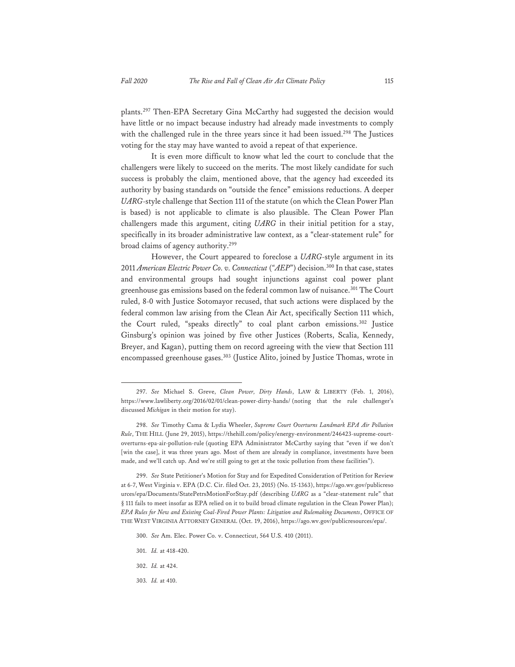plants.297 Then-EPA Secretary Gina McCarthy had suggested the decision would have little or no impact because industry had already made investments to comply with the challenged rule in the three years since it had been issued.<sup>298</sup> The Justices voting for the stay may have wanted to avoid a repeat of that experience.

It is even more difficult to know what led the court to conclude that the challengers were likely to succeed on the merits. The most likely candidate for such success is probably the claim, mentioned above, that the agency had exceeded its authority by basing standards on "outside the fence" emissions reductions. A deeper *UARG*-style challenge that Section 111 of the statute (on which the Clean Power Plan is based) is not applicable to climate is also plausible. The Clean Power Plan challengers made this argument, citing *UARG* in their initial petition for a stay, specifically in its broader administrative law context, as a "clear-statement rule" for broad claims of agency authority.299

However, the Court appeared to foreclose a *UARG*-style argument in its 2011 *American Electric Power Co. v. Connecticut* (*"AEP*") decision.300 In that case, states and environmental groups had sought injunctions against coal power plant greenhouse gas emissions based on the federal common law of nuisance.<sup>301</sup> The Court ruled, 8-0 with Justice Sotomayor recused, that such actions were displaced by the federal common law arising from the Clean Air Act, specifically Section 111 which, the Court ruled, "speaks directly" to coal plant carbon emissions.302 Justice Ginsburg's opinion was joined by five other Justices (Roberts, Scalia, Kennedy, Breyer, and Kagan), putting them on record agreeing with the view that Section 111 encompassed greenhouse gases.<sup>303</sup> (Justice Alito, joined by Justice Thomas, wrote in

<sup>297.</sup> *See* Michael S. Greve, *Clean Power, Dirty Hands*, LAW & LIBERTY (Feb. 1, 2016), https://www.lawliberty.org/2016/02/01/clean-power-dirty-hands/ (noting that the rule challenger's discussed *Michigan* in their motion for stay).

<sup>298.</sup> *See* Timothy Cama & Lydia Wheeler, *Supreme Court Overturns Landmark EPA Air Pollution Rule*, THE HILL (June 29, 2015), https://thehill.com/policy/energy-environment/246423-supreme-courtoverturns-epa-air-pollution-rule (quoting EPA Administrator McCarthy saying that "even if we don't [win the case], it was three years ago. Most of them are already in compliance, investments have been made, and we'll catch up. And we're still going to get at the toxic pollution from these facilities").

<sup>299.</sup> *See* State Petitioner's Motion for Stay and for Expedited Consideration of Petition for Review at 6-7, West Virginia v. EPA (D.C. Cir. filed Oct. 23, 2015) (No. 15-1363), https://ago.wv.gov/publicreso urces/epa/Documents/StatePetrsMotionForStay.pdf (describing *UARG* as a "clear-statement rule" that § 111 fails to meet insofar as EPA relied on it to build broad climate regulation in the Clean Power Plan); *EPA Rules for New and Existing Coal-Fired Power Plants: Litigation and Rulemaking Documents*, OFFICE OF THE WEST VIRGINIA ATTORNEY GENERAL (Oct. 19, 2016), https://ago.wv.gov/publicresources/epa/.

<sup>300.</sup> *See* Am. Elec. Power Co. v. Connecticut, 564 U.S. 410 (2011).

<sup>301.</sup> *Id.* at 418-420.

<sup>302.</sup> *Id.* at 424.

<sup>303</sup>*. Id.* at 410.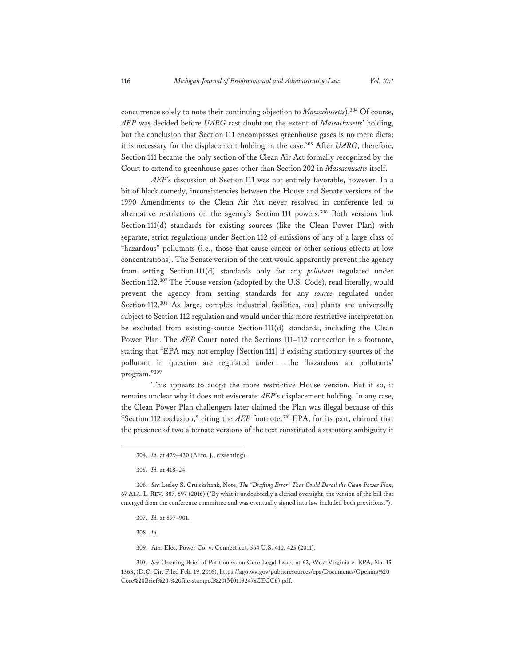concurrence solely to note their continuing objection to *Massachusetts*).304 Of course, *AEP* was decided before *UARG* cast doubt on the extent of *Massachusetts*' holding, but the conclusion that Section 111 encompasses greenhouse gases is no mere dicta; it is necessary for the displacement holding in the case.<sup>305</sup> After *UARG*, therefore, Section 111 became the only section of the Clean Air Act formally recognized by the Court to extend to greenhouse gases other than Section 202 in *Massachusetts* itself.

*AEP*'s discussion of Section 111 was not entirely favorable, however. In a bit of black comedy, inconsistencies between the House and Senate versions of the 1990 Amendments to the Clean Air Act never resolved in conference led to alternative restrictions on the agency's Section 111 powers.<sup>306</sup> Both versions link Section 111(d) standards for existing sources (like the Clean Power Plan) with separate, strict regulations under Section 112 of emissions of any of a large class of "hazardous" pollutants (i.e., those that cause cancer or other serious effects at low concentrations). The Senate version of the text would apparently prevent the agency from setting Section 111(d) standards only for any *pollutant* regulated under Section 112.<sup>307</sup> The House version (adopted by the U.S. Code), read literally, would prevent the agency from setting standards for any *source* regulated under Section 112.308 As large, complex industrial facilities, coal plants are universally subject to Section 112 regulation and would under this more restrictive interpretation be excluded from existing-source Section 111(d) standards, including the Clean Power Plan. The *AEP* Court noted the Sections 111–112 connection in a footnote, stating that "EPA may not employ [Section 111] if existing stationary sources of the pollutant in question are regulated under . . . the 'hazardous air pollutants' program."309

This appears to adopt the more restrictive House version. But if so, it remains unclear why it does not eviscerate *AEP*'s displacement holding. In any case, the Clean Power Plan challengers later claimed the Plan was illegal because of this "Section 112 exclusion," citing the *AEP* footnote.<sup>310</sup> EPA, for its part, claimed that the presence of two alternate versions of the text constituted a statutory ambiguity it

308. *Id.*

309. Am. Elec. Power Co. v. Connecticut, 564 U.S. 410, 425 (2011).

310. *See* Opening Brief of Petitioners on Core Legal Issues at 62, West Virginia v. EPA, No. 15- 1363, (D.C. Cir. Filed Feb. 19, 2016), https://ago.wv.gov/publicresources/epa/Documents/Opening%20 Core%20Brief%20-%20file-stamped%20(M0119247xCECC6).pdf.

<sup>304</sup>*. Id.* at 429–430 (Alito, J., dissenting).

<sup>305.</sup> *Id.* at 418–24.

<sup>306.</sup> *See* Lesley S. Cruickshank, Note, *The "Drafting Error" That Could Derail the Clean Power Plan*, 67 ALA. L. REV. 887, 897 (2016) ("By what is undoubtedly a clerical oversight, the version of the bill that emerged from the conference committee and was eventually signed into law included both provisions.").

<sup>307.</sup> *Id.* at 897–901.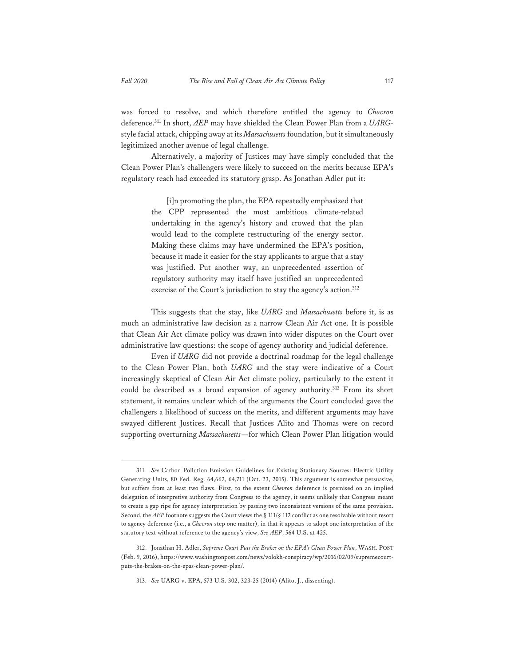was forced to resolve, and which therefore entitled the agency to *Chevron* deference.311 In short, *AEP* may have shielded the Clean Power Plan from a *UARG*style facial attack, chipping away at its *Massachusetts* foundation, but it simultaneously legitimized another avenue of legal challenge.

Alternatively, a majority of Justices may have simply concluded that the Clean Power Plan's challengers were likely to succeed on the merits because EPA's regulatory reach had exceeded its statutory grasp. As Jonathan Adler put it:

> [i]n promoting the plan, the EPA repeatedly emphasized that the CPP represented the most ambitious climate-related undertaking in the agency's history and crowed that the plan would lead to the complete restructuring of the energy sector. Making these claims may have undermined the EPA's position, because it made it easier for the stay applicants to argue that a stay was justified. Put another way, an unprecedented assertion of regulatory authority may itself have justified an unprecedented exercise of the Court's jurisdiction to stay the agency's action.<sup>312</sup>

This suggests that the stay, like *UARG* and *Massachusetts* before it, is as much an administrative law decision as a narrow Clean Air Act one. It is possible that Clean Air Act climate policy was drawn into wider disputes on the Court over administrative law questions: the scope of agency authority and judicial deference.

Even if *UARG* did not provide a doctrinal roadmap for the legal challenge to the Clean Power Plan, both *UARG* and the stay were indicative of a Court increasingly skeptical of Clean Air Act climate policy, particularly to the extent it could be described as a broad expansion of agency authority.<sup>313</sup> From its short statement, it remains unclear which of the arguments the Court concluded gave the challengers a likelihood of success on the merits, and different arguments may have swayed different Justices. Recall that Justices Alito and Thomas were on record supporting overturning *Massachusetts*—for which Clean Power Plan litigation would

<sup>311.</sup> *See* Carbon Pollution Emission Guidelines for Existing Stationary Sources: Electric Utility Generating Units, 80 Fed. Reg. 64,662, 64,711 (Oct. 23, 2015). This argument is somewhat persuasive, but suffers from at least two flaws. First, to the extent *Chevron* deference is premised on an implied delegation of interpretive authority from Congress to the agency, it seems unlikely that Congress meant to create a gap ripe for agency interpretation by passing two inconsistent versions of the same provision. Second, the *AEP* footnote suggests the Court views the § 111/§ 112 conflict as one resolvable without resort to agency deference (i.e., a *Chevron* step one matter), in that it appears to adopt one interpretation of the statutory text without reference to the agency's view, *See AEP*, 564 U.S. at 425.

<sup>312.</sup> Jonathan H. Adler, *Supreme Court Puts the Brakes on the EPA's Clean Power Plan*, WASH. POST (Feb. 9, 2016), https://www.washingtonpost.com/news/volokh-conspiracy/wp/2016/02/09/supremecourtputs-the-brakes-on-the-epas-clean-power-plan/.

<sup>313.</sup> *See* UARG v. EPA, 573 U.S. 302, 323-25 (2014) (Alito, J., dissenting).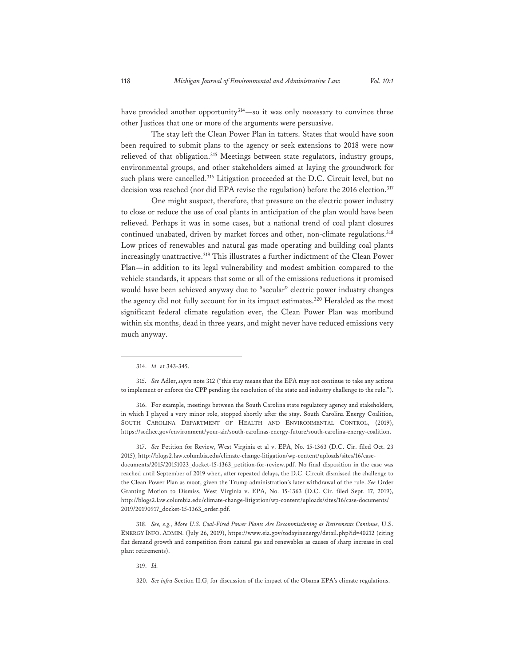have provided another opportunity<sup>314</sup>—so it was only necessary to convince three other Justices that one or more of the arguments were persuasive.

The stay left the Clean Power Plan in tatters. States that would have soon been required to submit plans to the agency or seek extensions to 2018 were now relieved of that obligation.<sup>315</sup> Meetings between state regulators, industry groups, environmental groups, and other stakeholders aimed at laying the groundwork for such plans were cancelled.<sup>316</sup> Litigation proceeded at the D.C. Circuit level, but no decision was reached (nor did EPA revise the regulation) before the 2016 election.<sup>317</sup>

One might suspect, therefore, that pressure on the electric power industry to close or reduce the use of coal plants in anticipation of the plan would have been relieved. Perhaps it was in some cases, but a national trend of coal plant closures continued unabated, driven by market forces and other, non-climate regulations.<sup>318</sup> Low prices of renewables and natural gas made operating and building coal plants increasingly unattractive.319 This illustrates a further indictment of the Clean Power Plan—in addition to its legal vulnerability and modest ambition compared to the vehicle standards, it appears that some or all of the emissions reductions it promised would have been achieved anyway due to "secular" electric power industry changes the agency did not fully account for in its impact estimates.<sup>320</sup> Heralded as the most significant federal climate regulation ever, the Clean Power Plan was moribund within six months, dead in three years, and might never have reduced emissions very much anyway.

317. *See* Petition for Review, West Virginia et al v. EPA, No. 15-1363 (D.C. Cir. filed Oct. 23 2015), http://blogs2.law.columbia.edu/climate-change-litigation/wp-content/uploads/sites/16/casedocuments/2015/20151023\_docket-15-1363\_petition-for-review.pdf. No final disposition in the case was reached until September of 2019 when, after repeated delays, the D.C. Circuit dismissed the challenge to the Clean Power Plan as moot, given the Trump administration's later withdrawal of the rule. *See* Order Granting Motion to Dismiss, West Virginia v. EPA, No. 15-1363 (D.C. Cir. filed Sept. 17, 2019), http://blogs2.law.columbia.edu/climate-change-litigation/wp-content/uploads/sites/16/case-documents/ 2019/20190917\_docket-15-1363\_order.pdf.

318. *See, e.g.*, *More U.S. Coal-Fired Power Plants Are Decommissioning as Retirements Continue*, U.S. ENERGY INFO. ADMIN. (July 26, 2019), https://www.eia.gov/todayinenergy/detail.php?id=40212 (citing flat demand growth and competition from natural gas and renewables as causes of sharp increase in coal plant retirements).

319. *Id.*

320. *See infra* Section II.G, for discussion of the impact of the Obama EPA's climate regulations.

<sup>314.</sup> *Id.* at 343-345.

<sup>315.</sup> *See* Adler, *supra* note 312 ("this stay means that the EPA may not continue to take any actions to implement or enforce the CPP pending the resolution of the state and industry challenge to the rule.").

<sup>316.</sup> For example, meetings between the South Carolina state regulatory agency and stakeholders, in which I played a very minor role, stopped shortly after the stay. South Carolina Energy Coalition, SOUTH CAROLINA DEPARTMENT OF HEALTH AND ENVIRONMENTAL CONTROL, (2019), https://scdhec.gov/environment/your-air/south-carolinas-energy-future/south-carolina-energy-coalition.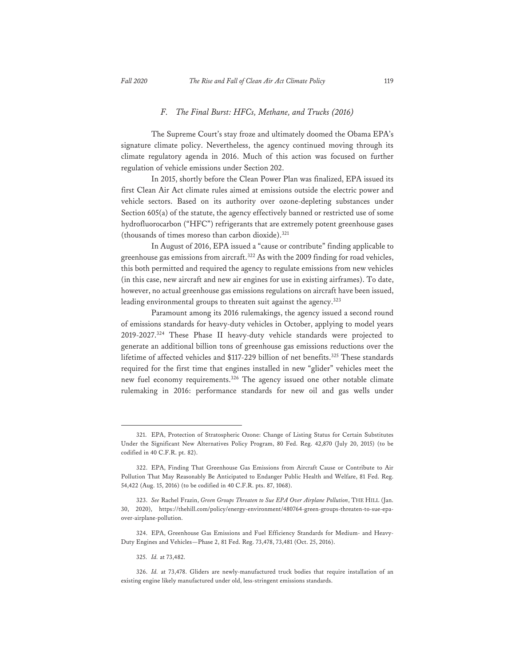### *F. The Final Burst: HFCs, Methane, and Trucks (2016)*

The Supreme Court's stay froze and ultimately doomed the Obama EPA's signature climate policy. Nevertheless, the agency continued moving through its climate regulatory agenda in 2016. Much of this action was focused on further regulation of vehicle emissions under Section 202.

In 2015, shortly before the Clean Power Plan was finalized, EPA issued its first Clean Air Act climate rules aimed at emissions outside the electric power and vehicle sectors. Based on its authority over ozone-depleting substances under Section 605(a) of the statute, the agency effectively banned or restricted use of some hydrofluorocarbon ("HFC") refrigerants that are extremely potent greenhouse gases (thousands of times moreso than carbon dioxide).321

In August of 2016, EPA issued a "cause or contribute" finding applicable to greenhouse gas emissions from aircraft.322 As with the 2009 finding for road vehicles, this both permitted and required the agency to regulate emissions from new vehicles (in this case, new aircraft and new air engines for use in existing airframes). To date, however, no actual greenhouse gas emissions regulations on aircraft have been issued, leading environmental groups to threaten suit against the agency.<sup>323</sup>

Paramount among its 2016 rulemakings, the agency issued a second round of emissions standards for heavy-duty vehicles in October, applying to model years 2019-2027.324 These Phase II heavy-duty vehicle standards were projected to generate an additional billion tons of greenhouse gas emissions reductions over the lifetime of affected vehicles and \$117-229 billion of net benefits.<sup>325</sup> These standards required for the first time that engines installed in new "glider" vehicles meet the new fuel economy requirements.326 The agency issued one other notable climate rulemaking in 2016: performance standards for new oil and gas wells under

<sup>321.</sup> EPA, Protection of Stratospheric Ozone: Change of Listing Status for Certain Substitutes Under the Significant New Alternatives Policy Program, 80 Fed. Reg. 42,870 (July 20, 2015) (to be codified in 40 C.F.R. pt. 82).

<sup>322.</sup> EPA, Finding That Greenhouse Gas Emissions from Aircraft Cause or Contribute to Air Pollution That May Reasonably Be Anticipated to Endanger Public Health and Welfare, 81 Fed. Reg. 54,422 (Aug. 15, 2016) (to be codified in 40 C.F.R. pts. 87, 1068).

<sup>323.</sup> *See* Rachel Frazin, *Green Groups Threaten to Sue EPA Over Airplane Pollution*, THE HILL (Jan. 30, 2020), https://thehill.com/policy/energy-environment/480764-green-groups-threaten-to-sue-epaover-airplane-pollution.

<sup>324.</sup> EPA, Greenhouse Gas Emissions and Fuel Efficiency Standards for Medium- and Heavy-Duty Engines and Vehicles—Phase 2, 81 Fed. Reg. 73,478, 73,481 (Oct. 25, 2016).

<sup>325.</sup> *Id.* at 73,482.

<sup>326.</sup> *Id.* at 73,478. Gliders are newly-manufactured truck bodies that require installation of an existing engine likely manufactured under old, less-stringent emissions standards.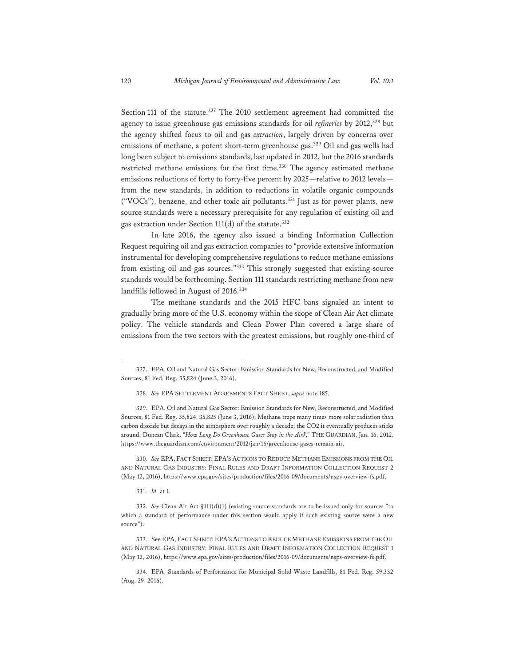Section 111 of the statute.<sup>327</sup> The 2010 settlement agreement had committed the agency to issue greenhouse gas emissions standards for oil *refineries* by 2012,<sup>328</sup> but the agency shifted focus to oil and gas *extraction*, largely driven by concerns over emissions of methane, a potent short-term greenhouse gas.<sup>329</sup> Oil and gas wells had long been subject to emissions standards, last updated in 2012, but the 2016 standards restricted methane emissions for the first time.<sup>330</sup> The agency estimated methane emissions reductions of forty to forty-five percent by 2025—relative to 2012 levels from the new standards, in addition to reductions in volatile organic compounds ("VOCs"), benzene, and other toxic air pollutants.331 Just as for power plants, new source standards were a necessary prerequisite for any regulation of existing oil and gas extraction under Section 111(d) of the statute.<sup>332</sup>

In late 2016, the agency also issued a binding Information Collection Request requiring oil and gas extraction companies to "provide extensive information instrumental for developing comprehensive regulations to reduce methane emissions from existing oil and gas sources."333 This strongly suggested that existing-source standards would be forthcoming. Section 111 standards restricting methane from new landfills followed in August of 2016.<sup>334</sup>

The methane standards and the 2015 HFC bans signaled an intent to gradually bring more of the U.S. economy within the scope of Clean Air Act climate policy. The vehicle standards and Clean Power Plan covered a large share of emissions from the two sectors with the greatest emissions, but roughly one-third of

330. *See* EPA, FACT SHEET: EPA'S ACTIONS TO REDUCE METHANE EMISSIONS FROM THE OIL AND NATURAL GAS INDUSTRY: FINAL RULES AND DRAFT INFORMATION COLLECTION REQUEST 2 (May 12, 2016), https://www.epa.gov/sites/production/files/2016-09/documents/nsps-overview-fs.pdf.

331. *Id.* at 1.

333. See EPA, FACT SHEET: EPA'S ACTIONS TO REDUCE METHANE EMISSIONS FROM THE OIL AND NATURAL GAS INDUSTRY: FINAL RULES AND DRAFT INFORMATION COLLECTION REQUEST 1 (May 12, 2016), https://www.epa.gov/sites/production/files/2016-09/documents/nsps-overview-fs.pdf.

<sup>327.</sup> EPA, Oil and Natural Gas Sector: Emission Standards for New, Reconstructed, and Modified Sources, 81 Fed. Reg. 35,824 (June 3, 2016).

<sup>328.</sup> *See* EPA SETTLEMENT AGREEMENTS FACT SHEET, *supra* note 185.

<sup>329.</sup> EPA, Oil and Natural Gas Sector: Emission Standards for New, Reconstructed, and Modified Sources, 81 Fed. Reg. 35,824, 35,825 (June 3, 2016). Methane traps many times more solar radiation than carbon dioxide but decays in the atmosphere over roughly a decade; the CO2 it eventually produces sticks around. Duncan Clark, "*How Long Do Greenhouse Gases Stay in the Air?*," THE GUARDIAN, Jan. 16, 2012, https://www.theguardian.com/environment/2012/jan/16/greenhouse-gases-remain-air.

<sup>332.</sup> *See* Clean Air Act §111(d)(1) (existing source standards are to be issued only for sources "to which a standard of performance under this section would apply if such existing source were a new source").

<sup>334.</sup> EPA, Standards of Performance for Municipal Solid Waste Landfills, 81 Fed. Reg. 59,332 (Aug. 29, 2016).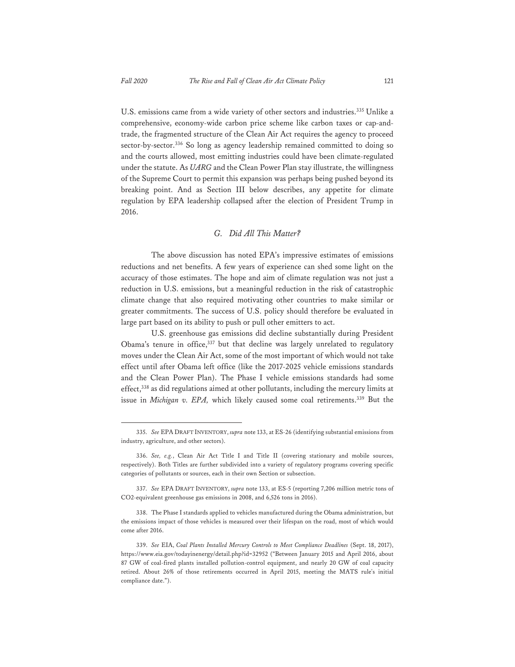U.S. emissions came from a wide variety of other sectors and industries.<sup>335</sup> Unlike a comprehensive, economy-wide carbon price scheme like carbon taxes or cap-andtrade, the fragmented structure of the Clean Air Act requires the agency to proceed sector-by-sector.<sup>336</sup> So long as agency leadership remained committed to doing so and the courts allowed, most emitting industries could have been climate-regulated under the statute. As *UARG* and the Clean Power Plan stay illustrate, the willingness of the Supreme Court to permit this expansion was perhaps being pushed beyond its breaking point. And as Section III below describes, any appetite for climate regulation by EPA leadership collapsed after the election of President Trump in 2016.

#### *G. Did All This Matter?*

The above discussion has noted EPA's impressive estimates of emissions reductions and net benefits. A few years of experience can shed some light on the accuracy of those estimates. The hope and aim of climate regulation was not just a reduction in U.S. emissions, but a meaningful reduction in the risk of catastrophic climate change that also required motivating other countries to make similar or greater commitments. The success of U.S. policy should therefore be evaluated in large part based on its ability to push or pull other emitters to act.

U.S. greenhouse gas emissions did decline substantially during President Obama's tenure in office,<sup>337</sup> but that decline was largely unrelated to regulatory moves under the Clean Air Act, some of the most important of which would not take effect until after Obama left office (like the 2017-2025 vehicle emissions standards and the Clean Power Plan). The Phase I vehicle emissions standards had some effect,338 as did regulations aimed at other pollutants, including the mercury limits at issue in *Michigan v. EPA*, which likely caused some coal retirements.<sup>339</sup> But the

<sup>335.</sup> *See* EPA DRAFT INVENTORY, *supra* note 133, at ES-26 (identifying substantial emissions from industry, agriculture, and other sectors).

<sup>336.</sup> *See, e.g.*, Clean Air Act Title I and Title II (covering stationary and mobile sources, respectively). Both Titles are further subdivided into a variety of regulatory programs covering specific categories of pollutants or sources, each in their own Section or subsection.

<sup>337.</sup> *See* EPA DRAFT INVENTORY, *supra* note 133, at ES-5 (reporting 7,206 million metric tons of CO2-equivalent greenhouse gas emissions in 2008, and 6,526 tons in 2016).

<sup>338.</sup> The Phase I standards applied to vehicles manufactured during the Obama administration, but the emissions impact of those vehicles is measured over their lifespan on the road, most of which would come after 2016.

<sup>339.</sup> *See* EIA, *Coal Plants Installed Mercury Controls to Meet Compliance Deadlines* (Sept. 18, 2017), https://www.eia.gov/todayinenergy/detail.php?id=32952 ("Between January 2015 and April 2016, about 87 GW of coal-fired plants installed pollution-control equipment, and nearly 20 GW of coal capacity retired. About 26% of those retirements occurred in April 2015, meeting the MATS rule's initial compliance date.").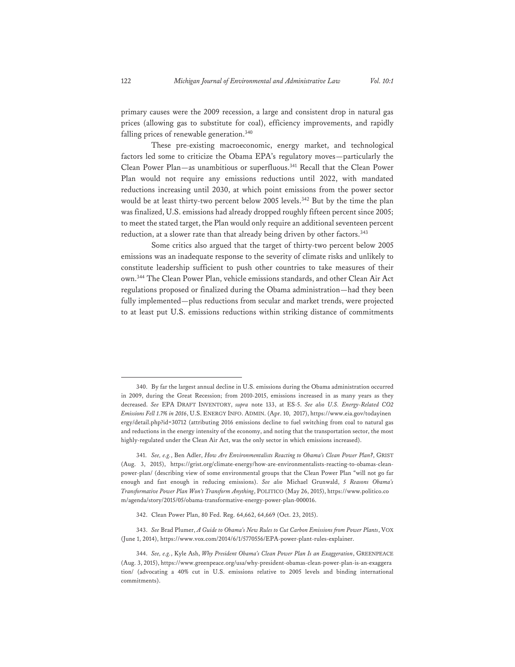primary causes were the 2009 recession, a large and consistent drop in natural gas prices (allowing gas to substitute for coal), efficiency improvements, and rapidly falling prices of renewable generation.<sup>340</sup>

These pre-existing macroeconomic, energy market, and technological factors led some to criticize the Obama EPA's regulatory moves—particularly the Clean Power Plan—as unambitious or superfluous.341 Recall that the Clean Power Plan would not require any emissions reductions until 2022, with mandated reductions increasing until 2030, at which point emissions from the power sector would be at least thirty-two percent below 2005 levels.<sup>342</sup> But by the time the plan was finalized, U.S. emissions had already dropped roughly fifteen percent since 2005; to meet the stated target, the Plan would only require an additional seventeen percent reduction, at a slower rate than that already being driven by other factors.<sup>343</sup>

Some critics also argued that the target of thirty-two percent below 2005 emissions was an inadequate response to the severity of climate risks and unlikely to constitute leadership sufficient to push other countries to take measures of their own.344 The Clean Power Plan, vehicle emissions standards, and other Clean Air Act regulations proposed or finalized during the Obama administration—had they been fully implemented—plus reductions from secular and market trends, were projected to at least put U.S. emissions reductions within striking distance of commitments

<sup>340.</sup> By far the largest annual decline in U.S. emissions during the Obama administration occurred in 2009, during the Great Recession; from 2010-2015, emissions increased in as many years as they decreased. *See* EPA DRAFT INVENTORY, *supra* note 133, at ES-5. *See also U.S. Energy-Related CO2 Emissions Fell 1.7% in 2016*, U.S. ENERGY INFO. ADMIN. (Apr. 10,2017), https://www.eia.gov/todayinen ergy/detail.php?id=30712 (attributing 2016 emissions decline to fuel switching from coal to natural gas and reductions in the energy intensity of the economy, and noting that the transportation sector, the most highly-regulated under the Clean Air Act, was the only sector in which emissions increased).

<sup>341.</sup> *See, e.g.*, Ben Adler, *How Are Environmentalists Reacting to Obama's Clean Power Plan?*, GRIST (Aug. 3, 2015), https://grist.org/climate-energy/how-are-environmentalists-reacting-to-obamas-cleanpower-plan/ (describing view of some environmental groups that the Clean Power Plan "will not go far enough and fast enough in reducing emissions). *See also* Michael Grunwald, *5 Reasons Obama's Transformative Power Plan Won't Transform Anything*, POLITICO (May 26, 2015), https://www.politico.co m/agenda/story/2015/05/obama-transformative-energy-power-plan-000016.

<sup>342.</sup> Clean Power Plan, 80 Fed. Reg. 64,662, 64,669 (Oct. 23, 2015).

<sup>343.</sup> *See* Brad Plumer, *A Guide to Obama's New Rules to Cut Carbon Emissions from Power Plants*, VOX (June 1, 2014), https://www.vox.com/2014/6/1/5770556/EPA-power-plant-rules-explainer.

<sup>344.</sup> *See, e.g.*, Kyle Ash, *Why President Obama's Clean Power Plan Is an Exaggeration*, GREENPEACE (Aug. 3, 2015), https://www.greenpeace.org/usa/why-president-obamas-clean-power-plan-is-an-exaggera tion/ (advocating a 40% cut in U.S. emissions relative to 2005 levels and binding international commitments).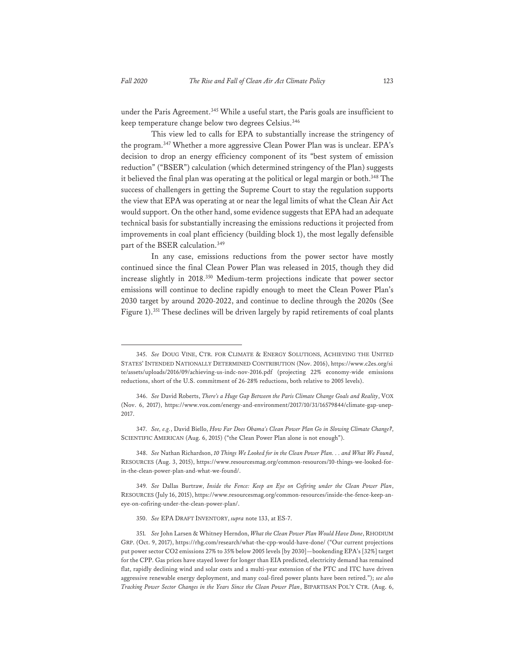under the Paris Agreement.<sup>345</sup> While a useful start, the Paris goals are insufficient to keep temperature change below two degrees Celsius.<sup>346</sup>

This view led to calls for EPA to substantially increase the stringency of the program.347 Whether a more aggressive Clean Power Plan was is unclear. EPA's decision to drop an energy efficiency component of its "best system of emission reduction" ("BSER") calculation (which determined stringency of the Plan) suggests it believed the final plan was operating at the political or legal margin or both.<sup>348</sup> The success of challengers in getting the Supreme Court to stay the regulation supports the view that EPA was operating at or near the legal limits of what the Clean Air Act would support. On the other hand, some evidence suggests that EPA had an adequate technical basis for substantially increasing the emissions reductions it projected from improvements in coal plant efficiency (building block 1), the most legally defensible part of the BSER calculation.<sup>349</sup>

In any case, emissions reductions from the power sector have mostly continued since the final Clean Power Plan was released in 2015, though they did increase slightly in 2018.350 Medium-term projections indicate that power sector emissions will continue to decline rapidly enough to meet the Clean Power Plan's 2030 target by around 2020-2022, and continue to decline through the 2020s (See Figure 1).351 These declines will be driven largely by rapid retirements of coal plants

348. *See* Nathan Richardson, *10 Things We Looked for in the Clean Power Plan. . . and What We Found*, RESOURCES (Aug. 3, 2015), https://www.resourcesmag.org/common-resources/10-things-we-looked-forin-the-clean-power-plan-and-what-we-found/.

349*. See* Dallas Burtraw, *Inside the Fence: Keep an Eye on Cofiring under the Clean Power Plan*, RESOURCES (July 16, 2015), https://www.resourcesmag.org/common-resources/inside-the-fence-keep-aneye-on-cofiring-under-the-clean-power-plan/.

350. *See* EPA DRAFT INVENTORY, *supra* note 133, at ES-7.

<sup>345.</sup> *See* DOUG VINE, CTR. FOR CLIMATE & ENERGY SOLUTIONS, ACHIEVING THE UNITED STATES' INTENDED NATIONALLY DETERMINED CONTRIBUTION (Nov. 2016), https://www.c2es.org/si te/assets/uploads/2016/09/achieving-us-indc-nov-2016.pdf (projecting 22% economy-wide emissions reductions, short of the U.S. commitment of 26-28% reductions, both relative to 2005 levels).

<sup>346.</sup> *See* David Roberts, *There's a Huge Gap Between the Paris Climate Change Goals and Reality*, VOX (Nov. 6, 2017), https://www.vox.com/energy-and-environment/2017/10/31/16579844/climate-gap-unep-2017.

<sup>347.</sup> *See, e.g.*, David Biello, *How Far Does Obama's Clean Power Plan Go in Slowing Climate Change?*, SCIENTIFIC AMERICAN (Aug. 6, 2015) ("the Clean Power Plan alone is not enough").

<sup>351</sup>*. See* John Larsen & Whitney Herndon, *What the Clean Power Plan Would Have Done*, RHODIUM GRP. (Oct. 9, 2017), https://rhg.com/research/what-the-cpp-would-have-done/ ("Our current projections put power sector CO2 emissions 27% to 35% below 2005 levels [by 2030]—bookending EPA's [32%] target for the CPP. Gas prices have stayed lower for longer than EIA predicted, electricity demand has remained flat, rapidly declining wind and solar costs and a multi-year extension of the PTC and ITC have driven aggressive renewable energy deployment, and many coal-fired power plants have been retired."); *see also Tracking Power Sector Changes in the Years Since the Clean Power Plan*, BIPARTISAN POL'Y CTR. (Aug. 6,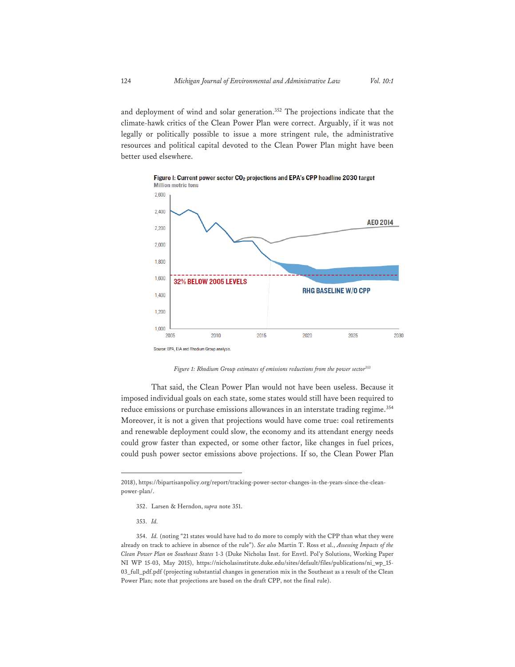and deployment of wind and solar generation.<sup>352</sup> The projections indicate that the climate-hawk critics of the Clean Power Plan were correct. Arguably, if it was not legally or politically possible to issue a more stringent rule, the administrative resources and political capital devoted to the Clean Power Plan might have been better used elsewhere.



Figure I: Current power sector CO<sub>2</sub> projections and EPA's CPP headline 2030 target

*Figure 1: Rhodium Group estimates of emissions reductions from the power sector353*

That said, the Clean Power Plan would not have been useless. Because it imposed individual goals on each state, some states would still have been required to reduce emissions or purchase emissions allowances in an interstate trading regime.<sup>354</sup> Moreover, it is not a given that projections would have come true: coal retirements and renewable deployment could slow, the economy and its attendant energy needs could grow faster than expected, or some other factor, like changes in fuel prices, could push power sector emissions above projections. If so, the Clean Power Plan

<sup>2018),</sup> https://bipartisanpolicy.org/report/tracking-power-sector-changes-in-the-years-since-the-cleanpower-plan/.

<sup>352.</sup> Larsen & Herndon, *supra* note 351.

<sup>353.</sup> *Id.*

<sup>354.</sup> *Id.* (noting "21 states would have had to do more to comply with the CPP than what they were already on track to achieve in absence of the rule"). *See also* Martin T. Ross et al., *Assessing Impacts of the Clean Power Plan on Southeast States* 1-3 (Duke Nicholas Inst. for Envtl. Pol'y Solutions, Working Paper NI WP 15-03, May 2015), https://nicholasinstitute.duke.edu/sites/default/files/publications/ni\_wp\_15- 03\_full\_pdf.pdf (projecting substantial changes in generation mix in the Southeast as a result of the Clean Power Plan; note that projections are based on the draft CPP, not the final rule).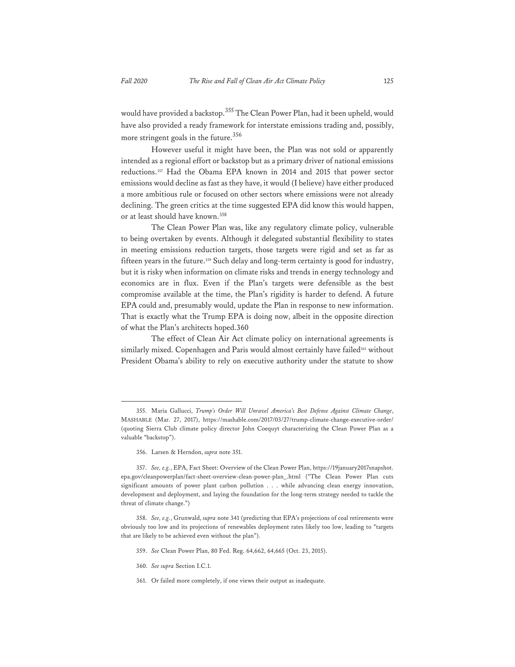would have provided a backstop.<sup>355</sup> The Clean Power Plan, had it been upheld, would have also provided a ready framework for interstate emissions trading and, possibly, more stringent goals in the future.<sup>356</sup>

However useful it might have been, the Plan was not sold or apparently intended as a regional effort or backstop but as a primary driver of national emissions reductions.357 Had the Obama EPA known in 2014 and 2015 that power sector emissions would decline as fast as they have, it would (I believe) have either produced a more ambitious rule or focused on other sectors where emissions were not already declining. The green critics at the time suggested EPA did know this would happen, or at least should have known.<sup>358</sup>

The Clean Power Plan was, like any regulatory climate policy, vulnerable to being overtaken by events. Although it delegated substantial flexibility to states in meeting emissions reduction targets, those targets were rigid and set as far as fifteen years in the future.<sup>359</sup> Such delay and long-term certainty is good for industry, but it is risky when information on climate risks and trends in energy technology and economics are in flux. Even if the Plan's targets were defensible as the best compromise available at the time, the Plan's rigidity is harder to defend. A future EPA could and, presumably would, update the Plan in response to new information. That is exactly what the Trump EPA is doing now, albeit in the opposite direction of what the Plan's architects hoped.360

The effect of Clean Air Act climate policy on international agreements is similarly mixed. Copenhagen and Paris would almost certainly have failed<sup>361</sup> without President Obama's ability to rely on executive authority under the statute to show

356. Larsen & Herndon, *supra* note 351.

- 359. *See* Clean Power Plan, 80 Fed. Reg. 64,662, 64,665 (Oct. 23, 2015).
- 360. *See supra* Section I.C.1.
- 361. Or failed more completely, if one views their output as inadequate.

<sup>355.</sup> Maria Gallucci, *Trump's Order Will Unravel America's Best Defense Against Climate Change*, MASHABLE (Mar. 27, 2017), https://mashable.com/2017/03/27/trump-climate-change-executive-order/ (quoting Sierra Club climate policy director John Coequyt characterizing the Clean Power Plan as a valuable "backstop").

<sup>357.</sup> *See, e.g.*, EPA, Fact Sheet: Overview of the Clean Power Plan, https://19january2017snapshot. epa.gov/cleanpowerplan/fact-sheet-overview-clean-power-plan\_.html ("The Clean Power Plan cuts significant amounts of power plant carbon pollution . . . while advancing clean energy innovation, development and deployment, and laying the foundation for the long-term strategy needed to tackle the threat of climate change.")

<sup>358.</sup> *See, e.g.*, Grunwald, *supra* note 341 (predicting that EPA's projections of coal retirements were obviously too low and its projections of renewables deployment rates likely too low, leading to "targets that are likely to be achieved even without the plan").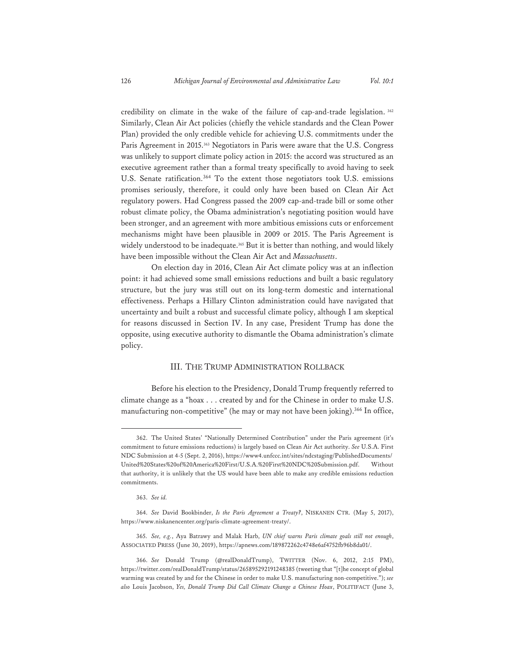credibility on climate in the wake of the failure of cap-and-trade legislation. 362 Similarly, Clean Air Act policies (chiefly the vehicle standards and the Clean Power Plan) provided the only credible vehicle for achieving U.S. commitments under the Paris Agreement in 2015.<sup>363</sup> Negotiators in Paris were aware that the U.S. Congress was unlikely to support climate policy action in 2015: the accord was structured as an executive agreement rather than a formal treaty specifically to avoid having to seek U.S. Senate ratification.<sup>364</sup> To the extent those negotiators took U.S. emissions promises seriously, therefore, it could only have been based on Clean Air Act regulatory powers. Had Congress passed the 2009 cap-and-trade bill or some other robust climate policy, the Obama administration's negotiating position would have been stronger, and an agreement with more ambitious emissions cuts or enforcement mechanisms might have been plausible in 2009 or 2015. The Paris Agreement is widely understood to be inadequate.<sup>365</sup> But it is better than nothing, and would likely have been impossible without the Clean Air Act and *Massachusetts*.

On election day in 2016, Clean Air Act climate policy was at an inflection point: it had achieved some small emissions reductions and built a basic regulatory structure, but the jury was still out on its long-term domestic and international effectiveness. Perhaps a Hillary Clinton administration could have navigated that uncertainty and built a robust and successful climate policy, although I am skeptical for reasons discussed in Section IV. In any case, President Trump has done the opposite, using executive authority to dismantle the Obama administration's climate policy.

## III. THE TRUMP ADMINISTRATION ROLLBACK

Before his election to the Presidency, Donald Trump frequently referred to climate change as a "hoax . . . created by and for the Chinese in order to make U.S. manufacturing non-competitive" (he may or may not have been joking).<sup>366</sup> In office,

363. *See id.*

<sup>362.</sup> The United States' "Nationally Determined Contribution" under the Paris agreement (it's commitment to future emissions reductions) is largely based on Clean Air Act authority. *See* U.S.A. First NDC Submission at 4-5 (Sept. 2, 2016), https://www4.unfccc.int/sites/ndcstaging/PublishedDocuments/ United%20States%20of%20America%20First/U.S.A.%20First%20NDC%20Submission.pdf. Without that authority, it is unlikely that the US would have been able to make any credible emissions reduction commitments.

<sup>364.</sup> *See* David Bookbinder, *Is the Paris Agreement a Treaty?*, NISKANEN CTR. (May 5, 2017), https://www.niskanencenter.org/paris-climate-agreement-treaty/.

<sup>365.</sup> *See, e.g.*, Aya Batrawy and Malak Harb, *UN chief warns Paris climate goals still not enough*, ASSOCIATED PRESS (June 30, 2019), https://apnews.com/189872262c4748e6af4752fb96b8da01/.

<sup>366.</sup> *See* Donald Trump (@realDonaldTrump), TWITTER (Nov. 6, 2012, 2:15 PM), https://twitter.com/realDonaldTrump/status/265895292191248385 (tweeting that "[t]he concept of global warming was created by and for the Chinese in order to make U.S. manufacturing non-competitive."); *see also* Louis Jacobson, *Yes, Donald Trump Did Call Climate Change a Chinese Hoax*, POLITIFACT (June 3,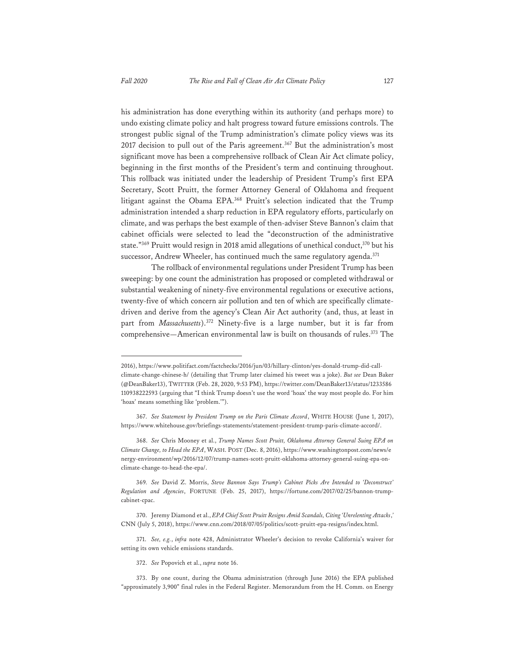his administration has done everything within its authority (and perhaps more) to undo existing climate policy and halt progress toward future emissions controls. The strongest public signal of the Trump administration's climate policy views was its 2017 decision to pull out of the Paris agreement.<sup>367</sup> But the administration's most significant move has been a comprehensive rollback of Clean Air Act climate policy, beginning in the first months of the President's term and continuing throughout. This rollback was initiated under the leadership of President Trump's first EPA Secretary, Scott Pruitt, the former Attorney General of Oklahoma and frequent litigant against the Obama EPA.368 Pruitt's selection indicated that the Trump administration intended a sharp reduction in EPA regulatory efforts, particularly on climate, and was perhaps the best example of then-adviser Steve Bannon's claim that cabinet officials were selected to lead the "deconstruction of the administrative state."<sup>369</sup> Pruitt would resign in 2018 amid allegations of unethical conduct,<sup>370</sup> but his successor, Andrew Wheeler, has continued much the same regulatory agenda.<sup>371</sup>

The rollback of environmental regulations under President Trump has been sweeping: by one count the administration has proposed or completed withdrawal or substantial weakening of ninety-five environmental regulations or executive actions, twenty-five of which concern air pollution and ten of which are specifically climatedriven and derive from the agency's Clean Air Act authority (and, thus, at least in part from *Massachusetts*).372 Ninety-five is a large number, but it is far from comprehensive—American environmental law is built on thousands of rules.<sup>373</sup> The

368. *See* Chris Mooney et al., *Trump Names Scott Pruitt, Oklahoma Attorney General Suing EPA on Climate Change, to Head the EPA*, WASH. POST (Dec. 8, 2016), https://www.washingtonpost.com/news/e nergy-environment/wp/2016/12/07/trump-names-scott-pruitt-oklahoma-attorney-general-suing-epa-onclimate-change-to-head-the-epa/.

<sup>2016),</sup> https://www.politifact.com/factchecks/2016/jun/03/hillary-clinton/yes-donald-trump-did-callclimate-change-chinese-h/ (detailing that Trump later claimed his tweet was a joke). *But see* Dean Baker (@DeanBaker13), TWITTER (Feb. 28, 2020, 9:53 PM), https://twitter.com/DeanBaker13/status/1233586 110938222593 (arguing that "I think Trump doesn't use the word 'hoax' the way most people do. For him 'hoax' means something like 'problem.'").

<sup>367.</sup> *See Statement by President Trump on the Paris Climate Accord*, WHITE HOUSE (June 1, 2017), https://www.whitehouse.gov/briefings-statements/statement-president-trump-paris-climate-accord/.

<sup>369</sup>*. See* David Z. Morris, *Steve Bannon Says Trump's Cabinet Picks Are Intended to 'Deconstruct' Regulation and Agencies*, FORTUNE (Feb. 25, 2017), https://fortune.com/2017/02/25/bannon-trumpcabinet-cpac.

<sup>370.</sup> Jeremy Diamond et al., *EPA Chief Scott Pruitt Resigns Amid Scandals, Citing 'Unrelenting Attacks*,*'* CNN (July 5, 2018), https://www.cnn.com/2018/07/05/politics/scott-pruitt-epa-resigns/index.html.

<sup>371.</sup> *See, e.g.*, *infra* note 428, Administrator Wheeler's decision to revoke California's waiver for setting its own vehicle emissions standards.

<sup>372.</sup> *See* Popovich et al., *supra* note 16.

<sup>373.</sup> By one count, during the Obama administration (through June 2016) the EPA published "approximately 3,900" final rules in the Federal Register. Memorandum from the H. Comm. on Energy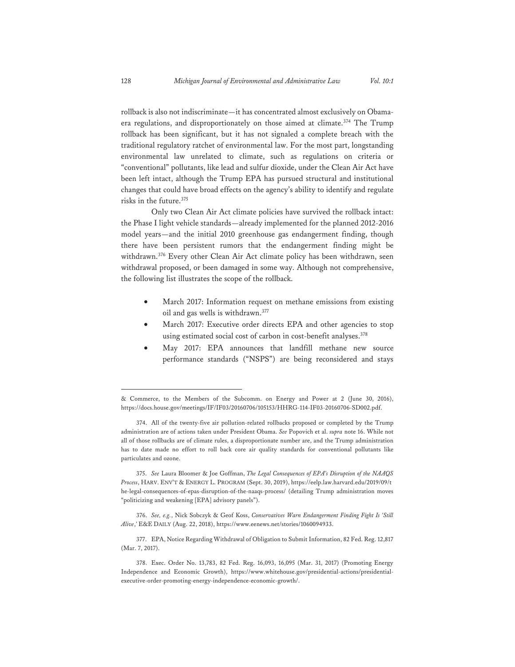rollback is also not indiscriminate—it has concentrated almost exclusively on Obamaera regulations, and disproportionately on those aimed at climate.<sup>374</sup> The Trump rollback has been significant, but it has not signaled a complete breach with the traditional regulatory ratchet of environmental law. For the most part, longstanding environmental law unrelated to climate, such as regulations on criteria or "conventional" pollutants, like lead and sulfur dioxide, under the Clean Air Act have been left intact, although the Trump EPA has pursued structural and institutional changes that could have broad effects on the agency's ability to identify and regulate risks in the future.<sup>375</sup>

Only two Clean Air Act climate policies have survived the rollback intact: the Phase I light vehicle standards—already implemented for the planned 2012-2016 model years—and the initial 2010 greenhouse gas endangerment finding, though there have been persistent rumors that the endangerment finding might be withdrawn.376 Every other Clean Air Act climate policy has been withdrawn, seen withdrawal proposed, or been damaged in some way. Although not comprehensive, the following list illustrates the scope of the rollback.

- March 2017: Information request on methane emissions from existing oil and gas wells is withdrawn.<sup>377</sup>
- March 2017: Executive order directs EPA and other agencies to stop using estimated social cost of carbon in cost-benefit analyses.<sup>378</sup>
- May 2017: EPA announces that landfill methane new source performance standards ("NSPS") are being reconsidered and stays

375. *See* Laura Bloomer & Joe Goffman, *The Legal Consequences of EPA's Disruption of the NAAQS Process*, HARV. ENV'T & ENERGY L. PROGRAM (Sept. 30, 2019), https://eelp.law.harvard.edu/2019/09/t he-legal-consequences-of-epas-disruption-of-the-naaqs-process/ (detailing Trump administration moves "politicizing and weakening [EPA] advisory panels").

<sup>&</sup>amp; Commerce, to the Members of the Subcomm. on Energy and Power at 2 (June 30, 2016), https://docs.house.gov/meetings/IF/IF03/20160706/105153/HHRG-114-IF03-20160706-SD002.pdf.

<sup>374.</sup> All of the twenty-five air pollution-related rollbacks proposed or completed by the Trump administration are of actions taken under President Obama. *See* Popovich et al. *supra* note 16. While not all of those rollbacks are of climate rules, a disproportionate number are, and the Trump administration has to date made no effort to roll back core air quality standards for conventional pollutants like particulates and ozone.

<sup>376.</sup> *See, e.g.*, Nick Sobczyk & Geof Koss, *Conservatives Warn Endangerment Finding Fight Is 'Still Alive*,*'* E&E DAILY (Aug. 22, 2018), https://www.eenews.net/stories/1060094933.

<sup>377.</sup> EPA, Notice Regarding Withdrawal of Obligation to Submit Information, 82 Fed. Reg. 12,817 (Mar. 7, 2017).

<sup>378.</sup> Exec. Order No. 13,783, 82 Fed. Reg. 16,093, 16,095 (Mar. 31, 2017) (Promoting Energy Independence and Economic Growth), https://www.whitehouse.gov/presidential-actions/presidentialexecutive-order-promoting-energy-independence-economic-growth/.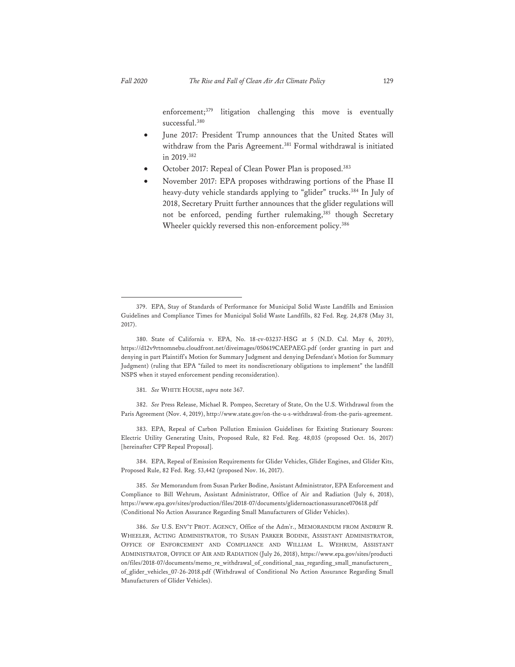enforcement;<sup>379</sup> litigation challenging this move is eventually successful.<sup>380</sup>

- June 2017: President Trump announces that the United States will withdraw from the Paris Agreement.<sup>381</sup> Formal withdrawal is initiated in 2019.382
- October 2017: Repeal of Clean Power Plan is proposed.383
- November 2017: EPA proposes withdrawing portions of the Phase II heavy-duty vehicle standards applying to "glider" trucks.<sup>384</sup> In July of 2018, Secretary Pruitt further announces that the glider regulations will not be enforced, pending further rulemaking,<sup>385</sup> though Secretary Wheeler quickly reversed this non-enforcement policy.<sup>386</sup>

381. *See* WHITE HOUSE, *supra* note 367.

382. *See* Press Release, Michael R. Pompeo, Secretary of State, On the U.S. Withdrawal from the Paris Agreement (Nov. 4, 2019), http://www.state.gov/on-the-u-s-withdrawal-from-the-paris-agreement.

383. EPA, Repeal of Carbon Pollution Emission Guidelines for Existing Stationary Sources: Electric Utility Generating Units, Proposed Rule, 82 Fed. Reg. 48,035 (proposed Oct. 16, 2017) [hereinafter CPP Repeal Proposal].

384. EPA, Repeal of Emission Requirements for Glider Vehicles, Glider Engines, and Glider Kits, Proposed Rule, 82 Fed. Reg. 53,442 (proposed Nov. 16, 2017).

<sup>379.</sup> EPA, Stay of Standards of Performance for Municipal Solid Waste Landfills and Emission Guidelines and Compliance Times for Municipal Solid Waste Landfills, 82 Fed. Reg. 24,878 (May 31, 2017).

<sup>380.</sup> State of California v. EPA, No. 18-cv-03237-HSG at 5 (N.D. Cal. May 6, 2019), https://d12v9rtnomnebu.cloudfront.net/diveimages/050619CAEPAEG.pdf (order granting in part and denying in part Plaintiff's Motion for Summary Judgment and denying Defendant's Motion for Summary Judgment) (ruling that EPA "failed to meet its nondiscretionary obligations to implement" the landfill NSPS when it stayed enforcement pending reconsideration).

<sup>385.</sup> *See* Memorandum from Susan Parker Bodine, Assistant Administrator, EPA Enforcement and Compliance to Bill Wehrum, Assistant Administrator, Office of Air and Radiation (July 6, 2018), https://www.epa.gov/sites/production/files/2018-07/documents/glidernoactionassurance070618.pdf (Conditional No Action Assurance Regarding Small Manufacturers of Glider Vehicles).

<sup>386.</sup> *See* U.S. ENV'T PROT. AGENCY, Office of the Adm'r., MEMORANDUM FROM ANDREW R. WHEELER, ACTING ADMINISTRATOR, TO SUSAN PARKER BODINE, ASSISTANT ADMINISTRATOR, OFFICE OF ENFORCEMENT AND COMPLIANCE AND WILLIAM L. WEHRUM, ASSISTANT ADMINISTRATOR, OFFICE OF AIR AND RADIATION (July 26, 2018), https://www.epa.gov/sites/producti on/files/2018-07/documents/memo\_re\_withdrawal\_of\_conditional\_naa\_regarding\_small\_manufacturers\_ of\_glider\_vehicles\_07-26-2018.pdf (Withdrawal of Conditional No Action Assurance Regarding Small Manufacturers of Glider Vehicles).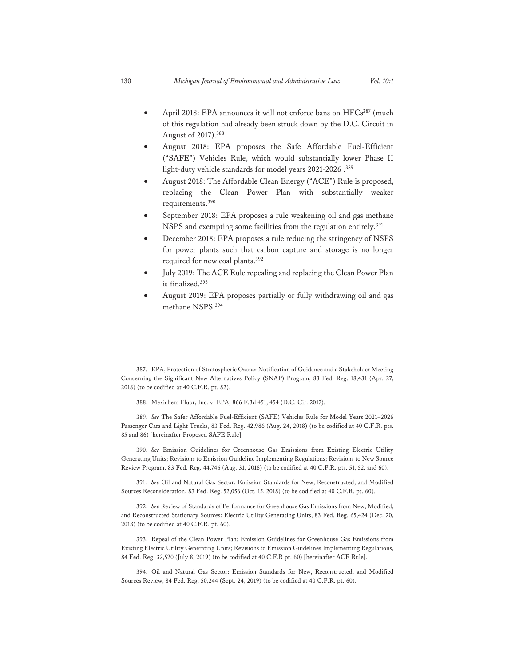- April 2018: EPA announces it will not enforce bans on HFCs<sup>387</sup> (much of this regulation had already been struck down by the D.C. Circuit in August of 2017).388
- August 2018: EPA proposes the Safe Affordable Fuel-Efficient ("SAFE") Vehicles Rule, which would substantially lower Phase II light-duty vehicle standards for model years 2021-2026.<sup>389</sup>
- August 2018: The Affordable Clean Energy ("ACE") Rule is proposed, replacing the Clean Power Plan with substantially weaker requirements.<sup>390</sup>
- September 2018: EPA proposes a rule weakening oil and gas methane NSPS and exempting some facilities from the regulation entirely.<sup>391</sup>
- December 2018: EPA proposes a rule reducing the stringency of NSPS for power plants such that carbon capture and storage is no longer required for new coal plants.<sup>392</sup>
- July 2019: The ACE Rule repealing and replacing the Clean Power Plan is finalized.393
- August 2019: EPA proposes partially or fully withdrawing oil and gas methane NSPS.394

390. *See* Emission Guidelines for Greenhouse Gas Emissions from Existing Electric Utility Generating Units; Revisions to Emission Guideline Implementing Regulations; Revisions to New Source Review Program, 83 Fed. Reg. 44,746 (Aug. 31, 2018) (to be codified at 40 C.F.R. pts. 51, 52, and 60).

391. *See* Oil and Natural Gas Sector: Emission Standards for New, Reconstructed, and Modified Sources Reconsideration, 83 Fed. Reg. 52,056 (Oct. 15, 2018) (to be codified at 40 C.F.R. pt. 60).

392. *See* Review of Standards of Performance for Greenhouse Gas Emissions from New, Modified, and Reconstructed Stationary Sources: Electric Utility Generating Units, 83 Fed. Reg. 65,424 (Dec. 20, 2018) (to be codified at 40 C.F.R. pt. 60).

393. Repeal of the Clean Power Plan; Emission Guidelines for Greenhouse Gas Emissions from Existing Electric Utility Generating Units; Revisions to Emission Guidelines Implementing Regulations, 84 Fed. Reg. 32,520 (July 8, 2019) (to be codified at 40 C.F.R pt. 60) [hereinafter ACE Rule].

394. Oil and Natural Gas Sector: Emission Standards for New, Reconstructed, and Modified Sources Review, 84 Fed. Reg. 50,244 (Sept. 24, 2019) (to be codified at 40 C.F.R. pt. 60).

<sup>387.</sup> EPA, Protection of Stratospheric Ozone: Notification of Guidance and a Stakeholder Meeting Concerning the Significant New Alternatives Policy (SNAP) Program, 83 Fed. Reg. 18,431 (Apr. 27, 2018) (to be codified at 40 C.F.R. pt. 82).

<sup>388.</sup> Mexichem Fluor, Inc. v. EPA, 866 F.3d 451, 454 (D.C. Cir. 2017).

<sup>389.</sup> *See* The Safer Affordable Fuel-Efficient (SAFE) Vehicles Rule for Model Years 2021–2026 Passenger Cars and Light Trucks, 83 Fed. Reg. 42,986 (Aug. 24, 2018) (to be codified at 40 C.F.R. pts. 85 and 86) [hereinafter Proposed SAFE Rule].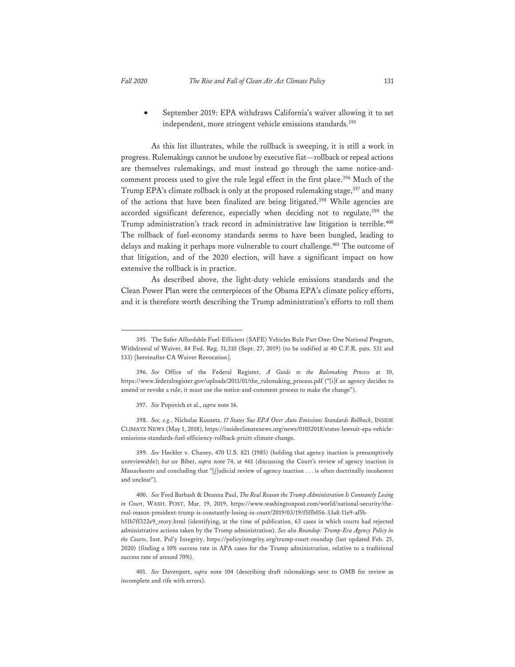• September 2019: EPA withdraws California's waiver allowing it to set independent, more stringent vehicle emissions standards.395

As this list illustrates, while the rollback is sweeping, it is still a work in progress. Rulemakings cannot be undone by executive fiat—rollback or repeal actions are themselves rulemakings, and must instead go through the same notice-andcomment process used to give the rule legal effect in the first place.<sup>396</sup> Much of the Trump EPA's climate rollback is only at the proposed rulemaking stage,<sup>397</sup> and many of the actions that have been finalized are being litigated.<sup>398</sup> While agencies are accorded significant deference, especially when deciding not to regulate,<sup>399</sup> the Trump administration's track record in administrative law litigation is terrible.<sup>400</sup> The rollback of fuel-economy standards seems to have been bungled, leading to delays and making it perhaps more vulnerable to court challenge.<sup>401</sup> The outcome of that litigation, and of the 2020 election, will have a significant impact on how extensive the rollback is in practice.

As described above, the light-duty vehicle emissions standards and the Clean Power Plan were the centerpieces of the Obama EPA's climate policy efforts, and it is therefore worth describing the Trump administration's efforts to roll them

398. *See, e.g.*, Nicholas Kusnetz, *17 States Sue EPA Over Auto Emissions Standards Rollback*, INSIDE CLIMATE NEWS (May 1, 2018), https://insideclimatenews.org/news/01052018/states-lawsuit-epa-vehicleemissions-standards-fuel-efficiency-rollback-pruitt-climate-change.

399. *See* Heckler v. Chaney, 470 U.S. 821 (1985) (holding that agency inaction is presumptively unreviewable); *but see* Biber, *supra* note 74, at 461 (discussing the Court's review of agency inaction in *Massachusetts* and concluding that "[j]udicial review of agency inaction . . . is often doctrinally incoherent and unclear").

<sup>395.</sup> The Safer Affordable Fuel-Efficient (SAFE) Vehicles Rule Part One: One National Program, Withdrawal of Waiver, 84 Fed. Reg. 51,310 (Sept. 27, 2019) (to be codified at 40 C.F.R. pats. 531 and 533) [hereinafter CA Waiver Revocation].

<sup>396.</sup> *See* Office of the Federal Register, *A Guide to the Rulemaking Process* at 10, https://www.federalregister.gov/uploads/2011/01/the\_rulemaking\_process.pdf ("[i]f an agency decides to amend or revoke a rule, it must use the notice-and-comment process to make the change").

<sup>397.</sup> *See* Popovich et al., *supra* note 16.

<sup>400.</sup> *See* Fred Barbash & Deanna Paul, *The Real Reason the Trump Administration Is Constantly Losing in Court*, WASH. POST, Mar. 19, 2019, https://www.washingtonpost.com/world/national-security/thereal-reason-president-trump-is-constantly-losing-in-court/2019/03/19/f5ffb056-33a8-11e9-af5bb51b7ff322e9\_story.html (identifying, at the time of publication, 63 cases in which courts had rejected administrative actions taken by the Trump administration). *See also Roundup: Trump-Era Agency Policy in the Courts*, Inst. Pol'y Integrity, https://policyintegrity.org/trump-court-roundup (last updated Feb. 25, 2020) (finding a 10% success rate in APA cases for the Trump administration, relative to a traditional success rate of around 70%).

<sup>401.</sup> *See* Davenport, *supra* note 104 (describing draft rulemakings sent to OMB for review as incomplete and rife with errors).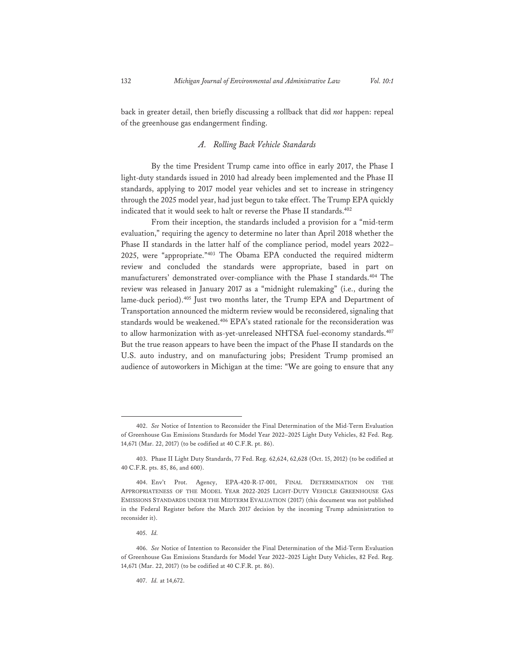back in greater detail, then briefly discussing a rollback that did *not* happen: repeal of the greenhouse gas endangerment finding.

# *A. Rolling Back Vehicle Standards*

By the time President Trump came into office in early 2017, the Phase I light-duty standards issued in 2010 had already been implemented and the Phase II standards, applying to 2017 model year vehicles and set to increase in stringency through the 2025 model year, had just begun to take effect. The Trump EPA quickly indicated that it would seek to halt or reverse the Phase II standards.<sup>402</sup>

From their inception, the standards included a provision for a "mid-term evaluation," requiring the agency to determine no later than April 2018 whether the Phase II standards in the latter half of the compliance period, model years 2022– 2025, were "appropriate."403 The Obama EPA conducted the required midterm review and concluded the standards were appropriate, based in part on manufacturers' demonstrated over-compliance with the Phase I standards.<sup>404</sup> The review was released in January 2017 as a "midnight rulemaking" (i.e., during the lame-duck period).<sup>405</sup> Just two months later, the Trump EPA and Department of Transportation announced the midterm review would be reconsidered, signaling that standards would be weakened.<sup>406</sup> EPA's stated rationale for the reconsideration was to allow harmonization with as-yet-unreleased NHTSA fuel-economy standards.<sup>407</sup> But the true reason appears to have been the impact of the Phase II standards on the U.S. auto industry, and on manufacturing jobs; President Trump promised an audience of autoworkers in Michigan at the time: "We are going to ensure that any

<sup>402.</sup> *See* Notice of Intention to Reconsider the Final Determination of the Mid-Term Evaluation of Greenhouse Gas Emissions Standards for Model Year 2022–2025 Light Duty Vehicles, 82 Fed. Reg. 14,671 (Mar. 22, 2017) (to be codified at 40 C.F.R. pt. 86).

<sup>403.</sup> Phase II Light Duty Standards, 77 Fed. Reg. 62,624, 62,628 (Oct. 15, 2012) (to be codified at 40 C.F.R. pts. 85, 86, and 600).

<sup>404.</sup> Env't Prot. Agency, EPA-420-R-17-001, FINAL DETERMINATION ON THE APPROPRIATENESS OF THE MODEL YEAR 2022-2025 LIGHT-DUTY VEHICLE GREENHOUSE GAS EMISSIONS STANDARDS UNDER THE MIDTERM EVALUATION (2017) (this document was not published in the Federal Register before the March 2017 decision by the incoming Trump administration to reconsider it).

<sup>405.</sup> *Id.*

<sup>406.</sup> *See* Notice of Intention to Reconsider the Final Determination of the Mid-Term Evaluation of Greenhouse Gas Emissions Standards for Model Year 2022–2025 Light Duty Vehicles, 82 Fed. Reg. 14,671 (Mar. 22, 2017) (to be codified at 40 C.F.R. pt. 86).

<sup>407.</sup> *Id.* at 14,672.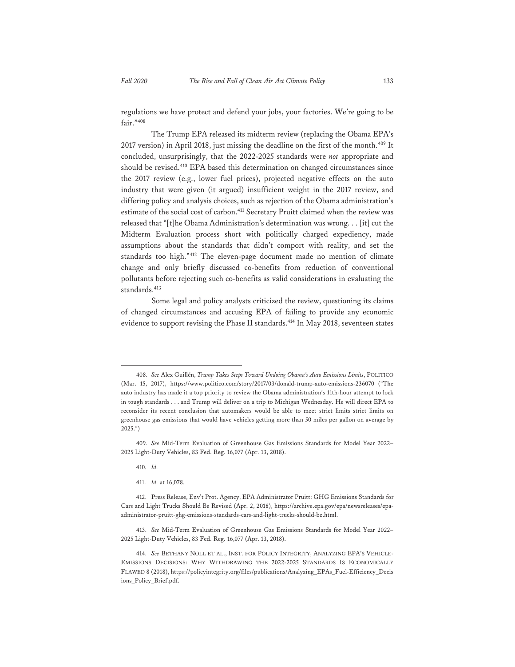regulations we have protect and defend your jobs, your factories. We're going to be fair."<sup>408</sup>

The Trump EPA released its midterm review (replacing the Obama EPA's 2017 version) in April 2018, just missing the deadline on the first of the month.<sup>409</sup> It concluded, unsurprisingly, that the 2022-2025 standards were *not* appropriate and should be revised.410 EPA based this determination on changed circumstances since the 2017 review (e.g., lower fuel prices), projected negative effects on the auto industry that were given (it argued) insufficient weight in the 2017 review, and differing policy and analysis choices, such as rejection of the Obama administration's estimate of the social cost of carbon.411 Secretary Pruitt claimed when the review was released that "[t]he Obama Administration's determination was wrong. . . [it] cut the Midterm Evaluation process short with politically charged expediency, made assumptions about the standards that didn't comport with reality, and set the standards too high."412 The eleven-page document made no mention of climate change and only briefly discussed co-benefits from reduction of conventional pollutants before rejecting such co-benefits as valid considerations in evaluating the standards.<sup>413</sup>

Some legal and policy analysts criticized the review, questioning its claims of changed circumstances and accusing EPA of failing to provide any economic evidence to support revising the Phase II standards.<sup>414</sup> In May 2018, seventeen states

410*. Id.*

411. *Id.* at 16,078.

<sup>408.</sup> *See* Alex Guillén, *Trump Takes Steps Toward Undoing Obama's Auto Emissions Limits*, POLITICO (Mar. 15, 2017), https://www.politico.com/story/2017/03/donald-trump-auto-emissions-236070 ("The auto industry has made it a top priority to review the Obama administration's 11th-hour attempt to lock in tough standards . . . and Trump will deliver on a trip to Michigan Wednesday. He will direct EPA to reconsider its recent conclusion that automakers would be able to meet strict limits strict limits on greenhouse gas emissions that would have vehicles getting more than 50 miles per gallon on average by 2025.")

<sup>409.</sup> *See* Mid-Term Evaluation of Greenhouse Gas Emissions Standards for Model Year 2022– 2025 Light-Duty Vehicles, 83 Fed. Reg. 16,077 (Apr. 13, 2018).

<sup>412.</sup> Press Release, Env't Prot. Agency, EPA Administrator Pruitt: GHG Emissions Standards for Cars and Light Trucks Should Be Revised (Apr. 2, 2018), https://archive.epa.gov/epa/newsreleases/epaadministrator-pruitt-ghg-emissions-standards-cars-and-light-trucks-should-be.html.

<sup>413.</sup> *See* Mid-Term Evaluation of Greenhouse Gas Emissions Standards for Model Year 2022– 2025 Light-Duty Vehicles, 83 Fed. Reg. 16,077 (Apr. 13, 2018).

<sup>414.</sup> *See* BETHANY NOLL ET AL., INST. FOR POLICY INTEGRITY, ANALYZING EPA'S VEHICLE-EMISSIONS DECISIONS: WHY WITHDRAWING THE 2022-2025 STANDARDS IS ECONOMICALLY FLAWED 8 (2018), https://policyintegrity.org/files/publications/Analyzing\_EPAs\_Fuel-Efficiency\_Decis ions\_Policy\_Brief.pdf.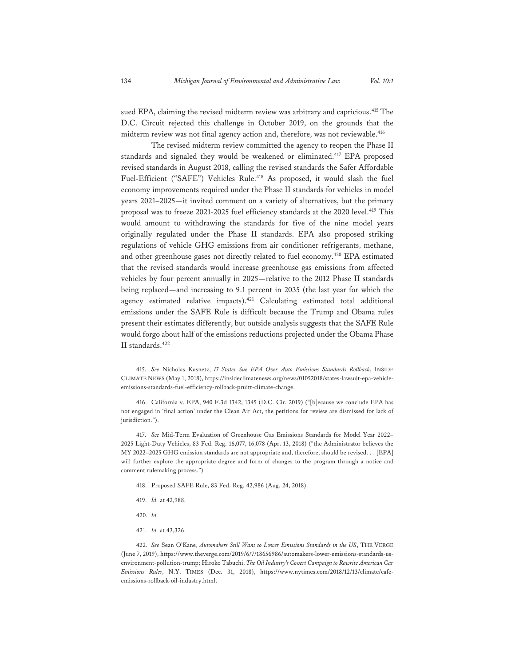sued EPA, claiming the revised midterm review was arbitrary and capricious.<sup>415</sup> The D.C. Circuit rejected this challenge in October 2019, on the grounds that the midterm review was not final agency action and, therefore, was not reviewable.<sup>416</sup>

The revised midterm review committed the agency to reopen the Phase II standards and signaled they would be weakened or eliminated.<sup>417</sup> EPA proposed revised standards in August 2018, calling the revised standards the Safer Affordable Fuel-Efficient ("SAFE") Vehicles Rule.<sup>418</sup> As proposed, it would slash the fuel economy improvements required under the Phase II standards for vehicles in model years 2021–2025—it invited comment on a variety of alternatives, but the primary proposal was to freeze 2021-2025 fuel efficiency standards at the 2020 level.<sup>419</sup> This would amount to withdrawing the standards for five of the nine model years originally regulated under the Phase II standards. EPA also proposed striking regulations of vehicle GHG emissions from air conditioner refrigerants, methane, and other greenhouse gases not directly related to fuel economy.420 EPA estimated that the revised standards would increase greenhouse gas emissions from affected vehicles by four percent annually in 2025—relative to the 2012 Phase II standards being replaced—and increasing to 9.1 percent in 2035 (the last year for which the agency estimated relative impacts).<sup>421</sup> Calculating estimated total additional emissions under the SAFE Rule is difficult because the Trump and Obama rules present their estimates differently, but outside analysis suggests that the SAFE Rule would forgo about half of the emissions reductions projected under the Obama Phase II standards.422

417. *See* Mid-Term Evaluation of Greenhouse Gas Emissions Standards for Model Year 2022– 2025 Light-Duty Vehicles, 83 Fed. Reg. 16,077, 16,078 (Apr. 13, 2018) ("the Administrator believes the MY 2022–2025 GHG emission standards are not appropriate and, therefore, should be revised. . . [EPA] will further explore the appropriate degree and form of changes to the program through a notice and comment rulemaking process.")

- 418. Proposed SAFE Rule, 83 Fed. Reg. 42,986 (Aug. 24, 2018).
- 419. *Id.* at 42,988.
- 420. *Id.*
- 421. *Id.* at 43,326.

422. *See* Sean O'Kane, *Automakers Still Want to Lower Emissions Standards in the US*, THE VERGE (June 7, 2019), https://www.theverge.com/2019/6/7/18656986/automakers-lower-emissions-standards-usenvironment-pollution-trump; Hiroko Tabuchi, *The Oil Industry's Covert Campaign to Rewrite American Car Emissions Rules*, N.Y. TIMES (Dec. 31, 2018), https://www.nytimes.com/2018/12/13/climate/cafeemissions-rollback-oil-industry.html.

<sup>415.</sup> *See* Nicholas Kusnetz, *17 States Sue EPA Over Auto Emissions Standards Rollback*, INSIDE CLIMATE NEWS (May 1, 2018), https://insideclimatenews.org/news/01052018/states-lawsuit-epa-vehicleemissions-standards-fuel-efficiency-rollback-pruitt-climate-change.

<sup>416.</sup> California v. EPA, 940 F.3d 1342, 1345 (D.C. Cir. 2019) ("[b]ecause we conclude EPA has not engaged in 'final action' under the Clean Air Act, the petitions for review are dismissed for lack of jurisdiction.").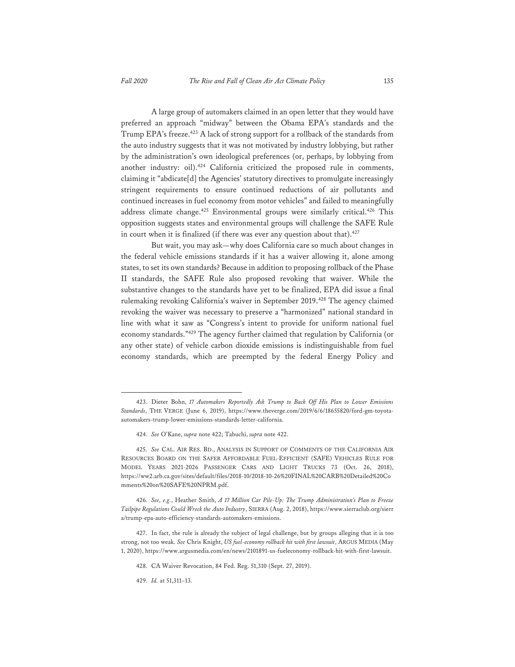A large group of automakers claimed in an open letter that they would have preferred an approach "midway" between the Obama EPA's standards and the Trump EPA's freeze.<sup>423</sup> A lack of strong support for a rollback of the standards from the auto industry suggests that it was not motivated by industry lobbying, but rather by the administration's own ideological preferences (or, perhaps, by lobbying from another industry: oil).<sup>424</sup> California criticized the proposed rule in comments, claiming it "abdicate[d] the Agencies' statutory directives to promulgate increasingly stringent requirements to ensure continued reductions of air pollutants and continued increases in fuel economy from motor vehicles" and failed to meaningfully address climate change.<sup>425</sup> Environmental groups were similarly critical.<sup>426</sup> This opposition suggests states and environmental groups will challenge the SAFE Rule in court when it is finalized (if there was ever any question about that).<sup>427</sup>

But wait, you may ask—why does California care so much about changes in the federal vehicle emissions standards if it has a waiver allowing it, alone among states, to set its own standards? Because in addition to proposing rollback of the Phase II standards, the SAFE Rule also proposed revoking that waiver. While the substantive changes to the standards have yet to be finalized, EPA did issue a final rulemaking revoking California's waiver in September 2019.<sup>428</sup> The agency claimed revoking the waiver was necessary to preserve a "harmonized" national standard in line with what it saw as "Congress's intent to provide for uniform national fuel economy standards."429 The agency further claimed that regulation by California (or any other state) of vehicle carbon dioxide emissions is indistinguishable from fuel economy standards, which are preempted by the federal Energy Policy and

<sup>423.</sup> Dieter Bohn, *17 Automakers Reportedly Ask Trump to Back Off His Plan to Lower Emissions Standards*, THE VERGE (June 6, 2019), https://www.theverge.com/2019/6/6/18655820/ford-gm-toyotaautomakers-trump-lower-emissions-standards-letter-california.

<sup>424.</sup> *See* O'Kane, *supra* note 422; Tabuchi, *supra* note 422.

<sup>425.</sup> *See* CAL. AIR RES. BD., ANALYSIS IN SUPPORT OF COMMENTS OF THE CALIFORNIA AIR RESOURCES BOARD ON THE SAFER AFFORDABLE FUEL-EFFICIENT (SAFE) VEHICLES RULE FOR MODEL YEARS 2021-2026 PASSENGER CARS AND LIGHT TRUCKS 73 (Oct. 26, 2018), https://ww2.arb.ca.gov/sites/default/files/2018-10/2018-10-26%20FINAL%20CARB%20Detailed%20Co mments%20on%20SAFE%20NPRM.pdf.

<sup>426.</sup> *See, e.g.*, Heather Smith, *A 17 Million Car Pile-Up: The Trump Administration's Plan to Freeze Tailpipe Regulations Could Wreck the Auto Industry*, SIERRA (Aug. 2, 2018), https://www.sierraclub.org/sierr a/trump-epa-auto-efficiency-standards-automakers-emissions.

<sup>427.</sup> In fact, the rule is already the subject of legal challenge, but by groups alleging that it is too strong, not too weak. *See* Chris Knight, *US fuel-economy rollback hit with first lawsuit*, ARGUS MEDIA (May 1, 2020), https://www.argusmedia.com/en/news/2101891-us-fueleconomy-rollback-hit-with-first-lawsuit.

<sup>428.</sup> CA Waiver Revocation, 84 Fed. Reg. 51,310 (Sept. 27, 2019).

<sup>429.</sup> *Id.* at 51,311–13.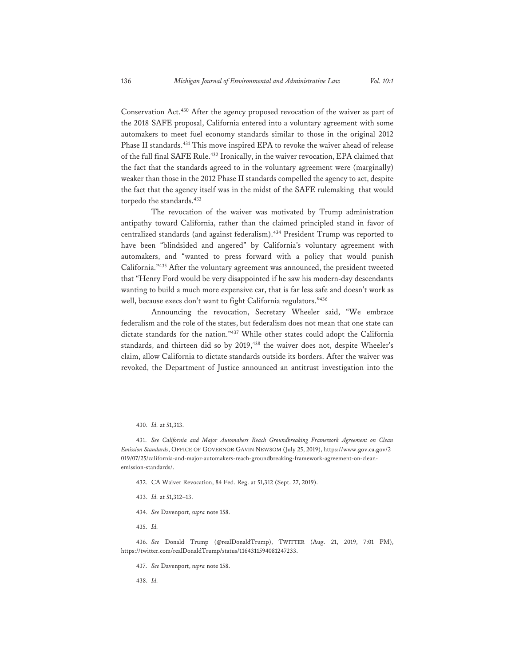Conservation Act.430 After the agency proposed revocation of the waiver as part of the 2018 SAFE proposal, California entered into a voluntary agreement with some automakers to meet fuel economy standards similar to those in the original 2012 Phase II standards.431 This move inspired EPA to revoke the waiver ahead of release of the full final SAFE Rule.432 Ironically, in the waiver revocation, EPA claimed that the fact that the standards agreed to in the voluntary agreement were (marginally) weaker than those in the 2012 Phase II standards compelled the agency to act, despite the fact that the agency itself was in the midst of the SAFE rulemaking that would torpedo the standards.<sup>433</sup>

The revocation of the waiver was motivated by Trump administration antipathy toward California, rather than the claimed principled stand in favor of centralized standards (and against federalism).434 President Trump was reported to have been "blindsided and angered" by California's voluntary agreement with automakers, and "wanted to press forward with a policy that would punish California."435 After the voluntary agreement was announced, the president tweeted that "Henry Ford would be very disappointed if he saw his modern-day descendants wanting to build a much more expensive car, that is far less safe and doesn't work as well, because execs don't want to fight California regulators."436

Announcing the revocation, Secretary Wheeler said, "We embrace federalism and the role of the states, but federalism does not mean that one state can dictate standards for the nation."437 While other states could adopt the California standards, and thirteen did so by 2019,<sup>438</sup> the waiver does not, despite Wheeler's claim, allow California to dictate standards outside its borders. After the waiver was revoked, the Department of Justice announced an antitrust investigation into the

- 433. *Id.* at 51,312–13.
- 434. *See* Davenport, *supra* note 158.
- 435. *Id.*

- 437. *See* Davenport, *supra* note 158.
- 438. *Id.*

<sup>430.</sup> *Id.* at 51,313.

<sup>431.</sup> *See California and Major Automakers Reach Groundbreaking Framework Agreement on Clean Emission Standards*, OFFICE OF GOVERNOR GAVIN NEWSOM (July 25, 2019), https://www.gov.ca.gov/2 019/07/25/california-and-major-automakers-reach-groundbreaking-framework-agreement-on-cleanemission-standards/.

<sup>432.</sup> CA Waiver Revocation, 84 Fed. Reg. at 51,312 (Sept. 27, 2019).

<sup>436.</sup> *See* Donald Trump (@realDonaldTrump), TWITTER (Aug. 21, 2019, 7:01 PM), https://twitter.com/realDonaldTrump/status/1164311594081247233.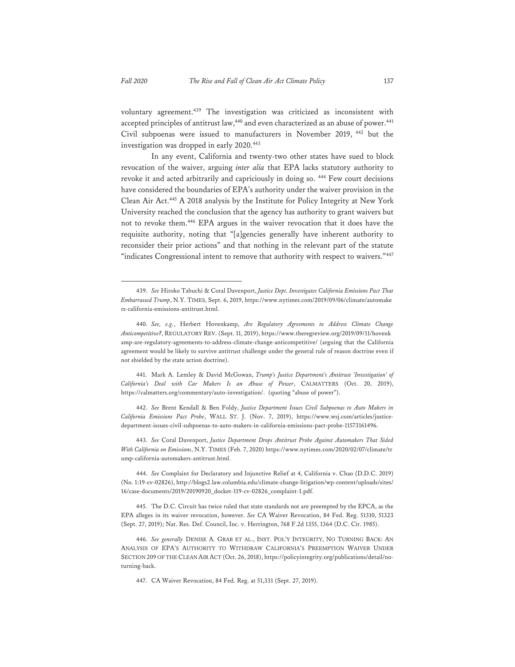voluntary agreement.<sup>439</sup> The investigation was criticized as inconsistent with accepted principles of antitrust law,<sup>440</sup> and even characterized as an abuse of power.<sup>441</sup> Civil subpoenas were issued to manufacturers in November 2019, 442 but the investigation was dropped in early 2020.443

In any event, California and twenty-two other states have sued to block revocation of the waiver, arguing *inter alia* that EPA lacks statutory authority to revoke it and acted arbitrarily and capriciously in doing so. 444 Few court decisions have considered the boundaries of EPA's authority under the waiver provision in the Clean Air Act.445 A 2018 analysis by the Institute for Policy Integrity at New York University reached the conclusion that the agency has authority to grant waivers but not to revoke them.446 EPA argues in the waiver revocation that it does have the requisite authority, noting that "[a]gencies generally have inherent authority to reconsider their prior actions" and that nothing in the relevant part of the statute "indicates Congressional intent to remove that authority with respect to waivers."447

441. Mark A. Lemley & David McGowan, *Trump's Justice Department's Antitrust 'Investigation' of California's Deal with Car Makers Is an Abuse of Power*, CALMATTERS (Oct. 20, 2019), https://calmatters.org/commentary/auto-investigation/. (quoting "abuse of power").

442. *See* Brent Kendall & Ben Foldy, *Justice Department Issues Civil Subpoenas to Auto Makers in California Emissions Pact Probe*, WALL ST. J. (Nov. 7, 2019), https://www.wsj.com/articles/justicedepartment-issues-civil-subpoenas-to-auto-makers-in-california-emissions-pact-probe-11573161496.

443. *See* Coral Davenport, *Justice Department Drops Antitrust Probe Against Automakers That Sided With California on Emissions*, N.Y. TIMES (Feb. 7, 2020) https://www.nytimes.com/2020/02/07/climate/tr ump-california-automakers-antitrust.html.

444. *See* Complaint for Declaratory and Injunctive Relief at 4, California v. Chao (D.D.C. 2019) (No. 1:19-cv-02826), http://blogs2.law.columbia.edu/climate-change-litigation/wp-content/uploads/sites/ 16/case-documents/2019/20190920\_docket-119-cv-02826\_complaint-1.pdf.

445. The D.C. Circuit has twice ruled that state standards not are preempted by the EPCA, as the EPA alleges in its waiver revocation, however. *See* CA Waiver Revocation, 84 Fed. Reg. 51310, 51323 (Sept. 27, 2019); Nat. Res. Def. Council, Inc. v. Herrington, 768 F.2d 1355, 1364 (D.C. Cir. 1985).

446. *See generally* DENISE A. GRAB ET AL., INST. POL'Y INTEGRITY, NO TURNING BACK: AN ANALYSIS OF EPA'S AUTHORITY TO WITHDRAW CALIFORNIA'S PREEMPTION WAIVER UNDER SECTION 209 OF THE CLEAN AIR ACT (Oct. 26, 2018), https://policyintegrity.org/publications/detail/noturning-back.

447. CA Waiver Revocation, 84 Fed. Reg. at 51,331 (Sept. 27, 2019).

<sup>439.</sup> *See* Hiroko Tabuchi & Coral Davenport, *Justice Dept. Investigates California Emissions Pact That Embarrassed Trump*, N.Y. TIMES, Sept. 6, 2019, https://www.nytimes.com/2019/09/06/climate/automake rs-california-emissions-antitrust.html.

<sup>440.</sup> *See, e.g.*, Herbert Hovenkamp, *Are Regulatory Agreements to Address Climate Change Anticompetitive?*, REGULATORY REV. (Sept. 11, 2019), https://www.theregreview.org/2019/09/11/hovenk amp-are-regulatory-agreements-to-address-climate-change-anticompetitive/ (arguing that the California agreement would be likely to survive antitrust challenge under the general rule of reason doctrine even if not shielded by the state action doctrine).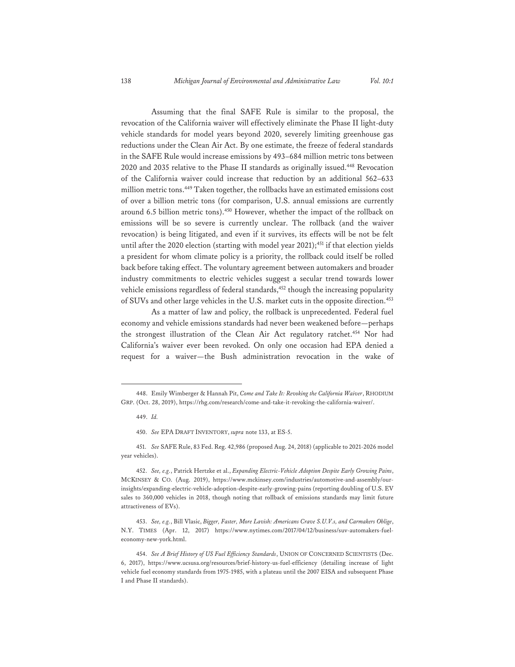Assuming that the final SAFE Rule is similar to the proposal, the revocation of the California waiver will effectively eliminate the Phase II light-duty vehicle standards for model years beyond 2020, severely limiting greenhouse gas reductions under the Clean Air Act. By one estimate, the freeze of federal standards in the SAFE Rule would increase emissions by 493–684 million metric tons between 2020 and 2035 relative to the Phase II standards as originally issued.448 Revocation of the California waiver could increase that reduction by an additional 562–633 million metric tons.449 Taken together, the rollbacks have an estimated emissions cost of over a billion metric tons (for comparison, U.S. annual emissions are currently around 6.5 billion metric tons).<sup>450</sup> However, whether the impact of the rollback on emissions will be so severe is currently unclear. The rollback (and the waiver revocation) is being litigated, and even if it survives, its effects will be not be felt until after the 2020 election (starting with model year 2021);<sup>451</sup> if that election yields a president for whom climate policy is a priority, the rollback could itself be rolled back before taking effect. The voluntary agreement between automakers and broader industry commitments to electric vehicles suggest a secular trend towards lower vehicle emissions regardless of federal standards,<sup>452</sup> though the increasing popularity of SUVs and other large vehicles in the U.S. market cuts in the opposite direction.<sup>453</sup>

As a matter of law and policy, the rollback is unprecedented. Federal fuel economy and vehicle emissions standards had never been weakened before—perhaps the strongest illustration of the Clean Air Act regulatory ratchet.<sup>454</sup> Nor had California's waiver ever been revoked. On only one occasion had EPA denied a request for a waiver—the Bush administration revocation in the wake of

451. *See* SAFE Rule, 83 Fed. Reg. 42,986 (proposed Aug. 24, 2018) (applicable to 2021-2026 model year vehicles).

452. *See, e.g.*, Patrick Hertzke et al., *Expanding Electric-Vehicle Adoption Despite Early Growing Pains*, MCKINSEY & CO. (Aug. 2019), https://www.mckinsey.com/industries/automotive-and-assembly/ourinsights/expanding-electric-vehicle-adoption-despite-early-growing-pains (reporting doubling of U.S. EV sales to 360,000 vehicles in 2018, though noting that rollback of emissions standards may limit future attractiveness of EVs).

453. *See, e.g.*, Bill Vlasic, *Bigger, Faster, More Lavish: Americans Crave S.U.V.s, and Carmakers Oblige*, N.Y. TIMES (Apr. 12, 2017) https://www.nytimes.com/2017/04/12/business/suv-automakers-fueleconomy-new-york.html.

<sup>448.</sup> Emily Wimberger & Hannah Pit, *Come and Take It: Revoking the California Waiver*, RHODIUM GRP. (Oct. 28, 2019), https://rhg.com/research/come-and-take-it-revoking-the-california-waiver/.

<sup>449.</sup> *Id.*

<sup>450.</sup> *See* EPA DRAFT INVENTORY, *supra* note 133, at ES-5.

<sup>454.</sup> *See A Brief History of US Fuel Efficiency Standards*, UNION OF CONCERNED SCIENTISTS (Dec. 6, 2017), https://www.ucsusa.org/resources/brief-history-us-fuel-efficiency (detailing increase of light vehicle fuel economy standards from 1975-1985, with a plateau until the 2007 EISA and subsequent Phase I and Phase II standards).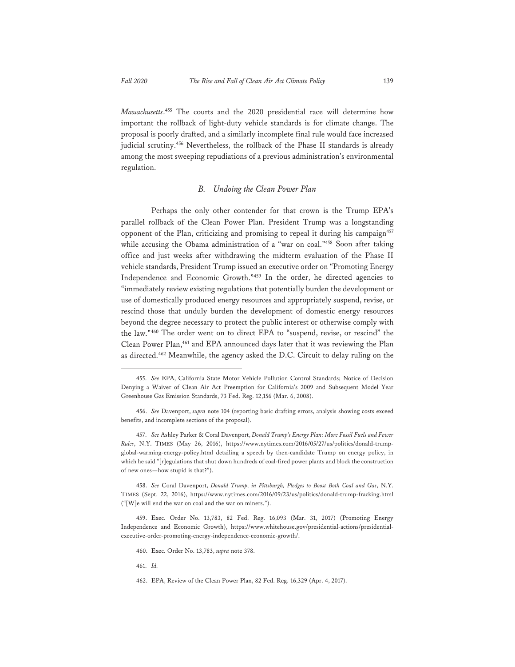*Massachusetts*. 455 The courts and the 2020 presidential race will determine how important the rollback of light-duty vehicle standards is for climate change. The proposal is poorly drafted, and a similarly incomplete final rule would face increased judicial scrutiny.<sup>456</sup> Nevertheless, the rollback of the Phase II standards is already among the most sweeping repudiations of a previous administration's environmental regulation.

## *B. Undoing the Clean Power Plan*

Perhaps the only other contender for that crown is the Trump EPA's parallel rollback of the Clean Power Plan. President Trump was a longstanding opponent of the Plan, criticizing and promising to repeal it during his campaign<sup>457</sup> while accusing the Obama administration of a "war on coal."458 Soon after taking office and just weeks after withdrawing the midterm evaluation of the Phase II vehicle standards, President Trump issued an executive order on "Promoting Energy Independence and Economic Growth."459 In the order, he directed agencies to "immediately review existing regulations that potentially burden the development or use of domestically produced energy resources and appropriately suspend, revise, or rescind those that unduly burden the development of domestic energy resources beyond the degree necessary to protect the public interest or otherwise comply with the law."460 The order went on to direct EPA to "suspend, revise, or rescind" the Clean Power Plan,<sup>461</sup> and EPA announced days later that it was reviewing the Plan as directed.462 Meanwhile, the agency asked the D.C. Circuit to delay ruling on the

461. *Id.*

<sup>455.</sup> *See* EPA, California State Motor Vehicle Pollution Control Standards; Notice of Decision Denying a Waiver of Clean Air Act Preemption for California's 2009 and Subsequent Model Year Greenhouse Gas Emission Standards, 73 Fed. Reg. 12,156 (Mar. 6, 2008).

<sup>456.</sup> *See* Davenport, *supra* note 104 (reporting basic drafting errors, analysis showing costs exceed benefits, and incomplete sections of the proposal).

<sup>457.</sup> *See* Ashley Parker & Coral Davenport, *Donald Trump's Energy Plan: More Fossil Fuels and Fewer Rules*, N.Y. TIMES (May 26, 2016), https://www.nytimes.com/2016/05/27/us/politics/donald-trumpglobal-warming-energy-policy.html detailing a speech by then-candidate Trump on energy policy, in which he said "[r]egulations that shut down hundreds of coal-fired power plants and block the construction of new ones—how stupid is that?").

<sup>458.</sup> *See* Coral Davenport, *Donald Trump, in Pittsburgh, Pledges to Boost Both Coal and Gas*, N.Y. TIMES (Sept. 22, 2016), https://www.nytimes.com/2016/09/23/us/politics/donald-trump-fracking.html ("[W]e will end the war on coal and the war on miners.").

<sup>459.</sup> Exec. Order No. 13,783, 82 Fed. Reg. 16,093 (Mar. 31, 2017) (Promoting Energy Independence and Economic Growth), https://www.whitehouse.gov/presidential-actions/presidentialexecutive-order-promoting-energy-independence-economic-growth/.

<sup>460.</sup> Exec. Order No. 13,783, *supra* note 378.

<sup>462.</sup> EPA, Review of the Clean Power Plan, 82 Fed. Reg. 16,329 (Apr. 4, 2017).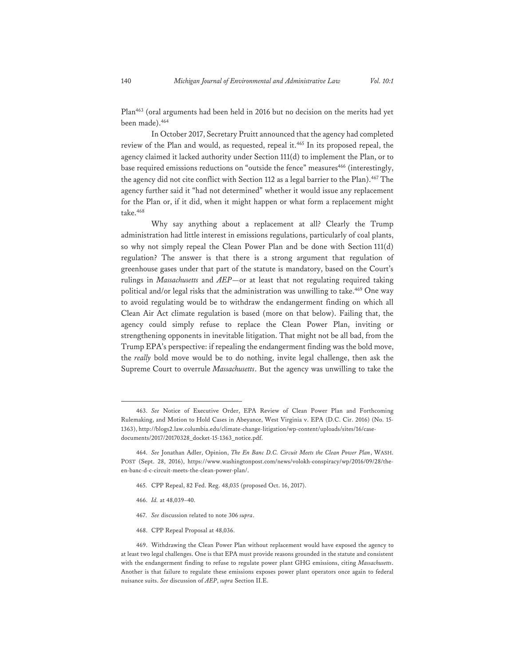Plan463 (oral arguments had been held in 2016 but no decision on the merits had yet been made).464

In October 2017, Secretary Pruitt announced that the agency had completed review of the Plan and would, as requested, repeal it.465 In its proposed repeal, the agency claimed it lacked authority under Section 111(d) to implement the Plan, or to base required emissions reductions on "outside the fence" measures<sup>466</sup> (interestingly, the agency did not cite conflict with Section 112 as a legal barrier to the Plan).<sup>467</sup> The agency further said it "had not determined" whether it would issue any replacement for the Plan or, if it did, when it might happen or what form a replacement might take.<sup>468</sup>

Why say anything about a replacement at all? Clearly the Trump administration had little interest in emissions regulations, particularly of coal plants, so why not simply repeal the Clean Power Plan and be done with Section 111(d) regulation? The answer is that there is a strong argument that regulation of greenhouse gases under that part of the statute is mandatory, based on the Court's rulings in *Massachusetts* and *AEP*—or at least that not regulating required taking political and/or legal risks that the administration was unwilling to take.<sup>469</sup> One way to avoid regulating would be to withdraw the endangerment finding on which all Clean Air Act climate regulation is based (more on that below). Failing that, the agency could simply refuse to replace the Clean Power Plan, inviting or strengthening opponents in inevitable litigation. That might not be all bad, from the Trump EPA's perspective: if repealing the endangerment finding was the bold move, the *really* bold move would be to do nothing, invite legal challenge, then ask the Supreme Court to overrule *Massachusetts*. But the agency was unwilling to take the

- 465. CPP Repeal, 82 Fed. Reg. 48,035 (proposed Oct. 16, 2017).
- 466. *Id.* at 48,039–40.
- 467. *See* discussion related to note 306 *supra*.
- 468. CPP Repeal Proposal at 48,036.

469. Withdrawing the Clean Power Plan without replacement would have exposed the agency to at least two legal challenges. One is that EPA must provide reasons grounded in the statute and consistent with the endangerment finding to refuse to regulate power plant GHG emissions, citing *Massachusetts*. Another is that failure to regulate these emissions exposes power plant operators once again to federal nuisance suits. *See* discussion of *AEP*, *supra* Section II.E.

<sup>463.</sup> *See* Notice of Executive Order, EPA Review of Clean Power Plan and Forthcoming Rulemaking, and Motion to Hold Cases in Abeyance, West Virginia v. EPA (D.C. Cir. 2016) (No. 15- 1363), http://blogs2.law.columbia.edu/climate-change-litigation/wp-content/uploads/sites/16/casedocuments/2017/20170328\_docket-15-1363\_notice.pdf.

<sup>464.</sup> *See* Jonathan Adler, Opinion, *The En Banc D.C. Circuit Meets the Clean Power Plan*, WASH. POST (Sept. 28, 2016), https://www.washingtonpost.com/news/volokh-conspiracy/wp/2016/09/28/theen-banc-d-c-circuit-meets-the-clean-power-plan/.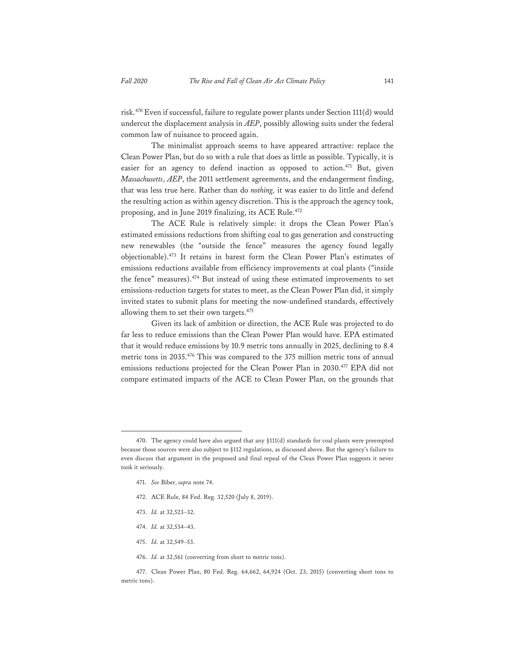risk.470 Even if successful, failure to regulate power plants under Section 111(d) would undercut the displacement analysis in *AEP*, possibly allowing suits under the federal common law of nuisance to proceed again.

The minimalist approach seems to have appeared attractive: replace the Clean Power Plan, but do so with a rule that does as little as possible. Typically, it is easier for an agency to defend inaction as opposed to action.<sup>471</sup> But, given *Massachusetts*, *AEP*, the 2011 settlement agreements, and the endangerment finding, that was less true here. Rather than do *nothing,* it was easier to do little and defend the resulting action as within agency discretion. This is the approach the agency took, proposing, and in June 2019 finalizing, its ACE Rule.<sup>472</sup>

The ACE Rule is relatively simple: it drops the Clean Power Plan's estimated emissions reductions from shifting coal to gas generation and constructing new renewables (the "outside the fence" measures the agency found legally objectionable).473 It retains in barest form the Clean Power Plan's estimates of emissions reductions available from efficiency improvements at coal plants ("inside the fence" measures).474 But instead of using these estimated improvements to set emissions-reduction targets for states to meet, as the Clean Power Plan did, it simply invited states to submit plans for meeting the now-undefined standards, effectively allowing them to set their own targets.475

Given its lack of ambition or direction, the ACE Rule was projected to do far less to reduce emissions than the Clean Power Plan would have. EPA estimated that it would reduce emissions by 10.9 metric tons annually in 2025, declining to 8.4 metric tons in 2035.476 This was compared to the 375 million metric tons of annual emissions reductions projected for the Clean Power Plan in 2030.<sup>477</sup> EPA did not compare estimated impacts of the ACE to Clean Power Plan, on the grounds that

- 472. ACE Rule, 84 Fed. Reg. 32,520 (July 8, 2019).
- 473. *Id.* at 32,523–32.
- 474. *Id.* at 32,534–43.
- 475. *Id.* at 32,549–53.
- 476. *Id.* at 32,561 (converting from short to metric tons).

477. Clean Power Plan, 80 Fed. Reg. 64,662, 64,924 (Oct. 23, 2015) (converting short tons to metric tons).

<sup>470.</sup> The agency could have also argued that any §111(d) standards for coal plants were preempted because those sources were also subject to §112 regulations, as discussed above. But the agency's failure to even discuss that argument in the proposed and final repeal of the Clean Power Plan suggests it never took it seriously.

<sup>471.</sup> *See* Biber, *supra* note 74.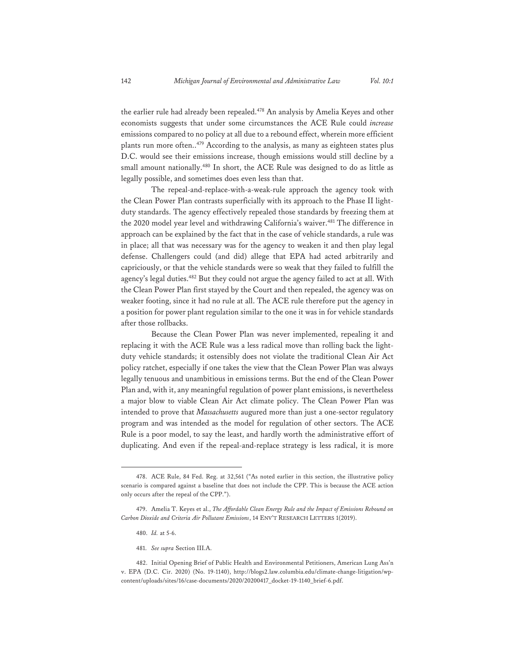the earlier rule had already been repealed.<sup>478</sup> An analysis by Amelia Keyes and other economists suggests that under some circumstances the ACE Rule could *increase* emissions compared to no policy at all due to a rebound effect, wherein more efficient plants run more often..<sup>479</sup> According to the analysis, as many as eighteen states plus D.C. would see their emissions increase, though emissions would still decline by a small amount nationally.<sup>480</sup> In short, the ACE Rule was designed to do as little as legally possible, and sometimes does even less than that.

The repeal-and-replace-with-a-weak-rule approach the agency took with the Clean Power Plan contrasts superficially with its approach to the Phase II lightduty standards. The agency effectively repealed those standards by freezing them at the 2020 model year level and withdrawing California's waiver.<sup>481</sup> The difference in approach can be explained by the fact that in the case of vehicle standards, a rule was in place; all that was necessary was for the agency to weaken it and then play legal defense. Challengers could (and did) allege that EPA had acted arbitrarily and capriciously, or that the vehicle standards were so weak that they failed to fulfill the agency's legal duties.<sup>482</sup> But they could not argue the agency failed to act at all. With the Clean Power Plan first stayed by the Court and then repealed, the agency was on weaker footing, since it had no rule at all. The ACE rule therefore put the agency in a position for power plant regulation similar to the one it was in for vehicle standards after those rollbacks.

Because the Clean Power Plan was never implemented, repealing it and replacing it with the ACE Rule was a less radical move than rolling back the lightduty vehicle standards; it ostensibly does not violate the traditional Clean Air Act policy ratchet, especially if one takes the view that the Clean Power Plan was always legally tenuous and unambitious in emissions terms. But the end of the Clean Power Plan and, with it, any meaningful regulation of power plant emissions, is nevertheless a major blow to viable Clean Air Act climate policy. The Clean Power Plan was intended to prove that *Massachusetts* augured more than just a one-sector regulatory program and was intended as the model for regulation of other sectors. The ACE Rule is a poor model, to say the least, and hardly worth the administrative effort of duplicating. And even if the repeal-and-replace strategy is less radical, it is more

<sup>478.</sup> ACE Rule, 84 Fed. Reg. at 32,561 ("As noted earlier in this section, the illustrative policy scenario is compared against a baseline that does not include the CPP. This is because the ACE action only occurs after the repeal of the CPP.").

<sup>479.</sup> Amelia T. Keyes et al., *The Affordable Clean Energy Rule and the Impact of Emissions Rebound on Carbon Dioxide and Criteria Air Pollutant Emissions*, 14 ENV'T RESEARCH LETTERS 1(2019).

<sup>480.</sup> *Id.* at 5-6.

<sup>481.</sup> *See supra* Section III.A.

<sup>482.</sup> Initial Opening Brief of Public Health and Environmental Petitioners, American Lung Ass'n v. EPA (D.C. Cir. 2020) (No. 19-1140), http://blogs2.law.columbia.edu/climate-change-litigation/wpcontent/uploads/sites/16/case-documents/2020/20200417\_docket-19-1140\_brief-6.pdf.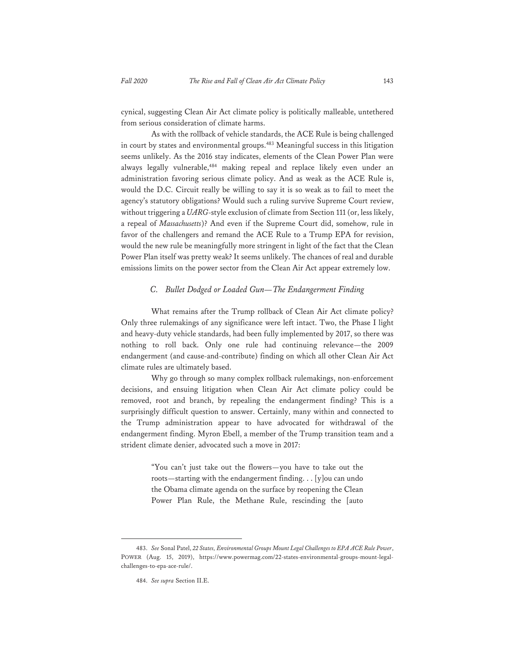cynical, suggesting Clean Air Act climate policy is politically malleable, untethered from serious consideration of climate harms.

As with the rollback of vehicle standards, the ACE Rule is being challenged in court by states and environmental groups.<sup>483</sup> Meaningful success in this litigation seems unlikely. As the 2016 stay indicates, elements of the Clean Power Plan were always legally vulnerable,<sup>484</sup> making repeal and replace likely even under an administration favoring serious climate policy. And as weak as the ACE Rule is, would the D.C. Circuit really be willing to say it is so weak as to fail to meet the agency's statutory obligations? Would such a ruling survive Supreme Court review, without triggering a *UARG*-style exclusion of climate from Section 111 (or, less likely, a repeal of *Massachusetts*)? And even if the Supreme Court did, somehow, rule in favor of the challengers and remand the ACE Rule to a Trump EPA for revision, would the new rule be meaningfully more stringent in light of the fact that the Clean Power Plan itself was pretty weak? It seems unlikely. The chances of real and durable emissions limits on the power sector from the Clean Air Act appear extremely low.

### *C. Bullet Dodged or Loaded Gun—The Endangerment Finding*

What remains after the Trump rollback of Clean Air Act climate policy? Only three rulemakings of any significance were left intact. Two, the Phase I light and heavy-duty vehicle standards, had been fully implemented by 2017, so there was nothing to roll back. Only one rule had continuing relevance—the 2009 endangerment (and cause-and-contribute) finding on which all other Clean Air Act climate rules are ultimately based.

Why go through so many complex rollback rulemakings, non-enforcement decisions, and ensuing litigation when Clean Air Act climate policy could be removed, root and branch, by repealing the endangerment finding? This is a surprisingly difficult question to answer. Certainly, many within and connected to the Trump administration appear to have advocated for withdrawal of the endangerment finding. Myron Ebell, a member of the Trump transition team and a strident climate denier, advocated such a move in 2017:

> "You can't just take out the flowers—you have to take out the roots—starting with the endangerment finding. . . [y]ou can undo the Obama climate agenda on the surface by reopening the Clean Power Plan Rule, the Methane Rule, rescinding the [auto

<sup>483.</sup> *See* Sonal Patel, *22 States, Environmental Groups Mount Legal Challenges to EPA ACE Rule Power*, POWER (Aug. 15, 2019), https://www.powermag.com/22-states-environmental-groups-mount-legalchallenges-to-epa-ace-rule/.

<sup>484.</sup> *See supra* Section II.E.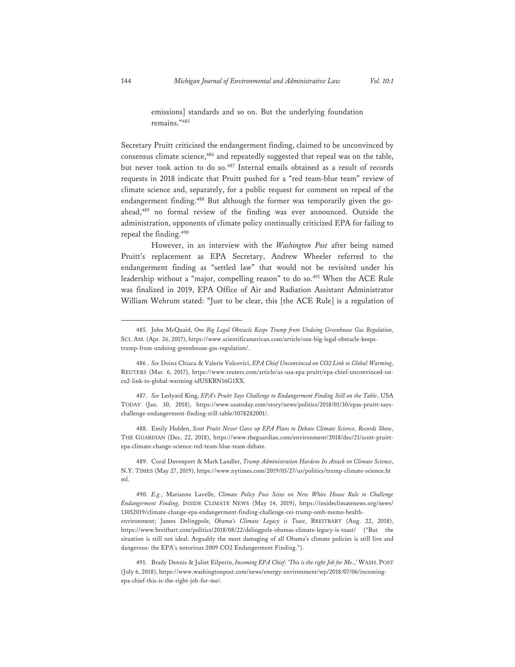emissions] standards and so on. But the underlying foundation remains."485

Secretary Pruitt criticized the endangerment finding, claimed to be unconvinced by consensus climate science,<sup>486</sup> and repeatedly suggested that repeal was on the table, but never took action to do so.487 Internal emails obtained as a result of records requests in 2018 indicate that Pruitt pushed for a "red team-blue team" review of climate science and, separately, for a public request for comment on repeal of the endangerment finding.488 But although the former was temporarily given the goahead,<sup>489</sup> no formal review of the finding was ever announced. Outside the administration, opponents of climate policy continually criticized EPA for failing to repeal the finding.490

However, in an interview with the *Washington Post* after being named Pruitt's replacement as EPA Secretary, Andrew Wheeler referred to the endangerment finding as "settled law" that would not be revisited under his leadership without a "major, compelling reason" to do so.491 When the ACE Rule was finalized in 2019, EPA Office of Air and Radiation Assistant Administrator William Wehrum stated: "Just to be clear, this [the ACE Rule] is a regulation of

488. Emily Holden, *Scott Pruitt Never Gave up EPA Plans to Debate Climate Science, Records Show*, THE GUARDIAN (Dec. 22, 2018), https://www.theguardian.com/environment/2018/dec/21/scott-pruittepa-climate-change-science-red-team-blue-team-debate.

489. Coral Davenport & Mark Landler, *Trump Administration Hardens Its Attack on Climate Science*, N.Y. TIMES (May 27, 2019), https://www.nytimes.com/2019/05/27/us/politics/trump-climate-science.ht ml.

490. *E.g.*, Marianne Lavelle, *Climate Policy Foes Seize on New White House Rule to Challenge Endangerment Finding*, INSIDE CLIMATE NEWS (May 14, 2019), https://insideclimatenews.org/news/ 13052019/climate-change-epa-endangerment-finding-challenge-cei-trump-omb-memo-healthenvironment; James Delingpole, *Obama's Climate Legacy is Toast*, BREITBART (Aug. 22, 2018), https://www.breitbart.com/politics/2018/08/22/delingpole-obamas-climate-legacy-is-toast/ ("But the situation is still not ideal. Arguably the most damaging of all Obama's climate policies is still live and dangerous: the EPA's notorious 2009 CO2 Endangerment Finding.").

<sup>485.</sup> John McQuaid, *One Big Legal Obstacle Keeps Trump from Undoing Greenhouse Gas Regulation*, SCI. AM. (Apr. 26, 2017), https://www.scientificamerican.com/article/one-big-legal-obstacle-keepstrump-from-undoing-greenhouse-gas-regulation/.

<sup>486 .</sup> *See* Doina Chiacu & Valerie Volcovici, *EPA Chief Unconvinced on CO2 Link to Global Warming*, REUTERS (Mar. 6, 2017), https://www.reuters.com/article/us-usa-epa-pruitt/epa-chief-unconvinced-onco2-link-to-global-warming-idUSKBN16G1XX.

<sup>487.</sup> *See* Ledyard King, *EPA's Pruitt Says Challenge to Endangerment Finding Still on the Table*, USA TODAY (Jan. 30, 2018), https://www.usatoday.com/story/news/politics/2018/01/30/epas-pruitt-sayschallenge-endangerment-finding-still-table/1078282001/.

<sup>491.</sup> Brady Dennis & Juliet Eilperin, *Incoming EPA Chief: 'This is the right Job for Me.*,*'* WASH. POST (July 6, 2018), https://www.washingtonpost.com/news/energy-environment/wp/2018/07/06/incomingepa-chief-this-is-the-right-job-for-me/.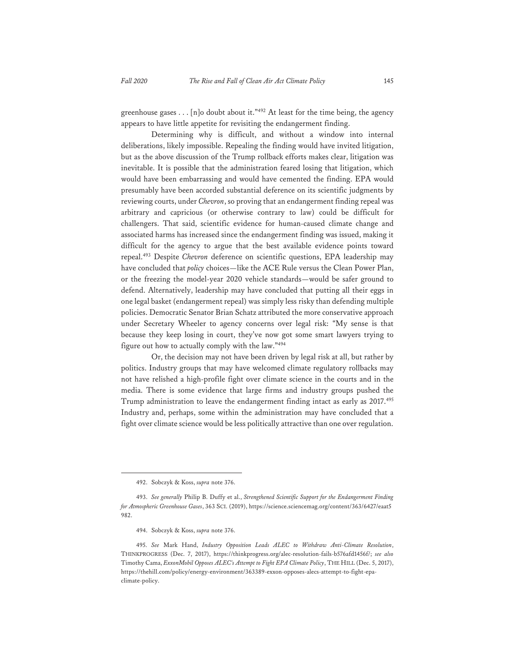greenhouse gases  $\ldots$  [n]o doubt about it."<sup>492</sup> At least for the time being, the agency appears to have little appetite for revisiting the endangerment finding.

Determining why is difficult, and without a window into internal deliberations, likely impossible. Repealing the finding would have invited litigation, but as the above discussion of the Trump rollback efforts makes clear, litigation was inevitable. It is possible that the administration feared losing that litigation, which would have been embarrassing and would have cemented the finding. EPA would presumably have been accorded substantial deference on its scientific judgments by reviewing courts, under *Chevron*, so proving that an endangerment finding repeal was arbitrary and capricious (or otherwise contrary to law) could be difficult for challengers. That said, scientific evidence for human-caused climate change and associated harms has increased since the endangerment finding was issued, making it difficult for the agency to argue that the best available evidence points toward repeal.493 Despite *Chevron* deference on scientific questions, EPA leadership may have concluded that *policy* choices—like the ACE Rule versus the Clean Power Plan, or the freezing the model-year 2020 vehicle standards—would be safer ground to defend. Alternatively, leadership may have concluded that putting all their eggs in one legal basket (endangerment repeal) was simply less risky than defending multiple policies. Democratic Senator Brian Schatz attributed the more conservative approach under Secretary Wheeler to agency concerns over legal risk: "My sense is that because they keep losing in court, they've now got some smart lawyers trying to figure out how to actually comply with the law."494

Or, the decision may not have been driven by legal risk at all, but rather by politics. Industry groups that may have welcomed climate regulatory rollbacks may not have relished a high-profile fight over climate science in the courts and in the media. There is some evidence that large firms and industry groups pushed the Trump administration to leave the endangerment finding intact as early as 2017.<sup>495</sup> Industry and, perhaps, some within the administration may have concluded that a fight over climate science would be less politically attractive than one over regulation.

<sup>492.</sup> Sobczyk & Koss, *supra* note 376.

<sup>493.</sup> *See generally* Philip B. Duffy et al., *Strengthened Scientific Support for the Endangerment Finding for Atmospheric Greenhouse Gases*, 363 SCI. (2019), https://science.sciencemag.org/content/363/6427/eaat5 982.

<sup>494.</sup> Sobczyk & Koss, *supra* note 376.

<sup>495.</sup> *See* Mark Hand, *Industry Opposition Leads ALEC to Withdraw Anti-Climate Resolution*, THINKPROGRESS (Dec. 7, 2017), https://thinkprogress.org/alec-resolution-fails-b576afd1456f/; *see also* Timothy Cama, *ExxonMobil Opposes ALEC's Attempt to Fight EPA Climate Policy*, THE HILL (Dec. 5, 2017), https://thehill.com/policy/energy-environment/363389-exxon-opposes-alecs-attempt-to-fight-epaclimate-policy.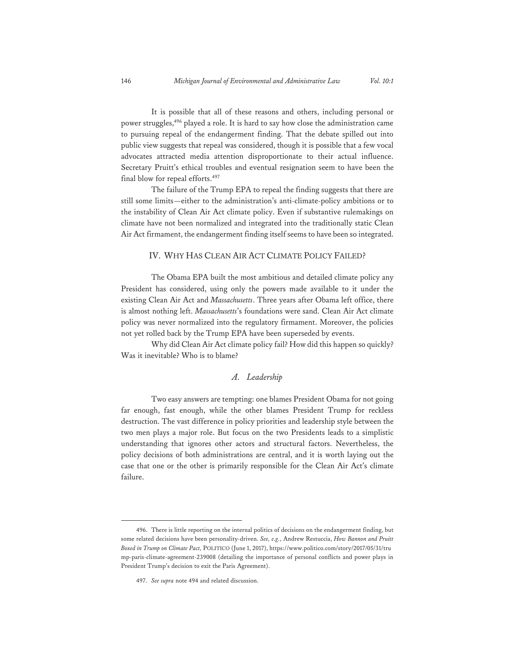It is possible that all of these reasons and others, including personal or power struggles,496 played a role. It is hard to say how close the administration came to pursuing repeal of the endangerment finding. That the debate spilled out into public view suggests that repeal was considered, though it is possible that a few vocal advocates attracted media attention disproportionate to their actual influence. Secretary Pruitt's ethical troubles and eventual resignation seem to have been the final blow for repeal efforts.<sup>497</sup>

The failure of the Trump EPA to repeal the finding suggests that there are still some limits—either to the administration's anti-climate-policy ambitions or to the instability of Clean Air Act climate policy. Even if substantive rulemakings on climate have not been normalized and integrated into the traditionally static Clean Air Act firmament, the endangerment finding itself seems to have been so integrated.

#### IV. WHY HAS CLEAN AIR ACT CLIMATE POLICY FAILED?

The Obama EPA built the most ambitious and detailed climate policy any President has considered, using only the powers made available to it under the existing Clean Air Act and *Massachusetts*. Three years after Obama left office, there is almost nothing left. *Massachusetts*'s foundations were sand. Clean Air Act climate policy was never normalized into the regulatory firmament. Moreover, the policies not yet rolled back by the Trump EPA have been superseded by events.

Why did Clean Air Act climate policy fail? How did this happen so quickly? Was it inevitable? Who is to blame?

# *A. Leadership*

Two easy answers are tempting: one blames President Obama for not going far enough, fast enough, while the other blames President Trump for reckless destruction. The vast difference in policy priorities and leadership style between the two men plays a major role. But focus on the two Presidents leads to a simplistic understanding that ignores other actors and structural factors. Nevertheless, the policy decisions of both administrations are central, and it is worth laying out the case that one or the other is primarily responsible for the Clean Air Act's climate failure.

<sup>496.</sup> There is little reporting on the internal politics of decisions on the endangerment finding, but some related decisions have been personality-driven. *See, e.g.*, Andrew Restuccia, *How Bannon and Pruitt Boxed in Trump on Climate Pact,* POLITICO (June 1, 2017), https://www.politico.com/story/2017/05/31/tru mp-paris-climate-agreement-239008 (detailing the importance of personal conflicts and power plays in President Trump's decision to exit the Paris Agreement).

<sup>497.</sup> *See supra* note 494 and related discussion.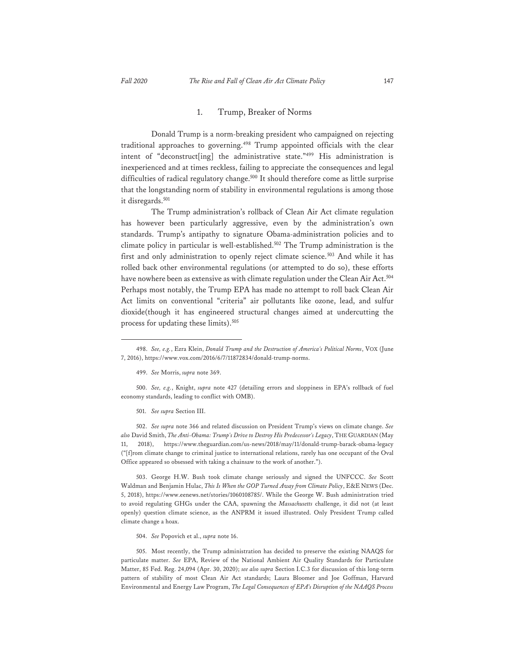#### 1. Trump, Breaker of Norms

Donald Trump is a norm-breaking president who campaigned on rejecting traditional approaches to governing.498 Trump appointed officials with the clear intent of "deconstruct[ing] the administrative state."499 His administration is inexperienced and at times reckless, failing to appreciate the consequences and legal difficulties of radical regulatory change.<sup>500</sup> It should therefore come as little surprise that the longstanding norm of stability in environmental regulations is among those it disregards.<sup>501</sup>

The Trump administration's rollback of Clean Air Act climate regulation has however been particularly aggressive, even by the administration's own standards. Trump's antipathy to signature Obama-administration policies and to climate policy in particular is well-established.<sup>502</sup> The Trump administration is the first and only administration to openly reject climate science.<sup>503</sup> And while it has rolled back other environmental regulations (or attempted to do so), these efforts have nowhere been as extensive as with climate regulation under the Clean Air Act.<sup>504</sup> Perhaps most notably, the Trump EPA has made no attempt to roll back Clean Air Act limits on conventional "criteria" air pollutants like ozone, lead, and sulfur dioxide(though it has engineered structural changes aimed at undercutting the process for updating these limits).<sup>505</sup>

500. *See, e.g.*, Knight, *supra* note 427 (detailing errors and sloppiness in EPA's rollback of fuel economy standards, leading to conflict with OMB).

501. *See supra* Section III.

502. *See supra* note 366 and related discussion on President Trump's views on climate change. *See also* David Smith, *The Anti-Obama: Trump's Drive to Destroy His Predecessor's Legacy*, THE GUARDIAN (May 11, 2018), https://www.theguardian.com/us-news/2018/may/11/donald-trump-barack-obama-legacy ("[f]rom climate change to criminal justice to international relations, rarely has one occupant of the Oval Office appeared so obsessed with taking a chainsaw to the work of another.").

503. George H.W. Bush took climate change seriously and signed the UNFCCC. *See* Scott Waldman and Benjamin Hulac, *This Is When the GOP Turned Away from Climate Policy*, E&E NEWS (Dec. 5, 2018), https://www.eenews.net/stories/1060108785/. While the George W. Bush administration tried to avoid regulating GHGs under the CAA, spawning the *Massachusetts* challenge, it did not (at least openly) question climate science, as the ANPRM it issued illustrated. Only President Trump called climate change a hoax.

504. *See* Popovich et al., *supra* note 16.

505. Most recently, the Trump administration has decided to preserve the existing NAAQS for particulate matter. *See* EPA, Review of the National Ambient Air Quality Standards for Particulate Matter, 85 Fed. Reg. 24,094 (Apr. 30, 2020); *see also supra* Section I.C.3 for discussion of this long-term pattern of stability of most Clean Air Act standards; Laura Bloomer and Joe Goffman, Harvard Environmental and Energy Law Program, *The Legal Consequences of EPA's Disruption of the NAAQS Process* 

<sup>498.</sup> *See, e.g.*, Ezra Klein, *Donald Trump and the Destruction of America's Political Norms*, VOX (June 7, 2016), https://www.vox.com/2016/6/7/11872834/donald-trump-norms.

<sup>499.</sup> *See* Morris, *supra* note 369.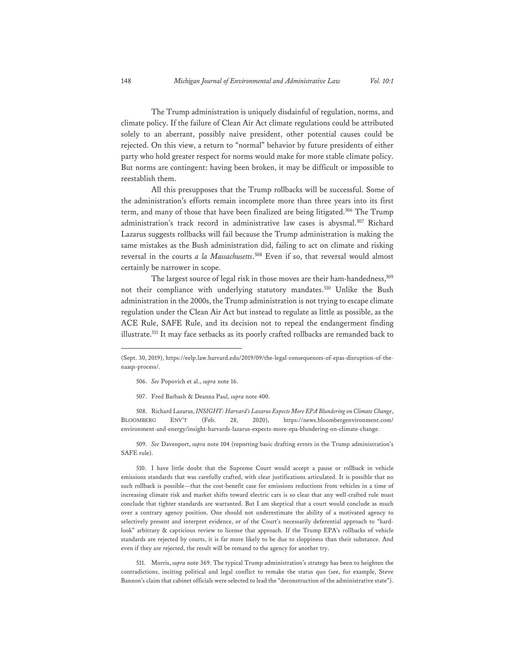The Trump administration is uniquely disdainful of regulation, norms, and climate policy. If the failure of Clean Air Act climate regulations could be attributed solely to an aberrant, possibly naive president, other potential causes could be rejected. On this view, a return to "normal" behavior by future presidents of either party who hold greater respect for norms would make for more stable climate policy. But norms are contingent: having been broken, it may be difficult or impossible to reestablish them.

All this presupposes that the Trump rollbacks will be successful. Some of the administration's efforts remain incomplete more than three years into its first term, and many of those that have been finalized are being litigated.<sup>506</sup> The Trump administration's track record in administrative law cases is abysmal.<sup>507</sup> Richard Lazarus suggests rollbacks will fail because the Trump administration is making the same mistakes as the Bush administration did, failing to act on climate and risking reversal in the courts *a la Massachusetts*. 508 Even if so, that reversal would almost certainly be narrower in scope.

The largest source of legal risk in those moves are their ham-handedness,<sup>509</sup> not their compliance with underlying statutory mandates.<sup>510</sup> Unlike the Bush administration in the 2000s, the Trump administration is not trying to escape climate regulation under the Clean Air Act but instead to regulate as little as possible, as the ACE Rule, SAFE Rule, and its decision not to repeal the endangerment finding illustrate.<sup>511</sup> It may face setbacks as its poorly crafted rollbacks are remanded back to

- 506. *See* Popovich et al., *supra* note 16.
- 507. Fred Barbash & Deanna Paul, *supra* note 400.

508. Richard Lazarus, *INSIGHT: Harvard's Lazarus Expects More EPA Blundering on Climate Change*, https://news.bloombergenvironment.com/ environment-and-energy/insight-harvards-lazarus-expects-more-epa-blundering-on-climate-change.

509. *See* Davenport, *supra* note 104 (reporting basic drafting errors in the Trump administration's SAFE rule).

510. I have little doubt that the Supreme Court would accept a pause or rollback in vehicle emissions standards that was carefully crafted, with clear justifications articulated. It is possible that no such rollback is possible—that the cost-benefit case for emissions reductions from vehicles in a time of increasing climate risk and market shifts toward electric cars is so clear that any well-crafted rule must conclude that tighter standards are warranted. But I am skeptical that a court would conclude as much over a contrary agency position. One should not underestimate the ability of a motivated agency to selectively present and interpret evidence, or of the Court's necessarily deferential approach to "hardlook" arbitrary & capricious review to license that approach. If the Trump EPA's rollbacks of vehicle standards are rejected by courts, it is far more likely to be due to sloppiness than their substance. And even if they are rejected, the result will be remand to the agency for another try.

511. Morris, *supra* note 369. The typical Trump administration's strategy has been to heighten the contradictions, inciting political and legal conflict to remake the status quo (see, for example, Steve Bannon's claim that cabinet officials were selected to lead the "deconstruction of the administrative state").

<sup>(</sup>Sept. 30, 2019), https://eelp.law.harvard.edu/2019/09/the-legal-consequences-of-epas-disruption-of-thenaaqs-process/.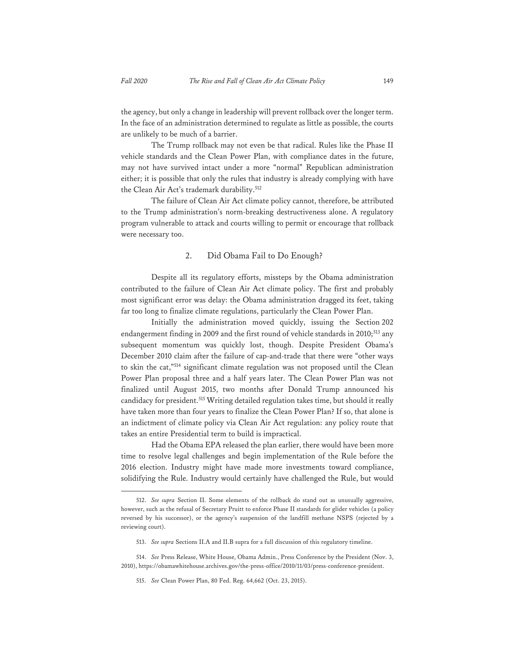the agency, but only a change in leadership will prevent rollback over the longer term. In the face of an administration determined to regulate as little as possible, the courts are unlikely to be much of a barrier.

The Trump rollback may not even be that radical. Rules like the Phase II vehicle standards and the Clean Power Plan, with compliance dates in the future, may not have survived intact under a more "normal" Republican administration either; it is possible that only the rules that industry is already complying with have the Clean Air Act's trademark durability.<sup>512</sup>

The failure of Clean Air Act climate policy cannot, therefore, be attributed to the Trump administration's norm-breaking destructiveness alone. A regulatory program vulnerable to attack and courts willing to permit or encourage that rollback were necessary too.

## 2. Did Obama Fail to Do Enough?

Despite all its regulatory efforts, missteps by the Obama administration contributed to the failure of Clean Air Act climate policy. The first and probably most significant error was delay: the Obama administration dragged its feet, taking far too long to finalize climate regulations, particularly the Clean Power Plan.

Initially the administration moved quickly, issuing the Section 202 endangerment finding in 2009 and the first round of vehicle standards in 2010;<sup>513</sup> any subsequent momentum was quickly lost, though. Despite President Obama's December 2010 claim after the failure of cap-and-trade that there were "other ways to skin the cat,"514 significant climate regulation was not proposed until the Clean Power Plan proposal three and a half years later. The Clean Power Plan was not finalized until August 2015, two months after Donald Trump announced his candidacy for president.<sup>515</sup> Writing detailed regulation takes time, but should it really have taken more than four years to finalize the Clean Power Plan? If so, that alone is an indictment of climate policy via Clean Air Act regulation: any policy route that takes an entire Presidential term to build is impractical.

Had the Obama EPA released the plan earlier, there would have been more time to resolve legal challenges and begin implementation of the Rule before the 2016 election. Industry might have made more investments toward compliance, solidifying the Rule. Industry would certainly have challenged the Rule, but would

<sup>512.</sup> *See supra* Section II. Some elements of the rollback do stand out as unusually aggressive, however, such as the refusal of Secretary Pruitt to enforce Phase II standards for glider vehicles (a policy reversed by his successor), or the agency's suspension of the landfill methane NSPS (rejected by a reviewing court).

<sup>513.</sup> *See supra* Sections II.A and II.B supra for a full discussion of this regulatory timeline.

<sup>514.</sup> *See* Press Release, White House, Obama Admin., Press Conference by the President (Nov. 3, 2010), https://obamawhitehouse.archives.gov/the-press-office/2010/11/03/press-conference-president.

<sup>515.</sup> *See* Clean Power Plan, 80 Fed. Reg. 64,662 (Oct. 23, 2015).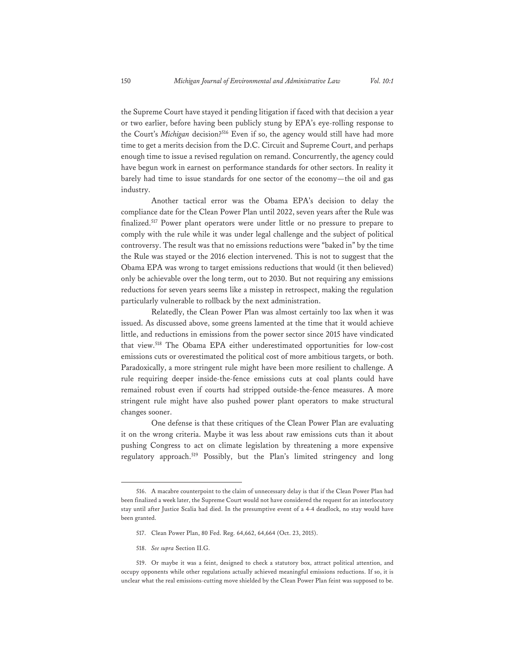the Supreme Court have stayed it pending litigation if faced with that decision a year or two earlier, before having been publicly stung by EPA's eye-rolling response to the Court's *Michigan* decision?<sup>516</sup> Even if so, the agency would still have had more time to get a merits decision from the D.C. Circuit and Supreme Court, and perhaps enough time to issue a revised regulation on remand. Concurrently, the agency could have begun work in earnest on performance standards for other sectors. In reality it barely had time to issue standards for one sector of the economy—the oil and gas industry.

Another tactical error was the Obama EPA's decision to delay the compliance date for the Clean Power Plan until 2022, seven years after the Rule was finalized.517 Power plant operators were under little or no pressure to prepare to comply with the rule while it was under legal challenge and the subject of political controversy. The result was that no emissions reductions were "baked in" by the time the Rule was stayed or the 2016 election intervened. This is not to suggest that the Obama EPA was wrong to target emissions reductions that would (it then believed) only be achievable over the long term, out to 2030. But not requiring any emissions reductions for seven years seems like a misstep in retrospect, making the regulation particularly vulnerable to rollback by the next administration.

Relatedly, the Clean Power Plan was almost certainly too lax when it was issued. As discussed above, some greens lamented at the time that it would achieve little, and reductions in emissions from the power sector since 2015 have vindicated that view.518 The Obama EPA either underestimated opportunities for low-cost emissions cuts or overestimated the political cost of more ambitious targets, or both. Paradoxically, a more stringent rule might have been more resilient to challenge. A rule requiring deeper inside-the-fence emissions cuts at coal plants could have remained robust even if courts had stripped outside-the-fence measures. A more stringent rule might have also pushed power plant operators to make structural changes sooner.

One defense is that these critiques of the Clean Power Plan are evaluating it on the wrong criteria. Maybe it was less about raw emissions cuts than it about pushing Congress to act on climate legislation by threatening a more expensive regulatory approach.519 Possibly, but the Plan's limited stringency and long

<sup>516.</sup> A macabre counterpoint to the claim of unnecessary delay is that if the Clean Power Plan had been finalized a week later, the Supreme Court would not have considered the request for an interlocutory stay until after Justice Scalia had died. In the presumptive event of a 4-4 deadlock, no stay would have been granted.

<sup>517.</sup> Clean Power Plan, 80 Fed. Reg. 64,662, 64,664 (Oct. 23, 2015).

<sup>518.</sup> *See supra* Section II.G.

<sup>519.</sup> Or maybe it was a feint, designed to check a statutory box, attract political attention, and occupy opponents while other regulations actually achieved meaningful emissions reductions. If so, it is unclear what the real emissions-cutting move shielded by the Clean Power Plan feint was supposed to be.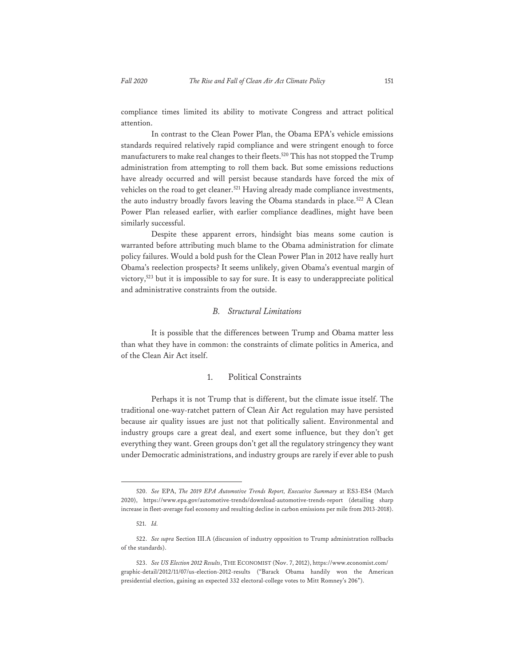compliance times limited its ability to motivate Congress and attract political attention.

In contrast to the Clean Power Plan, the Obama EPA's vehicle emissions standards required relatively rapid compliance and were stringent enough to force manufacturers to make real changes to their fleets.<sup>520</sup> This has not stopped the Trump administration from attempting to roll them back. But some emissions reductions have already occurred and will persist because standards have forced the mix of vehicles on the road to get cleaner.<sup>521</sup> Having already made compliance investments, the auto industry broadly favors leaving the Obama standards in place.<sup>522</sup> A Clean Power Plan released earlier, with earlier compliance deadlines, might have been similarly successful.

Despite these apparent errors, hindsight bias means some caution is warranted before attributing much blame to the Obama administration for climate policy failures. Would a bold push for the Clean Power Plan in 2012 have really hurt Obama's reelection prospects? It seems unlikely, given Obama's eventual margin of victory,<sup>523</sup> but it is impossible to say for sure. It is easy to underappreciate political and administrative constraints from the outside.

# *B. Structural Limitations*

It is possible that the differences between Trump and Obama matter less than what they have in common: the constraints of climate politics in America, and of the Clean Air Act itself.

# 1. Political Constraints

Perhaps it is not Trump that is different, but the climate issue itself. The traditional one-way-ratchet pattern of Clean Air Act regulation may have persisted because air quality issues are just not that politically salient. Environmental and industry groups care a great deal, and exert some influence, but they don't get everything they want. Green groups don't get all the regulatory stringency they want under Democratic administrations, and industry groups are rarely if ever able to push

<sup>520.</sup> *See* EPA, *The 2019 EPA Automotive Trends Report, Executive Summary* at ES3-ES4 (March 2020), https://www.epa.gov/automotive-trends/download-automotive-trends-report (detailing sharp increase in fleet-average fuel economy and resulting decline in carbon emissions per mile from 2013-2018).

<sup>521.</sup> *Id.*

<sup>522.</sup> *See supra* Section III.A (discussion of industry opposition to Trump administration rollbacks of the standards).

<sup>523.</sup> *See US Election 2012 Results*, THE ECONOMIST (Nov. 7, 2012), https://www.economist.com/ graphic-detail/2012/11/07/us-election-2012-results ("Barack Obama handily won the American presidential election, gaining an expected 332 electoral-college votes to Mitt Romney's 206").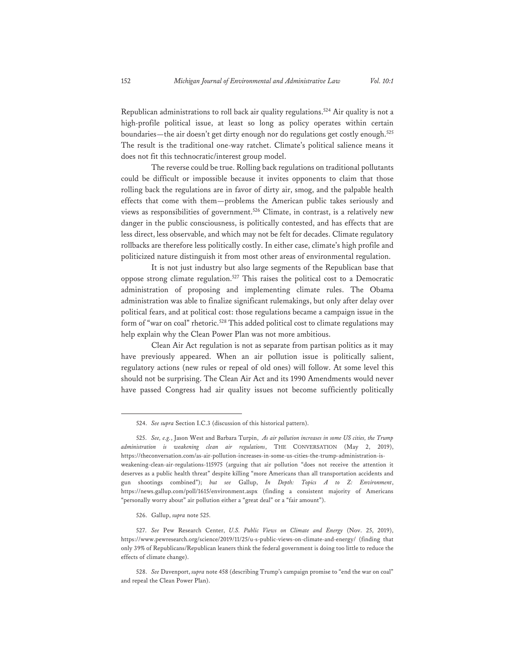Republican administrations to roll back air quality regulations.<sup>524</sup> Air quality is not a high-profile political issue, at least so long as policy operates within certain boundaries—the air doesn't get dirty enough nor do regulations get costly enough.<sup>525</sup> The result is the traditional one-way ratchet. Climate's political salience means it does not fit this technocratic/interest group model.

The reverse could be true. Rolling back regulations on traditional pollutants could be difficult or impossible because it invites opponents to claim that those rolling back the regulations are in favor of dirty air, smog, and the palpable health effects that come with them—problems the American public takes seriously and views as responsibilities of government.526 Climate, in contrast, is a relatively new danger in the public consciousness, is politically contested, and has effects that are less direct, less observable, and which may not be felt for decades. Climate regulatory rollbacks are therefore less politically costly. In either case, climate's high profile and politicized nature distinguish it from most other areas of environmental regulation.

It is not just industry but also large segments of the Republican base that oppose strong climate regulation.<sup>527</sup> This raises the political cost to a Democratic administration of proposing and implementing climate rules. The Obama administration was able to finalize significant rulemakings, but only after delay over political fears, and at political cost: those regulations became a campaign issue in the form of "war on coal" rhetoric.<sup>528</sup> This added political cost to climate regulations may help explain why the Clean Power Plan was not more ambitious.

Clean Air Act regulation is not as separate from partisan politics as it may have previously appeared. When an air pollution issue is politically salient, regulatory actions (new rules or repeal of old ones) will follow. At some level this should not be surprising. The Clean Air Act and its 1990 Amendments would never have passed Congress had air quality issues not become sufficiently politically

526. Gallup, *supra* note 525.

<sup>524.</sup> *See supra* Section I.C.3 (discussion of this historical pattern).

<sup>525.</sup> *See, e.g.*, Jason West and Barbara Turpin, *As air pollution increases in some US cities, the Trump administration is weakening clean air regulations*, THE CONVERSATION (May 2, 2019), https://theconversation.com/as-air-pollution-increases-in-some-us-cities-the-trump-administration-isweakening-clean-air-regulations-115975 (arguing that air pollution "does not receive the attention it deserves as a public health threat" despite killing "more Americans than all transportation accidents and gun shootings combined"); *but see* Gallup, *In Depth: Topics A to Z: Environment*, https://news.gallup.com/poll/1615/environment.aspx (finding a consistent majority of Americans "personally worry about" air pollution either a "great deal" or a "fair amount").

<sup>527.</sup> *See* Pew Research Center, *U.S. Public Views on Climate and Energy* (Nov. 25, 2019), https://www.pewresearch.org/science/2019/11/25/u-s-public-views-on-climate-and-energy/ (finding that only 39% of Republicans/Republican leaners think the federal government is doing too little to reduce the effects of climate change).

<sup>528.</sup> *See* Davenport, *supra* note 458 (describing Trump's campaign promise to "end the war on coal" and repeal the Clean Power Plan).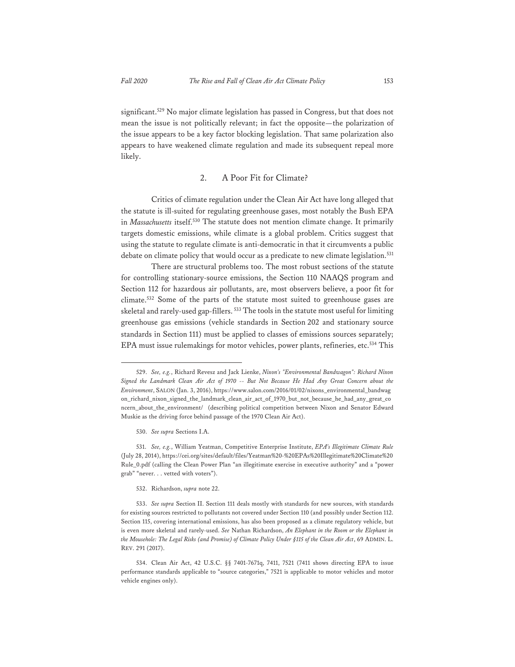significant.<sup>529</sup> No major climate legislation has passed in Congress, but that does not mean the issue is not politically relevant; in fact the opposite—the polarization of the issue appears to be a key factor blocking legislation. That same polarization also appears to have weakened climate regulation and made its subsequent repeal more likely.

## 2. A Poor Fit for Climate?

Critics of climate regulation under the Clean Air Act have long alleged that the statute is ill-suited for regulating greenhouse gases, most notably the Bush EPA in *Massachusetts* itself.530 The statute does not mention climate change. It primarily targets domestic emissions, while climate is a global problem. Critics suggest that using the statute to regulate climate is anti-democratic in that it circumvents a public debate on climate policy that would occur as a predicate to new climate legislation.<sup>531</sup>

There are structural problems too. The most robust sections of the statute for controlling stationary-source emissions, the Section 110 NAAQS program and Section 112 for hazardous air pollutants, are, most observers believe, a poor fit for climate.532 Some of the parts of the statute most suited to greenhouse gases are skeletal and rarely-used gap-fillers. 533 The tools in the statute most useful for limiting greenhouse gas emissions (vehicle standards in Section 202 and stationary source standards in Section 111) must be applied to classes of emissions sources separately; EPA must issue rulemakings for motor vehicles, power plants, refineries, etc.534 This

530. *See supra* Sections I.A.

531. *See, e.g.*, William Yeatman, Competitive Enterprise Institute, *EPA's Illegitimate Climate Rule* (July 28, 2014), https://cei.org/sites/default/files/Yeatman%20-%20EPAs%20Illegitimate%20Climate%20 Rule\_0.pdf (calling the Clean Power Plan "an illegitimate exercise in executive authority" and a "power grab" "never. . . vetted with voters").

#### 532. Richardson, *supra* note 22.

533. *See supra* Section II. Section 111 deals mostly with standards for new sources, with standards for existing sources restricted to pollutants not covered under Section 110 (and possibly under Section 112. Section 115, covering international emissions, has also been proposed as a climate regulatory vehicle, but is even more skeletal and rarely-used. *See* Nathan Richardson, *An Elephant in the Room or the Elephant in the Mousehole: The Legal Risks (and Promise) of Climate Policy Under §115 of the Clean Air Act*, 69 ADMIN. L. REV. 291 (2017).

<sup>529.</sup> *See, e.g.*, Richard Revesz and Jack Lienke, *Nixon's "Environmental Bandwagon": Richard Nixon Signed the Landmark Clean Air Act of 1970 -- But Not Because He Had Any Great Concern about the Environment*, SALON (Jan. 3, 2016), https://www.salon.com/2016/01/02/nixons\_environmental\_bandwag on\_richard\_nixon\_signed\_the\_landmark\_clean\_air\_act\_of\_1970\_but\_not\_because\_he\_had\_any\_great\_co ncern\_about\_the\_environment/ (describing political competition between Nixon and Senator Edward Muskie as the driving force behind passage of the 1970 Clean Air Act).

<sup>534.</sup> Clean Air Act, 42 U.S.C. §§ 7401-7671q, 7411, 7521 (7411 shows directing EPA to issue performance standards applicable to "source categories," 7521 is applicable to motor vehicles and motor vehicle engines only).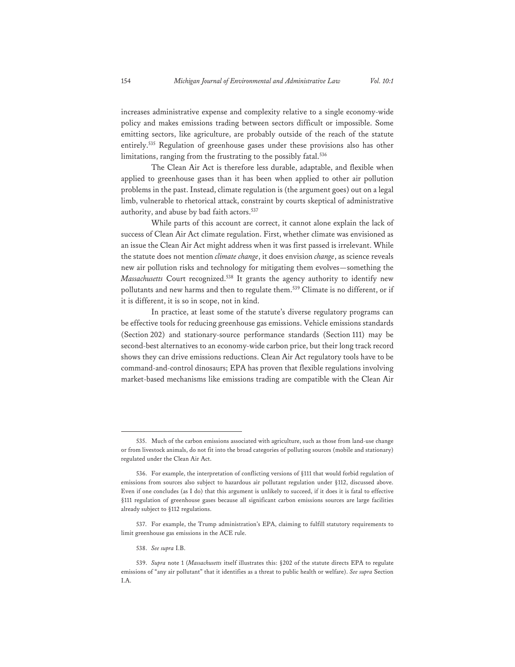increases administrative expense and complexity relative to a single economy-wide policy and makes emissions trading between sectors difficult or impossible. Some emitting sectors, like agriculture, are probably outside of the reach of the statute entirely.535 Regulation of greenhouse gases under these provisions also has other limitations, ranging from the frustrating to the possibly fatal.<sup>536</sup>

The Clean Air Act is therefore less durable, adaptable, and flexible when applied to greenhouse gases than it has been when applied to other air pollution problems in the past. Instead, climate regulation is (the argument goes) out on a legal limb, vulnerable to rhetorical attack, constraint by courts skeptical of administrative authority, and abuse by bad faith actors.<sup>537</sup>

While parts of this account are correct, it cannot alone explain the lack of success of Clean Air Act climate regulation. First, whether climate was envisioned as an issue the Clean Air Act might address when it was first passed is irrelevant. While the statute does not mention *climate change*, it does envision *change*, as science reveals new air pollution risks and technology for mitigating them evolves—something the *Massachusetts* Court recognized.<sup>538</sup> It grants the agency authority to identify new pollutants and new harms and then to regulate them.<sup>539</sup> Climate is no different, or if it is different, it is so in scope, not in kind.

In practice, at least some of the statute's diverse regulatory programs can be effective tools for reducing greenhouse gas emissions. Vehicle emissions standards (Section 202) and stationary-source performance standards (Section 111) may be second-best alternatives to an economy-wide carbon price, but their long track record shows they can drive emissions reductions. Clean Air Act regulatory tools have to be command-and-control dinosaurs; EPA has proven that flexible regulations involving market-based mechanisms like emissions trading are compatible with the Clean Air

<sup>535.</sup> Much of the carbon emissions associated with agriculture, such as those from land-use change or from livestock animals, do not fit into the broad categories of polluting sources (mobile and stationary) regulated under the Clean Air Act.

<sup>536.</sup> For example, the interpretation of conflicting versions of §111 that would forbid regulation of emissions from sources also subject to hazardous air pollutant regulation under §112, discussed above. Even if one concludes (as I do) that this argument is unlikely to succeed, if it does it is fatal to effective §111 regulation of greenhouse gases because all significant carbon emissions sources are large facilities already subject to §112 regulations.

<sup>537.</sup> For example, the Trump administration's EPA, claiming to fulfill statutory requirements to limit greenhouse gas emissions in the ACE rule.

<sup>538.</sup> *See supra* I.B.

<sup>539.</sup> *Supra* note 1 (*Massachusetts* itself illustrates this: §202 of the statute directs EPA to regulate emissions of "any air pollutant" that it identifies as a threat to public health or welfare). *See supra* Section I.A.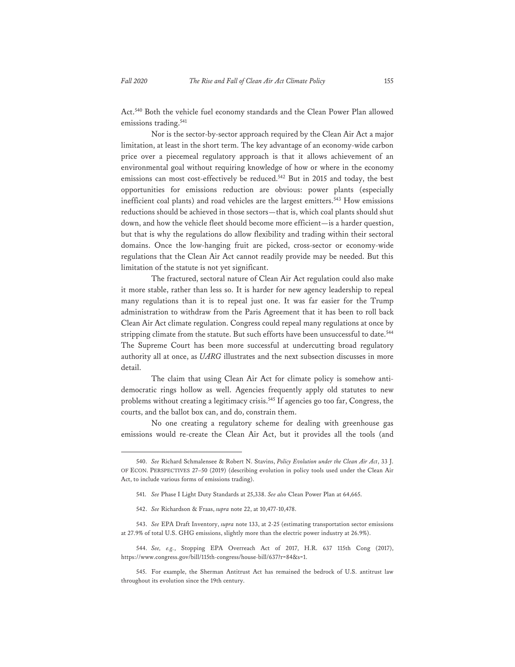Act.540 Both the vehicle fuel economy standards and the Clean Power Plan allowed emissions trading.<sup>541</sup>

Nor is the sector-by-sector approach required by the Clean Air Act a major limitation, at least in the short term. The key advantage of an economy-wide carbon price over a piecemeal regulatory approach is that it allows achievement of an environmental goal without requiring knowledge of how or where in the economy emissions can most cost-effectively be reduced.<sup>542</sup> But in 2015 and today, the best opportunities for emissions reduction are obvious: power plants (especially inefficient coal plants) and road vehicles are the largest emitters.<sup>543</sup> How emissions reductions should be achieved in those sectors—that is, which coal plants should shut down, and how the vehicle fleet should become more efficient—is a harder question, but that is why the regulations do allow flexibility and trading within their sectoral domains. Once the low-hanging fruit are picked, cross-sector or economy-wide regulations that the Clean Air Act cannot readily provide may be needed. But this limitation of the statute is not yet significant.

The fractured, sectoral nature of Clean Air Act regulation could also make it more stable, rather than less so. It is harder for new agency leadership to repeal many regulations than it is to repeal just one. It was far easier for the Trump administration to withdraw from the Paris Agreement that it has been to roll back Clean Air Act climate regulation. Congress could repeal many regulations at once by stripping climate from the statute. But such efforts have been unsuccessful to date.<sup>544</sup> The Supreme Court has been more successful at undercutting broad regulatory authority all at once, as *UARG* illustrates and the next subsection discusses in more detail.

The claim that using Clean Air Act for climate policy is somehow antidemocratic rings hollow as well. Agencies frequently apply old statutes to new problems without creating a legitimacy crisis.<sup>545</sup> If agencies go too far, Congress, the courts, and the ballot box can, and do, constrain them.

No one creating a regulatory scheme for dealing with greenhouse gas emissions would re-create the Clean Air Act, but it provides all the tools (and

<sup>540.</sup> *See* Richard Schmalensee & Robert N. Stavins, *Policy Evolution under the Clean Air Act*, 33 J. OF ECON. PERSPECTIVES 27–50 (2019) (describing evolution in policy tools used under the Clean Air Act, to include various forms of emissions trading).

<sup>541.</sup> *See* Phase I Light Duty Standards at 25,338. *See also* Clean Power Plan at 64,665.

<sup>542.</sup> *See* Richardson & Fraas, *supra* note 22, at 10,477-10,478.

<sup>543.</sup> *See* EPA Draft Inventory, *supra* note 133, at 2-25 (estimating transportation sector emissions at 27.9% of total U.S. GHG emissions, slightly more than the electric power industry at 26.9%).

<sup>544.</sup> *See, e.g.*, Stopping EPA Overreach Act of 2017, H.R. 637 115th Cong (2017), https://www.congress.gov/bill/115th-congress/house-bill/637?r=84&s=1.

<sup>545.</sup> For example, the Sherman Antitrust Act has remained the bedrock of U.S. antitrust law throughout its evolution since the 19th century.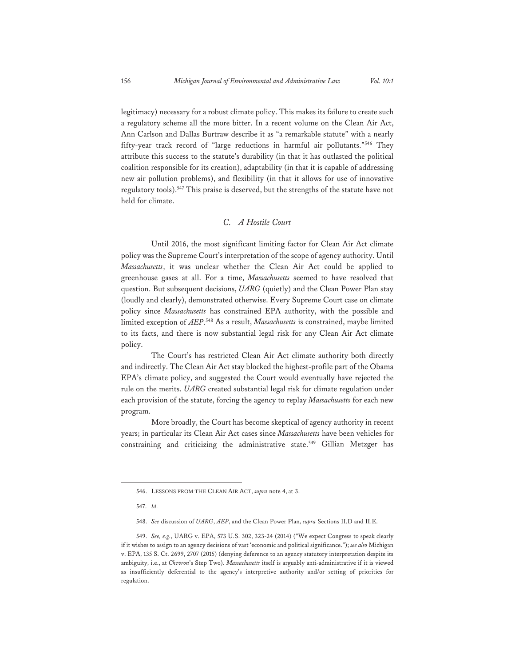legitimacy) necessary for a robust climate policy. This makes its failure to create such a regulatory scheme all the more bitter. In a recent volume on the Clean Air Act, Ann Carlson and Dallas Burtraw describe it as "a remarkable statute" with a nearly fifty-year track record of "large reductions in harmful air pollutants."546 They attribute this success to the statute's durability (in that it has outlasted the political coalition responsible for its creation), adaptability (in that it is capable of addressing new air pollution problems), and flexibility (in that it allows for use of innovative regulatory tools).<sup>547</sup> This praise is deserved, but the strengths of the statute have not held for climate.

## *C. A Hostile Court*

Until 2016, the most significant limiting factor for Clean Air Act climate policy was the Supreme Court's interpretation of the scope of agency authority. Until *Massachusetts*, it was unclear whether the Clean Air Act could be applied to greenhouse gases at all. For a time, *Massachusetts* seemed to have resolved that question. But subsequent decisions, *UARG* (quietly) and the Clean Power Plan stay (loudly and clearly), demonstrated otherwise. Every Supreme Court case on climate policy since *Massachusetts* has constrained EPA authority, with the possible and limited exception of *AEP*. 548 As a result, *Massachusetts* is constrained, maybe limited to its facts, and there is now substantial legal risk for any Clean Air Act climate policy.

The Court's has restricted Clean Air Act climate authority both directly and indirectly. The Clean Air Act stay blocked the highest-profile part of the Obama EPA's climate policy, and suggested the Court would eventually have rejected the rule on the merits. *UARG* created substantial legal risk for climate regulation under each provision of the statute, forcing the agency to replay *Massachusetts* for each new program.

More broadly, the Court has become skeptical of agency authority in recent years; in particular its Clean Air Act cases since *Massachusetts* have been vehicles for constraining and criticizing the administrative state.<sup>549</sup> Gillian Metzger has

<sup>546.</sup> LESSONS FROM THE CLEAN AIR ACT, *supra* note 4, at 3.

<sup>547.</sup> *Id.*

<sup>548.</sup> *See* discussion of *UARG*, *AEP*, and the Clean Power Plan, *supra* Sections II.D and II.E.

<sup>549.</sup> *See, e.g.*, UARG v. EPA, 573 U.S. 302, 323-24 (2014) ("We expect Congress to speak clearly if it wishes to assign to an agency decisions of vast 'economic and political significance."); *see also* Michigan v. EPA, 135 S. Ct. 2699, 2707 (2015) (denying deference to an agency statutory interpretation despite its ambiguity, i.e., at *Chevron*'s Step Two). *Massachusetts* itself is arguably anti-administrative if it is viewed as insufficiently deferential to the agency's interpretive authority and/or setting of priorities for regulation.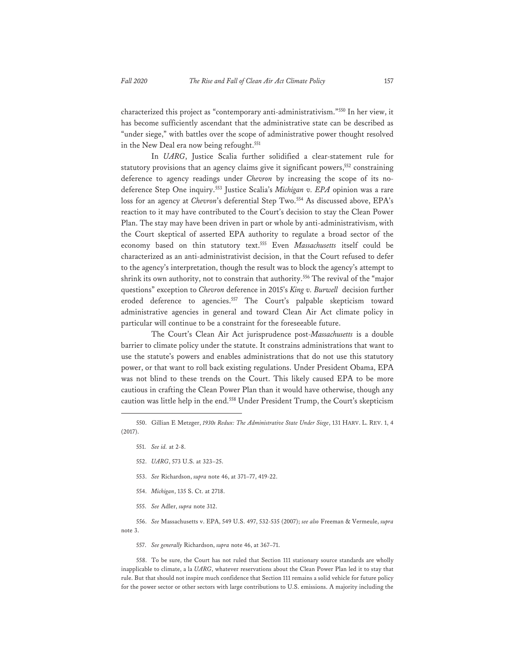characterized this project as "contemporary anti-administrativism."550 In her view, it has become sufficiently ascendant that the administrative state can be described as "under siege," with battles over the scope of administrative power thought resolved in the New Deal era now being refought.<sup>551</sup>

In *UARG*, Justice Scalia further solidified a clear-statement rule for statutory provisions that an agency claims give it significant powers,<sup>552</sup> constraining deference to agency readings under *Chevron* by increasing the scope of its nodeference Step One inquiry.553 Justice Scalia's *Michigan v. EPA* opinion was a rare loss for an agency at *Chevron*'s deferential Step Two.554 As discussed above, EPA's reaction to it may have contributed to the Court's decision to stay the Clean Power Plan. The stay may have been driven in part or whole by anti-administrativism, with the Court skeptical of asserted EPA authority to regulate a broad sector of the economy based on thin statutory text.555 Even *Massachusetts* itself could be characterized as an anti-administrativist decision, in that the Court refused to defer to the agency's interpretation, though the result was to block the agency's attempt to shrink its own authority, not to constrain that authority.<sup>556</sup> The revival of the "major questions" exception to *Chevron* deference in 2015's *King v. Burwell* decision further eroded deference to agencies.<sup>557</sup> The Court's palpable skepticism toward administrative agencies in general and toward Clean Air Act climate policy in particular will continue to be a constraint for the foreseeable future.

The Court's Clean Air Act jurisprudence post-*Massachusetts* is a double barrier to climate policy under the statute. It constrains administrations that want to use the statute's powers and enables administrations that do not use this statutory power, or that want to roll back existing regulations. Under President Obama, EPA was not blind to these trends on the Court. This likely caused EPA to be more cautious in crafting the Clean Power Plan than it would have otherwise, though any caution was little help in the end.<sup>558</sup> Under President Trump, the Court's skepticism

- 551. *See id.* at 2-8.
- 552. *UARG*, 573 U.S. at 323–25.
- 553. *See* Richardson, *supra* note 46, at 371–77, 419-22.
- 554. *Michigan*, 135 S. Ct. at 2718.
- 555. *See* Adler, *supra* note 312.

556. *See* Massachusetts v. EPA, 549 U.S. 497, 532-535 (2007); *see also* Freeman & Vermeule, *supra* note 3.

557. *See generally* Richardson, *supra* note 46, at 367–71.

558. To be sure, the Court has not ruled that Section 111 stationary source standards are wholly inapplicable to climate, a la *UARG*, whatever reservations about the Clean Power Plan led it to stay that rule. But that should not inspire much confidence that Section 111 remains a solid vehicle for future policy for the power sector or other sectors with large contributions to U.S. emissions. A majority including the

<sup>550.</sup> Gillian E Metzger, *1930s Redux: The Administrative State Under Siege*, 131 HARV. L. REV. 1, 4 (2017).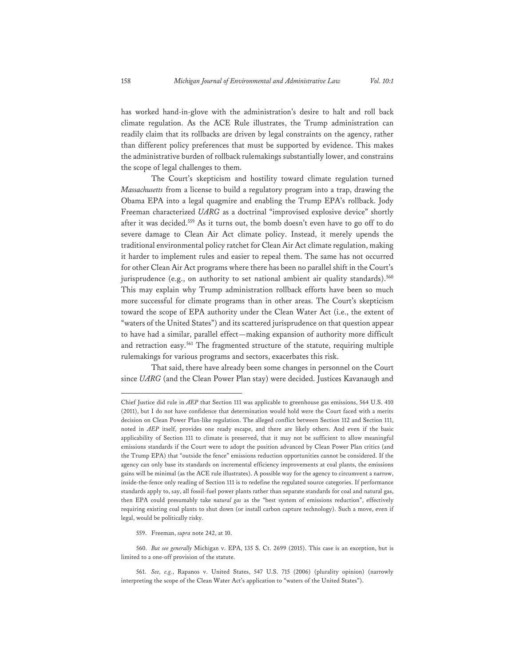has worked hand-in-glove with the administration's desire to halt and roll back climate regulation. As the ACE Rule illustrates, the Trump administration can readily claim that its rollbacks are driven by legal constraints on the agency, rather than different policy preferences that must be supported by evidence. This makes the administrative burden of rollback rulemakings substantially lower, and constrains the scope of legal challenges to them.

The Court's skepticism and hostility toward climate regulation turned *Massachusetts* from a license to build a regulatory program into a trap, drawing the Obama EPA into a legal quagmire and enabling the Trump EPA's rollback. Jody Freeman characterized *UARG* as a doctrinal "improvised explosive device" shortly after it was decided.<sup>559</sup> As it turns out, the bomb doesn't even have to go off to do severe damage to Clean Air Act climate policy. Instead, it merely upends the traditional environmental policy ratchet for Clean Air Act climate regulation, making it harder to implement rules and easier to repeal them. The same has not occurred for other Clean Air Act programs where there has been no parallel shift in the Court's jurisprudence (e.g., on authority to set national ambient air quality standards).<sup>560</sup> This may explain why Trump administration rollback efforts have been so much more successful for climate programs than in other areas. The Court's skepticism toward the scope of EPA authority under the Clean Water Act (i.e., the extent of "waters of the United States") and its scattered jurisprudence on that question appear to have had a similar, parallel effect—making expansion of authority more difficult and retraction easy.<sup>561</sup> The fragmented structure of the statute, requiring multiple rulemakings for various programs and sectors, exacerbates this risk.

That said, there have already been some changes in personnel on the Court since *UARG* (and the Clean Power Plan stay) were decided. Justices Kavanaugh and

559. Freeman, *supra* note 242, at 10.

560. *But see generally* Michigan v. EPA, 135 S. Ct. 2699 (2015). This case is an exception, but is limited to a one-off provision of the statute.

561. *See, e.g.*, Rapanos v. United States, 547 U.S. 715 (2006) (plurality opinion) (narrowly interpreting the scope of the Clean Water Act's application to "waters of the United States").

Chief Justice did rule in *AEP* that Section 111 was applicable to greenhouse gas emissions, 564 U.S. 410 (2011), but I do not have confidence that determination would hold were the Court faced with a merits decision on Clean Power Plan-like regulation. The alleged conflict between Section 112 and Section 111, noted in *AEP* itself, provides one ready escape, and there are likely others. And even if the basic applicability of Section 111 to climate is preserved, that it may not be sufficient to allow meaningful emissions standards if the Court were to adopt the position advanced by Clean Power Plan critics (and the Trump EPA) that "outside the fence" emissions reduction opportunities cannot be considered. If the agency can only base its standards on incremental efficiency improvements at coal plants, the emissions gains will be minimal (as the ACE rule illustrates). A possible way for the agency to circumvent a narrow, inside-the-fence only reading of Section 111 is to redefine the regulated source categories. If performance standards apply to, say, all fossil-fuel power plants rather than separate standards for coal and natural gas, then EPA could presumably take *natural gas* as the "best system of emissions reduction", effectively requiring existing coal plants to shut down (or install carbon capture technology). Such a move, even if legal, would be politically risky.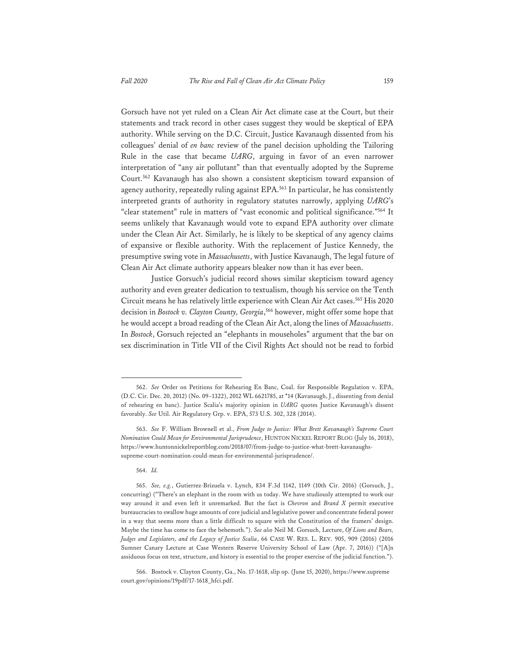Gorsuch have not yet ruled on a Clean Air Act climate case at the Court, but their statements and track record in other cases suggest they would be skeptical of EPA authority. While serving on the D.C. Circuit, Justice Kavanaugh dissented from his colleagues' denial of *en banc* review of the panel decision upholding the Tailoring Rule in the case that became *UARG*, arguing in favor of an even narrower interpretation of "any air pollutant" than that eventually adopted by the Supreme Court.562 Kavanaugh has also shown a consistent skepticism toward expansion of agency authority, repeatedly ruling against EPA.<sup>563</sup> In particular, he has consistently interpreted grants of authority in regulatory statutes narrowly, applying *UARG*'s "clear statement" rule in matters of "vast economic and political significance."564 It seems unlikely that Kavanaugh would vote to expand EPA authority over climate under the Clean Air Act. Similarly, he is likely to be skeptical of any agency claims of expansive or flexible authority. With the replacement of Justice Kennedy, the presumptive swing vote in *Massachusetts*, with Justice Kavanaugh, The legal future of Clean Air Act climate authority appears bleaker now than it has ever been.

Justice Gorsuch's judicial record shows similar skepticism toward agency authority and even greater dedication to textualism, though his service on the Tenth Circuit means he has relatively little experience with Clean Air Act cases.<sup>565</sup> His 2020 decision in *Bostock v. Clayton County, Georgia*, 566 however, might offer some hope that he would accept a broad reading of the Clean Air Act, along the lines of *Massachusetts*. In *Bostock*, Gorsuch rejected an "elephants in mouseholes" argument that the bar on sex discrimination in Title VII of the Civil Rights Act should not be read to forbid

<sup>562.</sup> *See* Order on Petitions for Rehearing En Banc, Coal. for Responsible Regulation v. EPA, (D.C. Cir. Dec. 20, 2012) (No. 09–1322), 2012 WL 6621785, at \*14 (Kavanaugh, J., dissenting from denial of rehearing en banc). Justice Scalia's majority opinion in *UARG* quotes Justice Kavanaugh's dissent favorably. *See* Util. Air Regulatory Grp. v. EPA, 573 U.S. 302, 328 (2014).

<sup>563.</sup> *See* F. William Brownell et al., *From Judge to Justice: What Brett Kavanaugh's Supreme Court Nomination Could Mean for Environmental Jurisprudence*, HUNTON NICKEL REPORT BLOG (July 16, 2018), https://www.huntonnickelreportblog.com/2018/07/from-judge-to-justice-what-brett-kavanaughssupreme-court-nomination-could-mean-for-environmental-jurisprudence/.

<sup>564.</sup> *Id.*

<sup>565.</sup> *See, e.g.*, Gutierrez-Brizuela v. Lynch, 834 F.3d 1142, 1149 (10th Cir. 2016) (Gorsuch, J., concurring) ("There's an elephant in the room with us today. We have studiously attempted to work our way around it and even left it unremarked. But the fact is *Chevron* and *Brand X* permit executive bureaucracies to swallow huge amounts of core judicial and legislative power and concentrate federal power in a way that seems more than a little difficult to square with the Constitution of the framers' design. Maybe the time has come to face the behemoth."). *See also* Neil M. Gorsuch, Lecture, *Of Lions and Bears, Judges and Legislators, and the Legacy of Justice Scalia*, 66 CASE W. RES. L. REV. 905, 909 (2016) (2016 Sumner Canary Lecture at Case Western Reserve University School of Law (Apr. 7, 2016)) ("[A]n assiduous focus on text, structure, and history is essential to the proper exercise of the judicial function.").

<sup>566.</sup> Bostock v. Clayton County, Ga., No. 17-1618, slip op. (June 15, 2020), https://www.supreme court.gov/opinions/19pdf/17-1618\_hfci.pdf.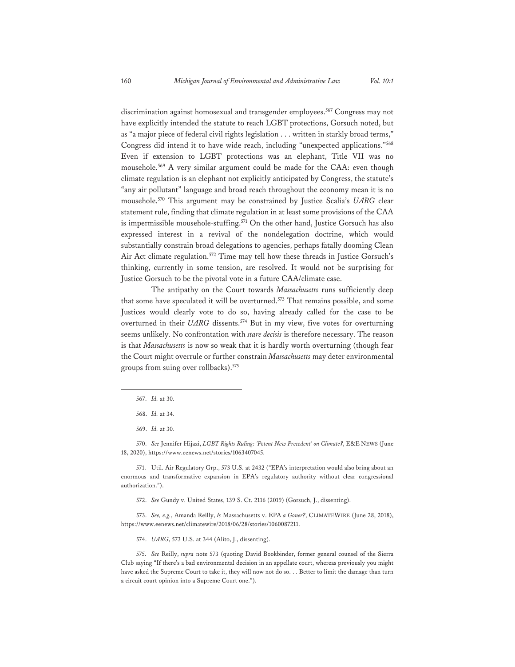discrimination against homosexual and transgender employees.<sup>567</sup> Congress may not have explicitly intended the statute to reach LGBT protections, Gorsuch noted, but as "a major piece of federal civil rights legislation . . . written in starkly broad terms," Congress did intend it to have wide reach, including "unexpected applications."568 Even if extension to LGBT protections was an elephant, Title VII was no mousehole.569 A very similar argument could be made for the CAA: even though climate regulation is an elephant not explicitly anticipated by Congress, the statute's "any air pollutant" language and broad reach throughout the economy mean it is no mousehole.570 This argument may be constrained by Justice Scalia's *UARG* clear statement rule, finding that climate regulation in at least some provisions of the CAA is impermissible mousehole-stuffing.<sup>571</sup> On the other hand, Justice Gorsuch has also expressed interest in a revival of the nondelegation doctrine, which would substantially constrain broad delegations to agencies, perhaps fatally dooming Clean Air Act climate regulation.<sup>572</sup> Time may tell how these threads in Justice Gorsuch's thinking, currently in some tension, are resolved. It would not be surprising for Justice Gorsuch to be the pivotal vote in a future CAA/climate case.

The antipathy on the Court towards *Massachusetts* runs sufficiently deep that some have speculated it will be overturned.<sup>573</sup> That remains possible, and some Justices would clearly vote to do so, having already called for the case to be overturned in their *UARG* dissents.<sup>574</sup> But in my view, five votes for overturning seems unlikely. No confrontation with *stare decisis* is therefore necessary. The reason is that *Massachusetts* is now so weak that it is hardly worth overturning (though fear the Court might overrule or further constrain *Massachusetts* may deter environmental groups from suing over rollbacks).575

571. Util. Air Regulatory Grp., 573 U.S. at 2432 ("EPA's interpretation would also bring about an enormous and transformative expansion in EPA's regulatory authority without clear congressional authorization.").

572. *See* Gundy v. United States, 139 S. Ct. 2116 (2019) (Gorsuch, J., dissenting).

573. *See, e.g.*, Amanda Reilly, *Is* Massachusetts v. EPA *a Goner?*, CLIMATEWIRE (June 28, 2018), https://www.eenews.net/climatewire/2018/06/28/stories/1060087211.

574. *UARG*, 573 U.S. at 344 (Alito, J., dissenting).

575. *See* Reilly, *supra* note 573 (quoting David Bookbinder, former general counsel of the Sierra Club saying "If there's a bad environmental decision in an appellate court, whereas previously you might have asked the Supreme Court to take it, they will now not do so. . . Better to limit the damage than turn a circuit court opinion into a Supreme Court one.").

<sup>567.</sup> *Id.* at 30.

<sup>568.</sup> *Id.* at 34.

<sup>569.</sup> *Id.* at 30.

<sup>570.</sup> *See* Jennifer Hijazi, *LGBT Rights Ruling: 'Potent New Precedent' on Climate?*, E&E NEWS (June 18, 2020), https://www.eenews.net/stories/1063407045.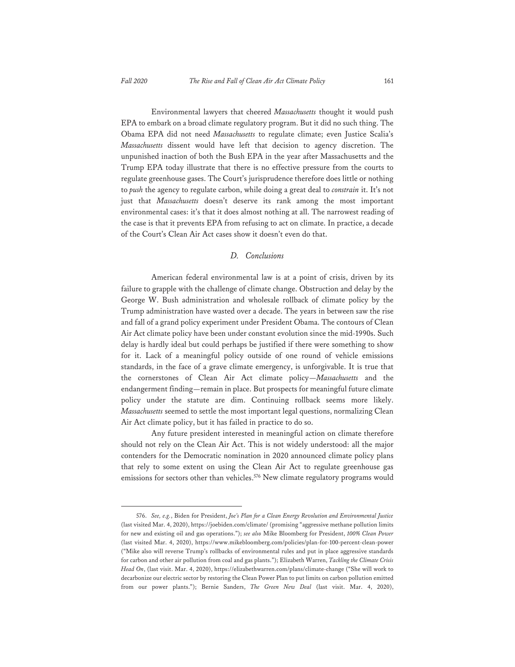Environmental lawyers that cheered *Massachusetts* thought it would push EPA to embark on a broad climate regulatory program. But it did no such thing. The Obama EPA did not need *Massachusetts* to regulate climate; even Justice Scalia's *Massachusetts* dissent would have left that decision to agency discretion. The unpunished inaction of both the Bush EPA in the year after Massachusetts and the Trump EPA today illustrate that there is no effective pressure from the courts to regulate greenhouse gases. The Court's jurisprudence therefore does little or nothing to *push* the agency to regulate carbon, while doing a great deal to *constrain* it. It's not just that *Massachusetts* doesn't deserve its rank among the most important environmental cases: it's that it does almost nothing at all. The narrowest reading of the case is that it prevents EPA from refusing to act on climate. In practice, a decade of the Court's Clean Air Act cases show it doesn't even do that.

## *D. Conclusions*

American federal environmental law is at a point of crisis, driven by its failure to grapple with the challenge of climate change. Obstruction and delay by the George W. Bush administration and wholesale rollback of climate policy by the Trump administration have wasted over a decade. The years in between saw the rise and fall of a grand policy experiment under President Obama. The contours of Clean Air Act climate policy have been under constant evolution since the mid-1990s. Such delay is hardly ideal but could perhaps be justified if there were something to show for it. Lack of a meaningful policy outside of one round of vehicle emissions standards, in the face of a grave climate emergency, is unforgivable. It is true that the cornerstones of Clean Air Act climate policy—*Massachusetts* and the endangerment finding—remain in place. But prospects for meaningful future climate policy under the statute are dim. Continuing rollback seems more likely. *Massachusetts* seemed to settle the most important legal questions, normalizing Clean Air Act climate policy, but it has failed in practice to do so.

Any future president interested in meaningful action on climate therefore should not rely on the Clean Air Act. This is not widely understood: all the major contenders for the Democratic nomination in 2020 announced climate policy plans that rely to some extent on using the Clean Air Act to regulate greenhouse gas emissions for sectors other than vehicles.<sup>576</sup> New climate regulatory programs would

<sup>576.</sup> *See, e.g.*, Biden for President, *Joe's Plan for a Clean Energy Revolution and Environmental Justice* (last visited Mar. 4, 2020), https://joebiden.com/climate/ (promising "aggressive methane pollution limits for new and existing oil and gas operations."); *see also* Mike Bloomberg for President, *100% Clean Power* (last visited Mar. 4, 2020), https://www.mikebloomberg.com/policies/plan-for-100-percent-clean-power ("Mike also will reverse Trump's rollbacks of environmental rules and put in place aggressive standards for carbon and other air pollution from coal and gas plants."); Elizabeth Warren, *Tackling the Climate Crisis Head On*, (last visit. Mar. 4, 2020), https://elizabethwarren.com/plans/climate-change ("She will work to decarbonize our electric sector by restoring the Clean Power Plan to put limits on carbon pollution emitted from our power plants."); Bernie Sanders, *The Green New Deal* (last visit. Mar. 4, 2020),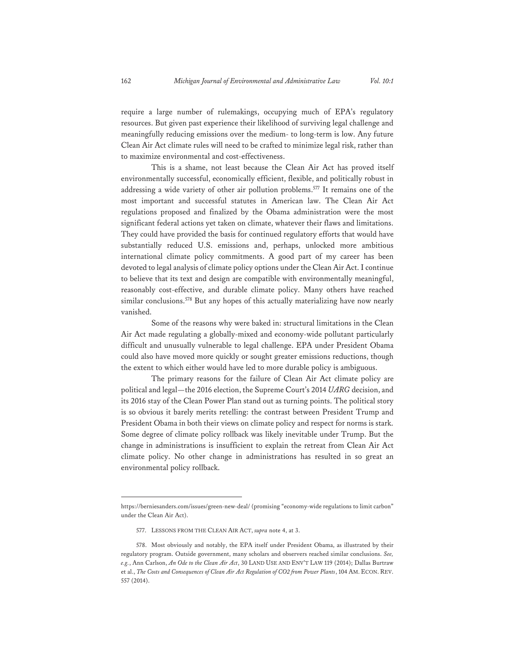require a large number of rulemakings, occupying much of EPA's regulatory resources. But given past experience their likelihood of surviving legal challenge and meaningfully reducing emissions over the medium- to long-term is low. Any future Clean Air Act climate rules will need to be crafted to minimize legal risk, rather than to maximize environmental and cost-effectiveness.

This is a shame, not least because the Clean Air Act has proved itself environmentally successful, economically efficient, flexible, and politically robust in addressing a wide variety of other air pollution problems.577 It remains one of the most important and successful statutes in American law. The Clean Air Act regulations proposed and finalized by the Obama administration were the most significant federal actions yet taken on climate, whatever their flaws and limitations. They could have provided the basis for continued regulatory efforts that would have substantially reduced U.S. emissions and, perhaps, unlocked more ambitious international climate policy commitments. A good part of my career has been devoted to legal analysis of climate policy options under the Clean Air Act. I continue to believe that its text and design are compatible with environmentally meaningful, reasonably cost-effective, and durable climate policy. Many others have reached similar conclusions.<sup>578</sup> But any hopes of this actually materializing have now nearly vanished.

Some of the reasons why were baked in: structural limitations in the Clean Air Act made regulating a globally-mixed and economy-wide pollutant particularly difficult and unusually vulnerable to legal challenge. EPA under President Obama could also have moved more quickly or sought greater emissions reductions, though the extent to which either would have led to more durable policy is ambiguous.

The primary reasons for the failure of Clean Air Act climate policy are political and legal—the 2016 election, the Supreme Court's 2014 *UARG* decision, and its 2016 stay of the Clean Power Plan stand out as turning points. The political story is so obvious it barely merits retelling: the contrast between President Trump and President Obama in both their views on climate policy and respect for norms is stark. Some degree of climate policy rollback was likely inevitable under Trump. But the change in administrations is insufficient to explain the retreat from Clean Air Act climate policy. No other change in administrations has resulted in so great an environmental policy rollback.

https://berniesanders.com/issues/green-new-deal/ (promising "economy-wide regulations to limit carbon" under the Clean Air Act).

<sup>577.</sup> LESSONS FROM THE CLEAN AIR ACT, *supra* note 4, at 3.

<sup>578.</sup> Most obviously and notably, the EPA itself under President Obama, as illustrated by their regulatory program. Outside government, many scholars and observers reached similar conclusions. *See, e.g.*, Ann Carlson, *An Ode to the Clean Air Act*, 30 LAND USE AND ENV'T LAW 119 (2014); Dallas Burtraw et al., *The Costs and Consequences of Clean Air Act Regulation of CO2 from Power Plants*, 104 AM. ECON. REV. 557 (2014).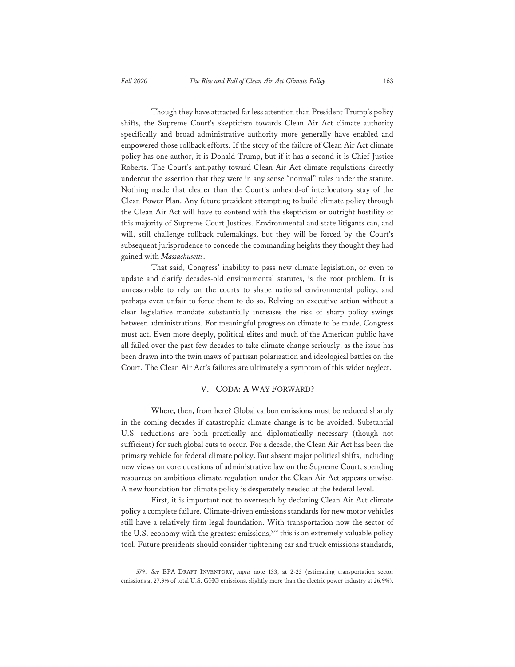Though they have attracted far less attention than President Trump's policy shifts, the Supreme Court's skepticism towards Clean Air Act climate authority specifically and broad administrative authority more generally have enabled and empowered those rollback efforts. If the story of the failure of Clean Air Act climate policy has one author, it is Donald Trump, but if it has a second it is Chief Justice Roberts. The Court's antipathy toward Clean Air Act climate regulations directly undercut the assertion that they were in any sense "normal" rules under the statute. Nothing made that clearer than the Court's unheard-of interlocutory stay of the Clean Power Plan. Any future president attempting to build climate policy through the Clean Air Act will have to contend with the skepticism or outright hostility of this majority of Supreme Court Justices. Environmental and state litigants can, and will, still challenge rollback rulemakings, but they will be forced by the Court's subsequent jurisprudence to concede the commanding heights they thought they had gained with *Massachusetts*.

That said, Congress' inability to pass new climate legislation, or even to update and clarify decades-old environmental statutes, is the root problem. It is unreasonable to rely on the courts to shape national environmental policy, and perhaps even unfair to force them to do so. Relying on executive action without a clear legislative mandate substantially increases the risk of sharp policy swings between administrations. For meaningful progress on climate to be made, Congress must act. Even more deeply, political elites and much of the American public have all failed over the past few decades to take climate change seriously, as the issue has been drawn into the twin maws of partisan polarization and ideological battles on the Court. The Clean Air Act's failures are ultimately a symptom of this wider neglect.

#### V. CODA: A WAY FORWARD?

Where, then, from here? Global carbon emissions must be reduced sharply in the coming decades if catastrophic climate change is to be avoided. Substantial U.S. reductions are both practically and diplomatically necessary (though not sufficient) for such global cuts to occur. For a decade, the Clean Air Act has been the primary vehicle for federal climate policy. But absent major political shifts, including new views on core questions of administrative law on the Supreme Court, spending resources on ambitious climate regulation under the Clean Air Act appears unwise. A new foundation for climate policy is desperately needed at the federal level.

First, it is important not to overreach by declaring Clean Air Act climate policy a complete failure. Climate-driven emissions standards for new motor vehicles still have a relatively firm legal foundation. With transportation now the sector of the U.S. economy with the greatest emissions,  $579$  this is an extremely valuable policy tool. Future presidents should consider tightening car and truck emissions standards,

<sup>579.</sup> *See* EPA DRAFT INVENTORY, *supra* note 133, at 2-25 (estimating transportation sector emissions at 27.9% of total U.S. GHG emissions, slightly more than the electric power industry at 26.9%).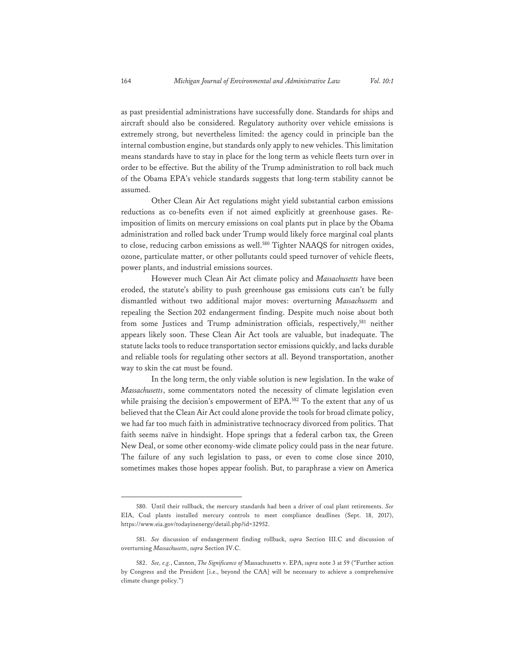as past presidential administrations have successfully done. Standards for ships and aircraft should also be considered. Regulatory authority over vehicle emissions is extremely strong, but nevertheless limited: the agency could in principle ban the internal combustion engine, but standards only apply to new vehicles. This limitation means standards have to stay in place for the long term as vehicle fleets turn over in order to be effective. But the ability of the Trump administration to roll back much of the Obama EPA's vehicle standards suggests that long-term stability cannot be assumed.

Other Clean Air Act regulations might yield substantial carbon emissions reductions as co-benefits even if not aimed explicitly at greenhouse gases. Reimposition of limits on mercury emissions on coal plants put in place by the Obama administration and rolled back under Trump would likely force marginal coal plants to close, reducing carbon emissions as well.<sup>580</sup> Tighter NAAQS for nitrogen oxides, ozone, particulate matter, or other pollutants could speed turnover of vehicle fleets, power plants, and industrial emissions sources.

However much Clean Air Act climate policy and *Massachusetts* have been eroded, the statute's ability to push greenhouse gas emissions cuts can't be fully dismantled without two additional major moves: overturning *Massachusetts* and repealing the Section 202 endangerment finding. Despite much noise about both from some Justices and Trump administration officials, respectively,<sup>581</sup> neither appears likely soon. These Clean Air Act tools are valuable, but inadequate. The statute lacks tools to reduce transportation sector emissions quickly, and lacks durable and reliable tools for regulating other sectors at all. Beyond transportation, another way to skin the cat must be found.

In the long term, the only viable solution is new legislation. In the wake of *Massachusetts*, some commentators noted the necessity of climate legislation even while praising the decision's empowerment of EPA.<sup>582</sup> To the extent that any of us believed that the Clean Air Act could alone provide the tools for broad climate policy, we had far too much faith in administrative technocracy divorced from politics. That faith seems naïve in hindsight. Hope springs that a federal carbon tax, the Green New Deal, or some other economy-wide climate policy could pass in the near future. The failure of any such legislation to pass, or even to come close since 2010, sometimes makes those hopes appear foolish. But, to paraphrase a view on America

<sup>580.</sup> Until their rollback, the mercury standards had been a driver of coal plant retirements. *See* EIA, Coal plants installed mercury controls to meet compliance deadlines (Sept. 18, 2017), https://www.eia.gov/todayinenergy/detail.php?id=32952.

<sup>581.</sup> *See* discussion of endangerment finding rollback, *supra* Section III.C and discussion of overturning *Massachusetts*, *supra* Section IV.C.

<sup>582.</sup> *See, e.g.*, Cannon, *The Significance of* Massachusetts v. EPA, *supra* note 3 at 59 ("Further action by Congress and the President [i.e., beyond the CAA] will be necessary to achieve a comprehensive climate change policy.")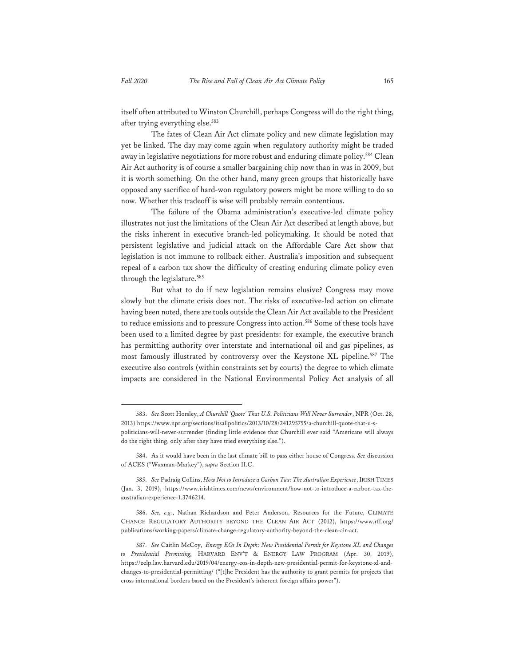itself often attributed to Winston Churchill, perhaps Congress will do the right thing, after trying everything else.583

The fates of Clean Air Act climate policy and new climate legislation may yet be linked. The day may come again when regulatory authority might be traded away in legislative negotiations for more robust and enduring climate policy.<sup>584</sup> Clean Air Act authority is of course a smaller bargaining chip now than in was in 2009, but it is worth something. On the other hand, many green groups that historically have opposed any sacrifice of hard-won regulatory powers might be more willing to do so now. Whether this tradeoff is wise will probably remain contentious.

The failure of the Obama administration's executive-led climate policy illustrates not just the limitations of the Clean Air Act described at length above, but the risks inherent in executive branch-led policymaking. It should be noted that persistent legislative and judicial attack on the Affordable Care Act show that legislation is not immune to rollback either. Australia's imposition and subsequent repeal of a carbon tax show the difficulty of creating enduring climate policy even through the legislature.585

But what to do if new legislation remains elusive? Congress may move slowly but the climate crisis does not. The risks of executive-led action on climate having been noted, there are tools outside the Clean Air Act available to the President to reduce emissions and to pressure Congress into action.<sup>586</sup> Some of these tools have been used to a limited degree by past presidents: for example, the executive branch has permitting authority over interstate and international oil and gas pipelines, as most famously illustrated by controversy over the Keystone XL pipeline.<sup>587</sup> The executive also controls (within constraints set by courts) the degree to which climate impacts are considered in the National Environmental Policy Act analysis of all

<sup>583.</sup> *See* Scott Horsley, *A Churchill 'Quote' That U.S. Politicians Will Never Surrender*, NPR (Oct. 28, 2013) https://www.npr.org/sections/itsallpolitics/2013/10/28/241295755/a-churchill-quote-that-u-spoliticians-will-never-surrender (finding little evidence that Churchill ever said "Americans will always do the right thing, only after they have tried everything else.").

<sup>584.</sup> As it would have been in the last climate bill to pass either house of Congress. *See* discussion of ACES ("Waxman-Markey"), *supra* Section II.C.

<sup>585.</sup> *See* Padraig Collins, *How Not to Introduce a Carbon Tax: The Australian Experience*, IRISH TIMES (Jan. 3, 2019), https://www.irishtimes.com/news/environment/how-not-to-introduce-a-carbon-tax-theaustralian-experience-1.3746214.

<sup>586.</sup> *See, e.g.*, Nathan Richardson and Peter Anderson, Resources for the Future, CLIMATE CHANGE REGULATORY AUTHORITY BEYOND THE CLEAN AIR ACT (2012), https://www.rff.org/ publications/working-papers/climate-change-regulatory-authority-beyond-the-clean-air-act.

<sup>587.</sup> *See* Caitlin McCoy, *Energy EOs In Depth: New Presidential Permit for Keystone XL and Changes to Presidential Permitting,* HARVARD ENV'T & ENERGY LAW PROGRAM (Apr. 30, 2019), https://eelp.law.harvard.edu/2019/04/energy-eos-in-depth-new-presidential-permit-for-keystone-xl-andchanges-to-presidential-permitting/ ("[t]he President has the authority to grant permits for projects that cross international borders based on the President's inherent foreign affairs power").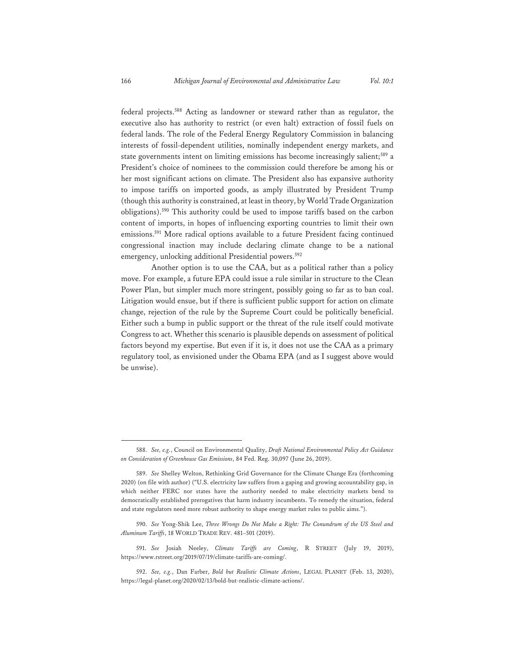federal projects.588 Acting as landowner or steward rather than as regulator, the executive also has authority to restrict (or even halt) extraction of fossil fuels on federal lands. The role of the Federal Energy Regulatory Commission in balancing interests of fossil-dependent utilities, nominally independent energy markets, and state governments intent on limiting emissions has become increasingly salient;<sup>589</sup> a President's choice of nominees to the commission could therefore be among his or her most significant actions on climate. The President also has expansive authority to impose tariffs on imported goods, as amply illustrated by President Trump (though this authority is constrained, at least in theory, by World Trade Organization obligations).590 This authority could be used to impose tariffs based on the carbon content of imports, in hopes of influencing exporting countries to limit their own emissions.591 More radical options available to a future President facing continued congressional inaction may include declaring climate change to be a national emergency, unlocking additional Presidential powers.<sup>592</sup>

Another option is to use the CAA, but as a political rather than a policy move. For example, a future EPA could issue a rule similar in structure to the Clean Power Plan, but simpler much more stringent, possibly going so far as to ban coal. Litigation would ensue, but if there is sufficient public support for action on climate change, rejection of the rule by the Supreme Court could be politically beneficial. Either such a bump in public support or the threat of the rule itself could motivate Congress to act. Whether this scenario is plausible depends on assessment of political factors beyond my expertise. But even if it is, it does not use the CAA as a primary regulatory tool, as envisioned under the Obama EPA (and as I suggest above would be unwise).

<sup>588.</sup> *See, e.g.*, Council on Environmental Quality, *Draft National Environmental Policy Act Guidance on Consideration of Greenhouse Gas Emissions*, 84 Fed. Reg. 30,097 (June 26, 2019).

<sup>589.</sup> *See* Shelley Welton, Rethinking Grid Governance for the Climate Change Era (forthcoming 2020) (on file with author) ("U.S. electricity law suffers from a gaping and growing accountability gap, in which neither FERC nor states have the authority needed to make electricity markets bend to democratically established prerogatives that harm industry incumbents. To remedy the situation, federal and state regulators need more robust authority to shape energy market rules to public aims.").

<sup>590.</sup> *See* Yong-Shik Lee, *Three Wrongs Do Not Make a Right: The Conundrum of the US Steel and Aluminum Tariffs*, 18 WORLD TRADE REV. 481–501 (2019).

<sup>591.</sup> *See* Josiah Neeley, *Climate Tariffs are Coming*, R STREET (July 19, 2019), https://www.rstreet.org/2019/07/19/climate-tariffs-are-coming/.

<sup>592.</sup> *See, e.g.*, Dan Farber, *Bold but Realistic Climate Actions*, LEGAL PLANET (Feb. 13, 2020), https://legal-planet.org/2020/02/13/bold-but-realistic-climate-actions/.